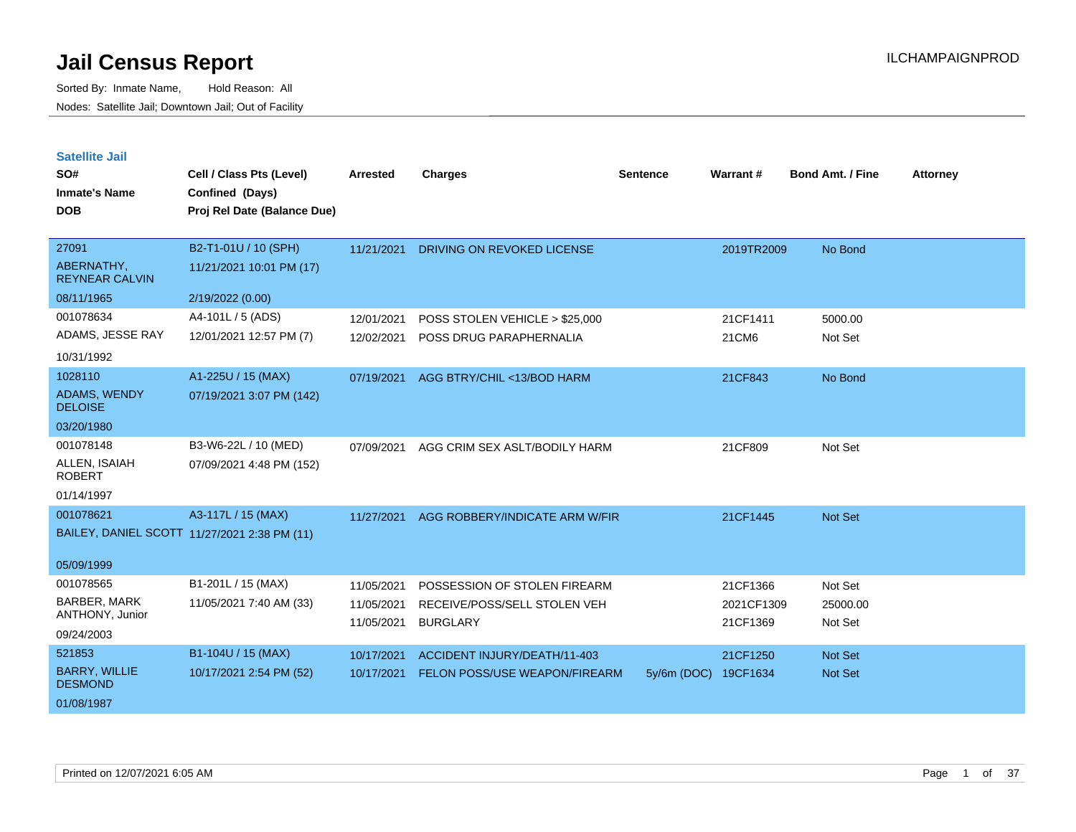| <b>Satellite Jail</b> |  |
|-----------------------|--|
|                       |  |

| SO#<br><b>Inmate's Name</b><br><b>DOB</b>                         | Cell / Class Pts (Level)<br>Confined (Days)<br>Proj Rel Date (Balance Due) | <b>Arrested</b>                        | <b>Charges</b>                                                                  | <b>Sentence</b> | Warrant#                           | <b>Bond Amt. / Fine</b>        | <b>Attorney</b> |
|-------------------------------------------------------------------|----------------------------------------------------------------------------|----------------------------------------|---------------------------------------------------------------------------------|-----------------|------------------------------------|--------------------------------|-----------------|
| 27091<br>ABERNATHY,<br><b>REYNEAR CALVIN</b>                      | B2-T1-01U / 10 (SPH)<br>11/21/2021 10:01 PM (17)                           | 11/21/2021                             | <b>DRIVING ON REVOKED LICENSE</b>                                               |                 | 2019TR2009                         | No Bond                        |                 |
| 08/11/1965<br>001078634<br>ADAMS, JESSE RAY<br>10/31/1992         | 2/19/2022 (0.00)<br>A4-101L / 5 (ADS)<br>12/01/2021 12:57 PM (7)           | 12/01/2021<br>12/02/2021               | POSS STOLEN VEHICLE > \$25,000<br>POSS DRUG PARAPHERNALIA                       |                 | 21CF1411<br>21CM6                  | 5000.00<br>Not Set             |                 |
| 1028110<br><b>ADAMS, WENDY</b><br><b>DELOISE</b><br>03/20/1980    | A1-225U / 15 (MAX)<br>07/19/2021 3:07 PM (142)                             | 07/19/2021                             | AGG BTRY/CHIL <13/BOD HARM                                                      |                 | 21CF843                            | No Bond                        |                 |
| 001078148<br>ALLEN, ISAIAH<br><b>ROBERT</b><br>01/14/1997         | B3-W6-22L / 10 (MED)<br>07/09/2021 4:48 PM (152)                           | 07/09/2021                             | AGG CRIM SEX ASLT/BODILY HARM                                                   |                 | 21CF809                            | Not Set                        |                 |
| 001078621<br>05/09/1999                                           | A3-117L / 15 (MAX)<br>BAILEY, DANIEL SCOTT 11/27/2021 2:38 PM (11)         | 11/27/2021                             | AGG ROBBERY/INDICATE ARM W/FIR                                                  |                 | 21CF1445                           | Not Set                        |                 |
| 001078565<br><b>BARBER, MARK</b><br>ANTHONY, Junior<br>09/24/2003 | B1-201L / 15 (MAX)<br>11/05/2021 7:40 AM (33)                              | 11/05/2021<br>11/05/2021<br>11/05/2021 | POSSESSION OF STOLEN FIREARM<br>RECEIVE/POSS/SELL STOLEN VEH<br><b>BURGLARY</b> |                 | 21CF1366<br>2021CF1309<br>21CF1369 | Not Set<br>25000.00<br>Not Set |                 |
| 521853<br><b>BARRY, WILLIE</b><br><b>DESMOND</b><br>01/08/1987    | B1-104U / 15 (MAX)<br>10/17/2021 2:54 PM (52)                              | 10/17/2021<br>10/17/2021               | ACCIDENT INJURY/DEATH/11-403<br>FELON POSS/USE WEAPON/FIREARM                   | 5y/6m (DOC)     | 21CF1250<br>19CF1634               | <b>Not Set</b><br>Not Set      |                 |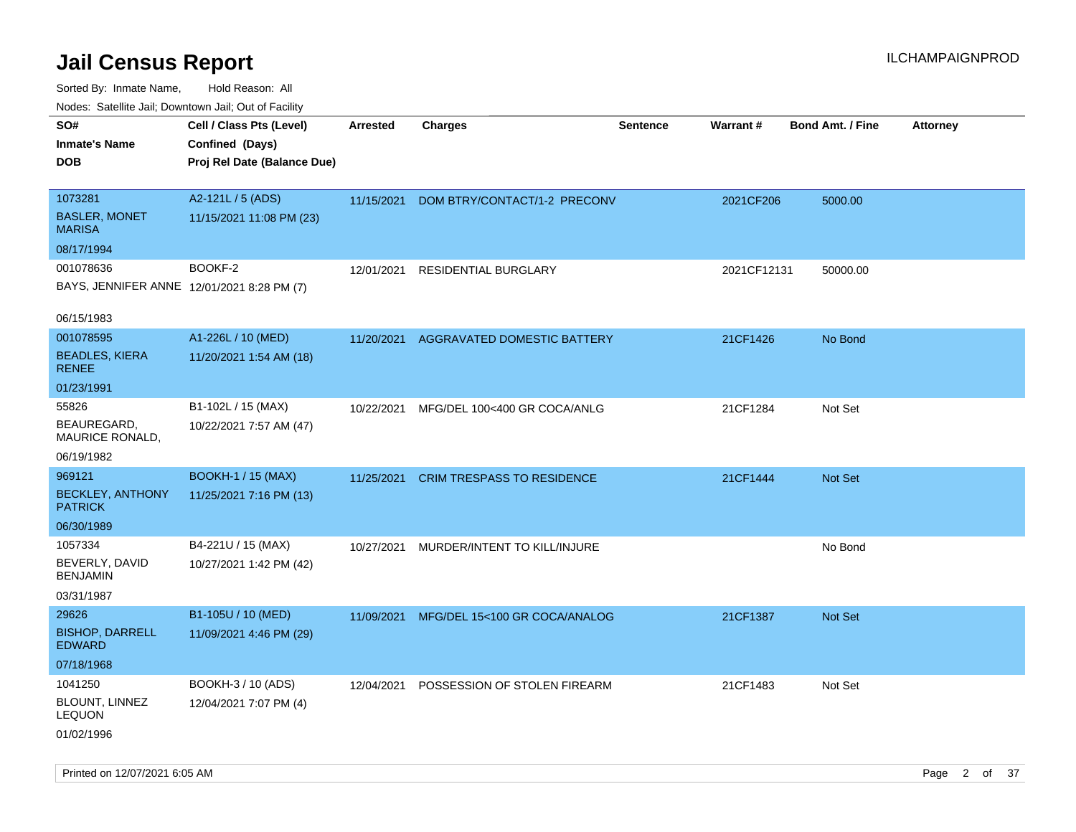| Nudes. Satellite Jali, Downtown Jali, Out of Facility |                             |                 |                                   |                 |             |                         |                 |
|-------------------------------------------------------|-----------------------------|-----------------|-----------------------------------|-----------------|-------------|-------------------------|-----------------|
| SO#                                                   | Cell / Class Pts (Level)    | <b>Arrested</b> | <b>Charges</b>                    | <b>Sentence</b> | Warrant#    | <b>Bond Amt. / Fine</b> | <b>Attorney</b> |
| Inmate's Name                                         | Confined (Days)             |                 |                                   |                 |             |                         |                 |
| <b>DOB</b>                                            | Proj Rel Date (Balance Due) |                 |                                   |                 |             |                         |                 |
|                                                       |                             |                 |                                   |                 |             |                         |                 |
| 1073281                                               | A2-121L / 5 (ADS)           | 11/15/2021      | DOM BTRY/CONTACT/1-2 PRECONV      |                 | 2021CF206   | 5000.00                 |                 |
| <b>BASLER, MONET</b><br><b>MARISA</b>                 | 11/15/2021 11:08 PM (23)    |                 |                                   |                 |             |                         |                 |
| 08/17/1994                                            |                             |                 |                                   |                 |             |                         |                 |
| 001078636                                             | BOOKF-2                     | 12/01/2021      | <b>RESIDENTIAL BURGLARY</b>       |                 | 2021CF12131 | 50000.00                |                 |
| BAYS, JENNIFER ANNE 12/01/2021 8:28 PM (7)            |                             |                 |                                   |                 |             |                         |                 |
| 06/15/1983                                            |                             |                 |                                   |                 |             |                         |                 |
| 001078595                                             | A1-226L / 10 (MED)          | 11/20/2021      | AGGRAVATED DOMESTIC BATTERY       |                 | 21CF1426    | No Bond                 |                 |
| <b>BEADLES, KIERA</b><br>RENEE                        | 11/20/2021 1:54 AM (18)     |                 |                                   |                 |             |                         |                 |
| 01/23/1991                                            |                             |                 |                                   |                 |             |                         |                 |
| 55826                                                 | B1-102L / 15 (MAX)          | 10/22/2021      | MFG/DEL 100<400 GR COCA/ANLG      |                 | 21CF1284    | Not Set                 |                 |
| BEAUREGARD.<br>MAURICE RONALD,                        | 10/22/2021 7:57 AM (47)     |                 |                                   |                 |             |                         |                 |
| 06/19/1982                                            |                             |                 |                                   |                 |             |                         |                 |
| 969121                                                | <b>BOOKH-1 / 15 (MAX)</b>   | 11/25/2021      | <b>CRIM TRESPASS TO RESIDENCE</b> |                 | 21CF1444    | <b>Not Set</b>          |                 |
| <b>BECKLEY, ANTHONY</b><br><b>PATRICK</b>             | 11/25/2021 7:16 PM (13)     |                 |                                   |                 |             |                         |                 |
| 06/30/1989                                            |                             |                 |                                   |                 |             |                         |                 |
| 1057334                                               | B4-221U / 15 (MAX)          | 10/27/2021      | MURDER/INTENT TO KILL/INJURE      |                 |             | No Bond                 |                 |
| BEVERLY, DAVID<br>BENJAMIN                            | 10/27/2021 1:42 PM (42)     |                 |                                   |                 |             |                         |                 |
| 03/31/1987                                            |                             |                 |                                   |                 |             |                         |                 |
| 29626                                                 | B1-105U / 10 (MED)          | 11/09/2021      | MFG/DEL 15<100 GR COCA/ANALOG     |                 | 21CF1387    | <b>Not Set</b>          |                 |
| <b>BISHOP, DARRELL</b><br>EDWARD                      | 11/09/2021 4:46 PM (29)     |                 |                                   |                 |             |                         |                 |
| 07/18/1968                                            |                             |                 |                                   |                 |             |                         |                 |
| 1041250                                               | BOOKH-3 / 10 (ADS)          | 12/04/2021      | POSSESSION OF STOLEN FIREARM      |                 | 21CF1483    | Not Set                 |                 |
| BLOUNT, LINNEZ<br>LEQUON                              | 12/04/2021 7:07 PM (4)      |                 |                                   |                 |             |                         |                 |
| 01/02/1996                                            |                             |                 |                                   |                 |             |                         |                 |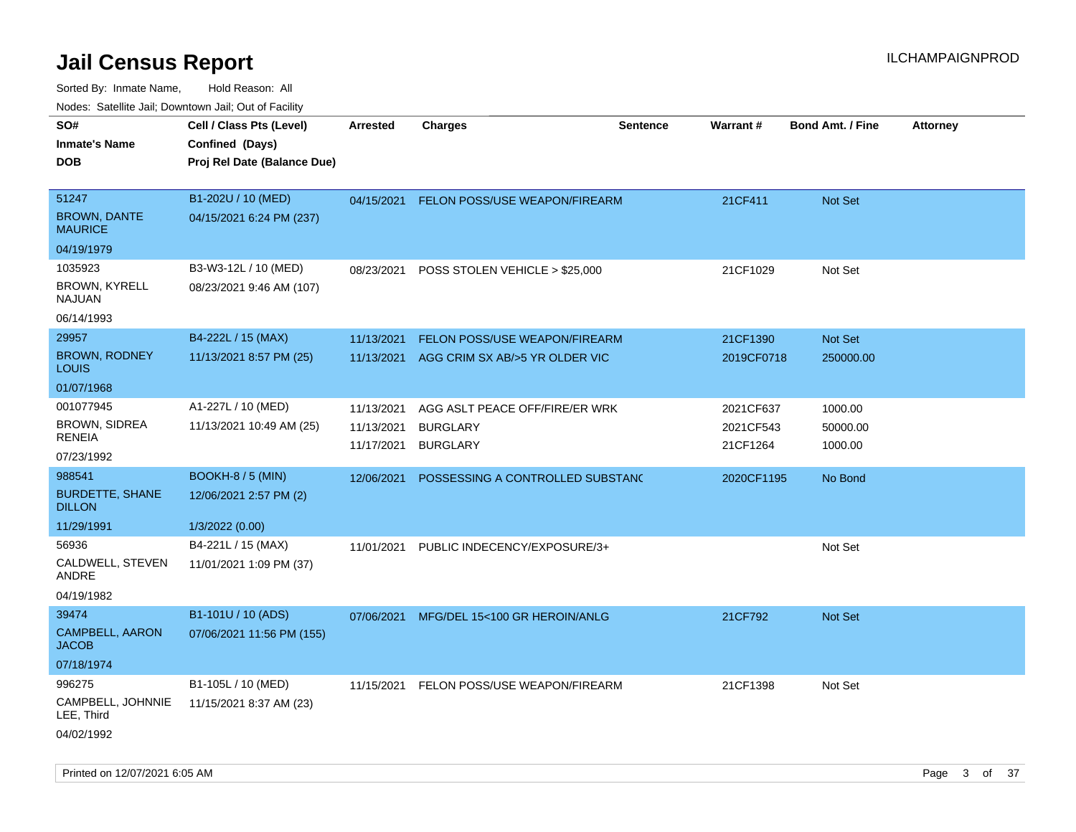| ivouss. Satellite Jali, Downtown Jali, Out of Facility           |                                                  |                                        |                                                                      |                 |                                    |                                |                 |
|------------------------------------------------------------------|--------------------------------------------------|----------------------------------------|----------------------------------------------------------------------|-----------------|------------------------------------|--------------------------------|-----------------|
| SO#<br>Inmate's Name                                             | Cell / Class Pts (Level)<br>Confined (Days)      | <b>Arrested</b>                        | <b>Charges</b>                                                       | <b>Sentence</b> | <b>Warrant#</b>                    | <b>Bond Amt. / Fine</b>        | <b>Attorney</b> |
| DOB                                                              | Proj Rel Date (Balance Due)                      |                                        |                                                                      |                 |                                    |                                |                 |
| 51247<br><b>BROWN, DANTE</b><br><b>MAURICE</b>                   | B1-202U / 10 (MED)<br>04/15/2021 6:24 PM (237)   | 04/15/2021                             | <b>FELON POSS/USE WEAPON/FIREARM</b>                                 |                 | 21CF411                            | <b>Not Set</b>                 |                 |
| 04/19/1979                                                       |                                                  |                                        |                                                                      |                 |                                    |                                |                 |
| 1035923<br><b>BROWN, KYRELL</b><br>NAJUAN                        | B3-W3-12L / 10 (MED)<br>08/23/2021 9:46 AM (107) | 08/23/2021                             | POSS STOLEN VEHICLE > \$25,000                                       |                 | 21CF1029                           | Not Set                        |                 |
| 06/14/1993                                                       |                                                  |                                        |                                                                      |                 |                                    |                                |                 |
| 29957<br><b>BROWN, RODNEY</b><br>Louis                           | B4-222L / 15 (MAX)<br>11/13/2021 8:57 PM (25)    | 11/13/2021<br>11/13/2021               | FELON POSS/USE WEAPON/FIREARM<br>AGG CRIM SX AB/>5 YR OLDER VIC      |                 | 21CF1390<br>2019CF0718             | Not Set<br>250000.00           |                 |
| 01/07/1968                                                       |                                                  |                                        |                                                                      |                 |                                    |                                |                 |
| 001077945<br><b>BROWN, SIDREA</b><br><b>RENEIA</b><br>07/23/1992 | A1-227L / 10 (MED)<br>11/13/2021 10:49 AM (25)   | 11/13/2021<br>11/13/2021<br>11/17/2021 | AGG ASLT PEACE OFF/FIRE/ER WRK<br><b>BURGLARY</b><br><b>BURGLARY</b> |                 | 2021CF637<br>2021CF543<br>21CF1264 | 1000.00<br>50000.00<br>1000.00 |                 |
| 988541                                                           | <b>BOOKH-8 / 5 (MIN)</b>                         | 12/06/2021                             | POSSESSING A CONTROLLED SUBSTAND                                     |                 | 2020CF1195                         | No Bond                        |                 |
| <b>BURDETTE, SHANE</b><br><b>DILLON</b>                          | 12/06/2021 2:57 PM (2)                           |                                        |                                                                      |                 |                                    |                                |                 |
| 11/29/1991                                                       | 1/3/2022 (0.00)                                  |                                        |                                                                      |                 |                                    |                                |                 |
| 56936<br>CALDWELL, STEVEN<br>ANDRE<br>04/19/1982                 | B4-221L / 15 (MAX)<br>11/01/2021 1:09 PM (37)    | 11/01/2021                             | PUBLIC INDECENCY/EXPOSURE/3+                                         |                 |                                    | Not Set                        |                 |
| 39474                                                            | B1-101U / 10 (ADS)                               |                                        |                                                                      |                 |                                    |                                |                 |
| <b>CAMPBELL, AARON</b><br>JACOB                                  | 07/06/2021 11:56 PM (155)                        | 07/06/2021                             | MFG/DEL 15<100 GR HEROIN/ANLG                                        |                 | 21CF792                            | <b>Not Set</b>                 |                 |
| 07/18/1974                                                       |                                                  |                                        |                                                                      |                 |                                    |                                |                 |
| 996275<br>CAMPBELL, JOHNNIE<br>LEE, Third<br>04/02/1992          | B1-105L / 10 (MED)<br>11/15/2021 8:37 AM (23)    | 11/15/2021                             | FELON POSS/USE WEAPON/FIREARM                                        |                 | 21CF1398                           | Not Set                        |                 |
|                                                                  |                                                  |                                        |                                                                      |                 |                                    |                                |                 |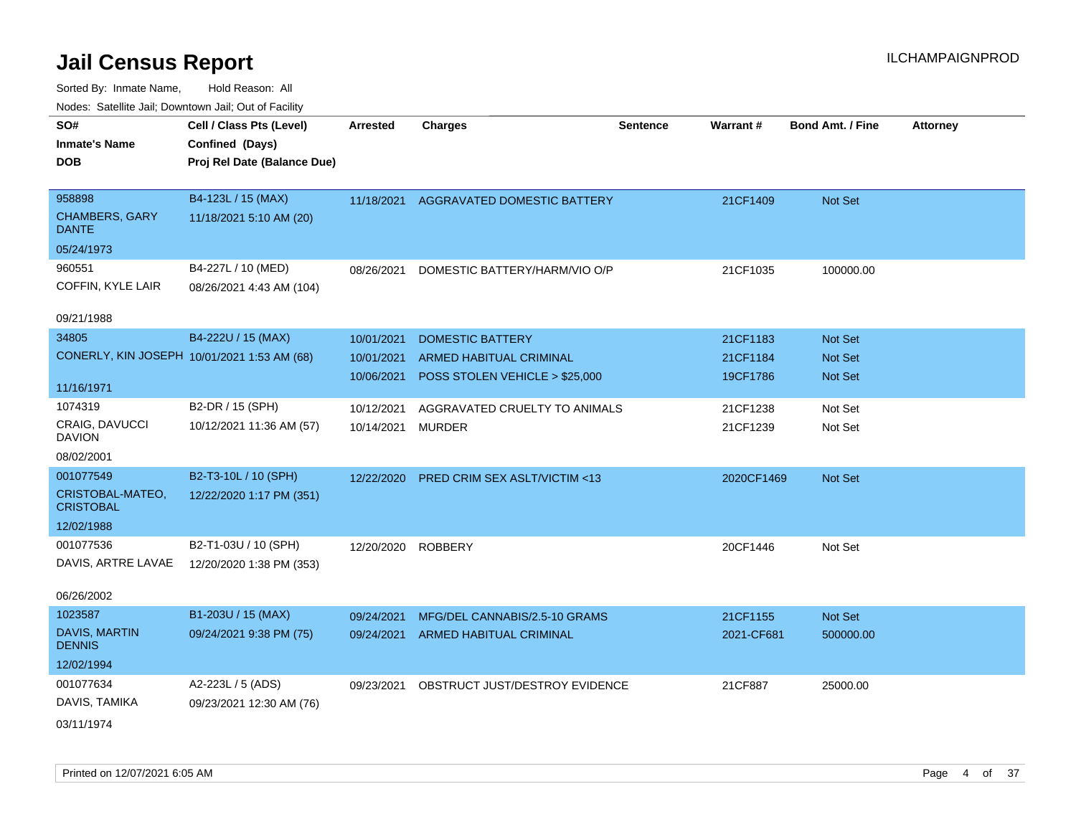| SO#                                         | Cell / Class Pts (Level)    | <b>Arrested</b>    | <b>Charges</b>                          | <b>Sentence</b> | Warrant#   | <b>Bond Amt. / Fine</b> | <b>Attorney</b> |
|---------------------------------------------|-----------------------------|--------------------|-----------------------------------------|-----------------|------------|-------------------------|-----------------|
| <b>Inmate's Name</b>                        | Confined (Days)             |                    |                                         |                 |            |                         |                 |
| <b>DOB</b>                                  | Proj Rel Date (Balance Due) |                    |                                         |                 |            |                         |                 |
|                                             |                             |                    |                                         |                 |            |                         |                 |
| 958898                                      | B4-123L / 15 (MAX)          | 11/18/2021         | <b>AGGRAVATED DOMESTIC BATTERY</b>      |                 | 21CF1409   | Not Set                 |                 |
| <b>CHAMBERS, GARY</b><br><b>DANTE</b>       | 11/18/2021 5:10 AM (20)     |                    |                                         |                 |            |                         |                 |
| 05/24/1973                                  |                             |                    |                                         |                 |            |                         |                 |
| 960551                                      | B4-227L / 10 (MED)          | 08/26/2021         | DOMESTIC BATTERY/HARM/VIO O/P           |                 | 21CF1035   | 100000.00               |                 |
| COFFIN, KYLE LAIR                           | 08/26/2021 4:43 AM (104)    |                    |                                         |                 |            |                         |                 |
| 09/21/1988                                  |                             |                    |                                         |                 |            |                         |                 |
| 34805                                       | B4-222U / 15 (MAX)          | 10/01/2021         | <b>DOMESTIC BATTERY</b>                 |                 | 21CF1183   | Not Set                 |                 |
| CONERLY, KIN JOSEPH 10/01/2021 1:53 AM (68) |                             | 10/01/2021         | ARMED HABITUAL CRIMINAL                 |                 | 21CF1184   | Not Set                 |                 |
|                                             |                             | 10/06/2021         | POSS STOLEN VEHICLE > \$25,000          |                 | 19CF1786   | <b>Not Set</b>          |                 |
| 11/16/1971                                  |                             |                    |                                         |                 |            |                         |                 |
| 1074319                                     | B2-DR / 15 (SPH)            | 10/12/2021         | AGGRAVATED CRUELTY TO ANIMALS           |                 | 21CF1238   | Not Set                 |                 |
| <b>CRAIG, DAVUCCI</b><br><b>DAVION</b>      | 10/12/2021 11:36 AM (57)    | 10/14/2021         | <b>MURDER</b>                           |                 | 21CF1239   | Not Set                 |                 |
| 08/02/2001                                  |                             |                    |                                         |                 |            |                         |                 |
| 001077549                                   | B2-T3-10L / 10 (SPH)        | 12/22/2020         | <b>PRED CRIM SEX ASLT/VICTIM &lt;13</b> |                 | 2020CF1469 | Not Set                 |                 |
| CRISTOBAL-MATEO,<br><b>CRISTOBAL</b>        | 12/22/2020 1:17 PM (351)    |                    |                                         |                 |            |                         |                 |
| 12/02/1988                                  |                             |                    |                                         |                 |            |                         |                 |
| 001077536                                   | B2-T1-03U / 10 (SPH)        | 12/20/2020 ROBBERY |                                         |                 | 20CF1446   | Not Set                 |                 |
| DAVIS, ARTRE LAVAE                          | 12/20/2020 1:38 PM (353)    |                    |                                         |                 |            |                         |                 |
|                                             |                             |                    |                                         |                 |            |                         |                 |
| 06/26/2002                                  |                             |                    |                                         |                 |            |                         |                 |
| 1023587                                     | B1-203U / 15 (MAX)          | 09/24/2021         | MFG/DEL CANNABIS/2.5-10 GRAMS           |                 | 21CF1155   | Not Set                 |                 |
| DAVIS, MARTIN<br><b>DENNIS</b>              | 09/24/2021 9:38 PM (75)     | 09/24/2021         | ARMED HABITUAL CRIMINAL                 |                 | 2021-CF681 | 500000.00               |                 |
| 12/02/1994                                  |                             |                    |                                         |                 |            |                         |                 |
| 001077634                                   | A2-223L / 5 (ADS)           | 09/23/2021         | OBSTRUCT JUST/DESTROY EVIDENCE          |                 | 21CF887    | 25000.00                |                 |
| DAVIS, TAMIKA                               | 09/23/2021 12:30 AM (76)    |                    |                                         |                 |            |                         |                 |
| 03/11/1974                                  |                             |                    |                                         |                 |            |                         |                 |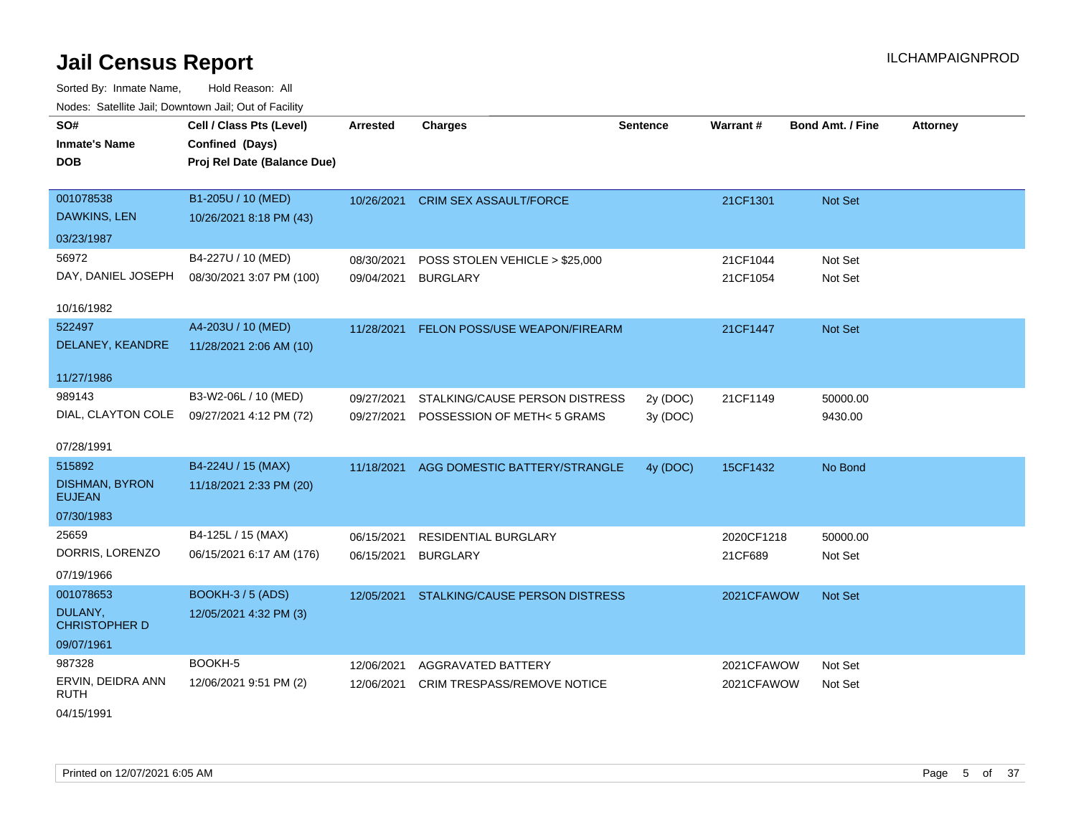Sorted By: Inmate Name, Hold Reason: All Nodes: Satellite Jail; Downtown Jail; Out of Facility

| roucs. Oatchite sail, Downtown sail, Out of Facility |                             |            |                                           |                 |            |                  |                 |
|------------------------------------------------------|-----------------------------|------------|-------------------------------------------|-----------------|------------|------------------|-----------------|
| SO#                                                  | Cell / Class Pts (Level)    | Arrested   | <b>Charges</b>                            | <b>Sentence</b> | Warrant#   | Bond Amt. / Fine | <b>Attorney</b> |
| <b>Inmate's Name</b>                                 | Confined (Days)             |            |                                           |                 |            |                  |                 |
| <b>DOB</b>                                           | Proj Rel Date (Balance Due) |            |                                           |                 |            |                  |                 |
|                                                      |                             |            |                                           |                 |            |                  |                 |
| 001078538                                            | B1-205U / 10 (MED)          | 10/26/2021 | <b>CRIM SEX ASSAULT/FORCE</b>             |                 | 21CF1301   | Not Set          |                 |
| DAWKINS, LEN                                         | 10/26/2021 8:18 PM (43)     |            |                                           |                 |            |                  |                 |
| 03/23/1987                                           |                             |            |                                           |                 |            |                  |                 |
| 56972                                                | B4-227U / 10 (MED)          | 08/30/2021 | POSS STOLEN VEHICLE > \$25,000            |                 | 21CF1044   | Not Set          |                 |
| DAY, DANIEL JOSEPH                                   | 08/30/2021 3:07 PM (100)    | 09/04/2021 | <b>BURGLARY</b>                           |                 | 21CF1054   | Not Set          |                 |
| 10/16/1982                                           |                             |            |                                           |                 |            |                  |                 |
| 522497                                               | A4-203U / 10 (MED)          | 11/28/2021 | FELON POSS/USE WEAPON/FIREARM             |                 | 21CF1447   | Not Set          |                 |
| DELANEY, KEANDRE                                     | 11/28/2021 2:06 AM (10)     |            |                                           |                 |            |                  |                 |
|                                                      |                             |            |                                           |                 |            |                  |                 |
| 11/27/1986                                           |                             |            |                                           |                 |            |                  |                 |
| 989143                                               | B3-W2-06L / 10 (MED)        | 09/27/2021 | STALKING/CAUSE PERSON DISTRESS            | 2y (DOC)        | 21CF1149   | 50000.00         |                 |
| DIAL, CLAYTON COLE                                   | 09/27/2021 4:12 PM (72)     | 09/27/2021 | POSSESSION OF METH< 5 GRAMS               | 3y (DOC)        |            | 9430.00          |                 |
| 07/28/1991                                           |                             |            |                                           |                 |            |                  |                 |
|                                                      |                             |            |                                           |                 |            |                  |                 |
| 515892                                               | B4-224U / 15 (MAX)          | 11/18/2021 | AGG DOMESTIC BATTERY/STRANGLE             | 4y (DOC)        | 15CF1432   | No Bond          |                 |
| <b>DISHMAN, BYRON</b><br><b>EUJEAN</b>               | 11/18/2021 2:33 PM (20)     |            |                                           |                 |            |                  |                 |
| 07/30/1983                                           |                             |            |                                           |                 |            |                  |                 |
| 25659                                                | B4-125L / 15 (MAX)          | 06/15/2021 | RESIDENTIAL BURGLARY                      |                 | 2020CF1218 | 50000.00         |                 |
| DORRIS, LORENZO                                      | 06/15/2021 6:17 AM (176)    | 06/15/2021 | <b>BURGLARY</b>                           |                 | 21CF689    | Not Set          |                 |
| 07/19/1966                                           |                             |            |                                           |                 |            |                  |                 |
| 001078653                                            | <b>BOOKH-3/5 (ADS)</b>      |            | 12/05/2021 STALKING/CAUSE PERSON DISTRESS |                 | 2021CFAWOW | <b>Not Set</b>   |                 |
| DULANY,<br><b>CHRISTOPHER D</b>                      | 12/05/2021 4:32 PM (3)      |            |                                           |                 |            |                  |                 |
| 09/07/1961                                           |                             |            |                                           |                 |            |                  |                 |
| 987328                                               | BOOKH-5                     | 12/06/2021 | AGGRAVATED BATTERY                        |                 | 2021CFAWOW | Not Set          |                 |
| ERVIN, DEIDRA ANN<br><b>RUTH</b>                     | 12/06/2021 9:51 PM (2)      | 12/06/2021 | <b>CRIM TRESPASS/REMOVE NOTICE</b>        |                 | 2021CFAWOW | Not Set          |                 |
|                                                      |                             |            |                                           |                 |            |                  |                 |

04/15/1991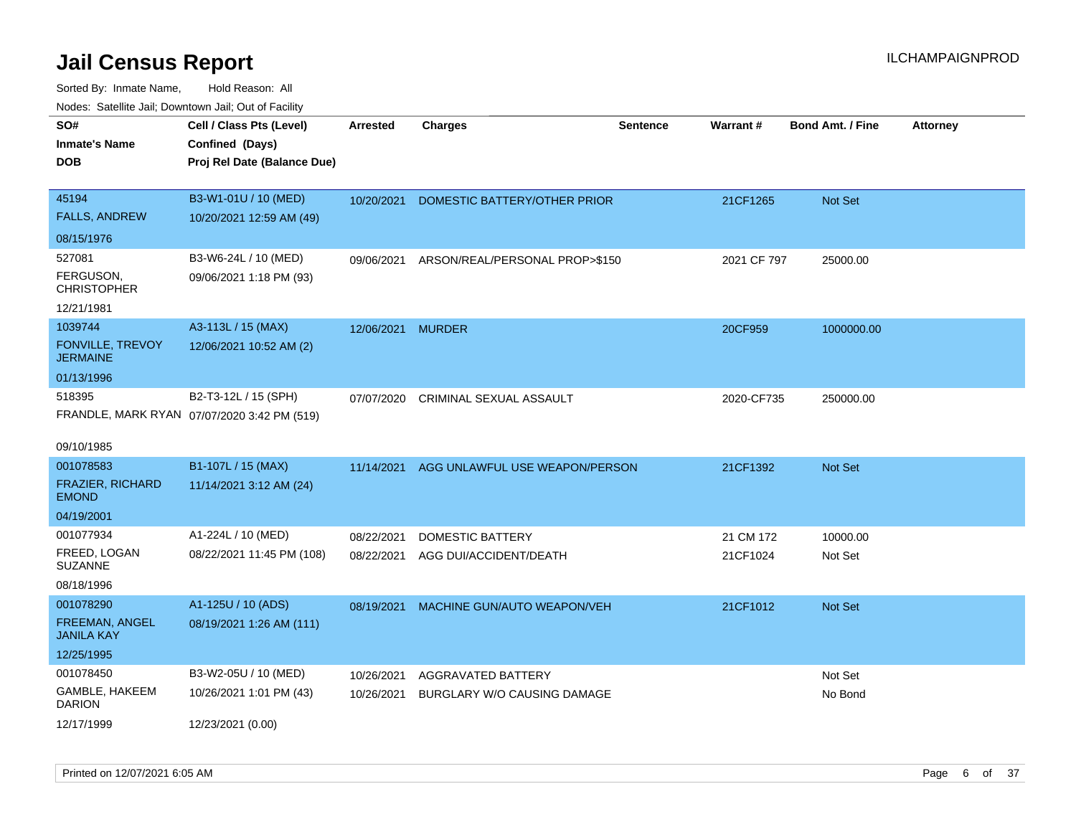| roaco. Calcinio dan, Downtown dan, Oal or Fability                    |                                                                            |                          |                                                   |                 |                       |                         |                 |
|-----------------------------------------------------------------------|----------------------------------------------------------------------------|--------------------------|---------------------------------------------------|-----------------|-----------------------|-------------------------|-----------------|
| SO#<br>Inmate's Name<br>DOB                                           | Cell / Class Pts (Level)<br>Confined (Days)<br>Proj Rel Date (Balance Due) | <b>Arrested</b>          | Charges                                           | <b>Sentence</b> | Warrant#              | <b>Bond Amt. / Fine</b> | <b>Attorney</b> |
| 45194<br><b>FALLS, ANDREW</b><br>08/15/1976                           | B3-W1-01U / 10 (MED)<br>10/20/2021 12:59 AM (49)                           | 10/20/2021               | DOMESTIC BATTERY/OTHER PRIOR                      |                 | 21CF1265              | Not Set                 |                 |
| 527081<br>FERGUSON,<br>CHRISTOPHER<br>12/21/1981                      | B3-W6-24L / 10 (MED)<br>09/06/2021 1:18 PM (93)                            | 09/06/2021               | ARSON/REAL/PERSONAL PROP>\$150                    |                 | 2021 CF 797           | 25000.00                |                 |
| 1039744<br><b>FONVILLE, TREVOY</b><br>JERMAINE<br>01/13/1996          | A3-113L / 15 (MAX)<br>12/06/2021 10:52 AM (2)                              | 12/06/2021               | MURDER                                            |                 | 20CF959               | 1000000.00              |                 |
| 518395<br>09/10/1985                                                  | B2-T3-12L / 15 (SPH)<br>FRANDLE, MARK RYAN 07/07/2020 3:42 PM (519)        | 07/07/2020               | CRIMINAL SEXUAL ASSAULT                           |                 | 2020-CF735            | 250000.00               |                 |
| 001078583<br><b>FRAZIER, RICHARD</b><br><b>EMOND</b><br>04/19/2001    | B1-107L / 15 (MAX)<br>11/14/2021 3:12 AM (24)                              | 11/14/2021               | AGG UNLAWFUL USE WEAPON/PERSON                    |                 | 21CF1392              | <b>Not Set</b>          |                 |
| 001077934<br>FREED, LOGAN<br>SUZANNE<br>08/18/1996                    | A1-224L / 10 (MED)<br>08/22/2021 11:45 PM (108)                            | 08/22/2021<br>08/22/2021 | <b>DOMESTIC BATTERY</b><br>AGG DUI/ACCIDENT/DEATH |                 | 21 CM 172<br>21CF1024 | 10000.00<br>Not Set     |                 |
| 001078290<br><b>FREEMAN, ANGEL</b><br><b>JANILA KAY</b><br>12/25/1995 | A1-125U / 10 (ADS)<br>08/19/2021 1:26 AM (111)                             | 08/19/2021               | MACHINE GUN/AUTO WEAPON/VEH                       |                 | 21CF1012              | <b>Not Set</b>          |                 |
| 001078450<br>GAMBLE, HAKEEM<br>DARION<br>12/17/1999                   | B3-W2-05U / 10 (MED)<br>10/26/2021 1:01 PM (43)<br>12/23/2021 (0.00)       | 10/26/2021<br>10/26/2021 | AGGRAVATED BATTERY<br>BURGLARY W/O CAUSING DAMAGE |                 |                       | Not Set<br>No Bond      |                 |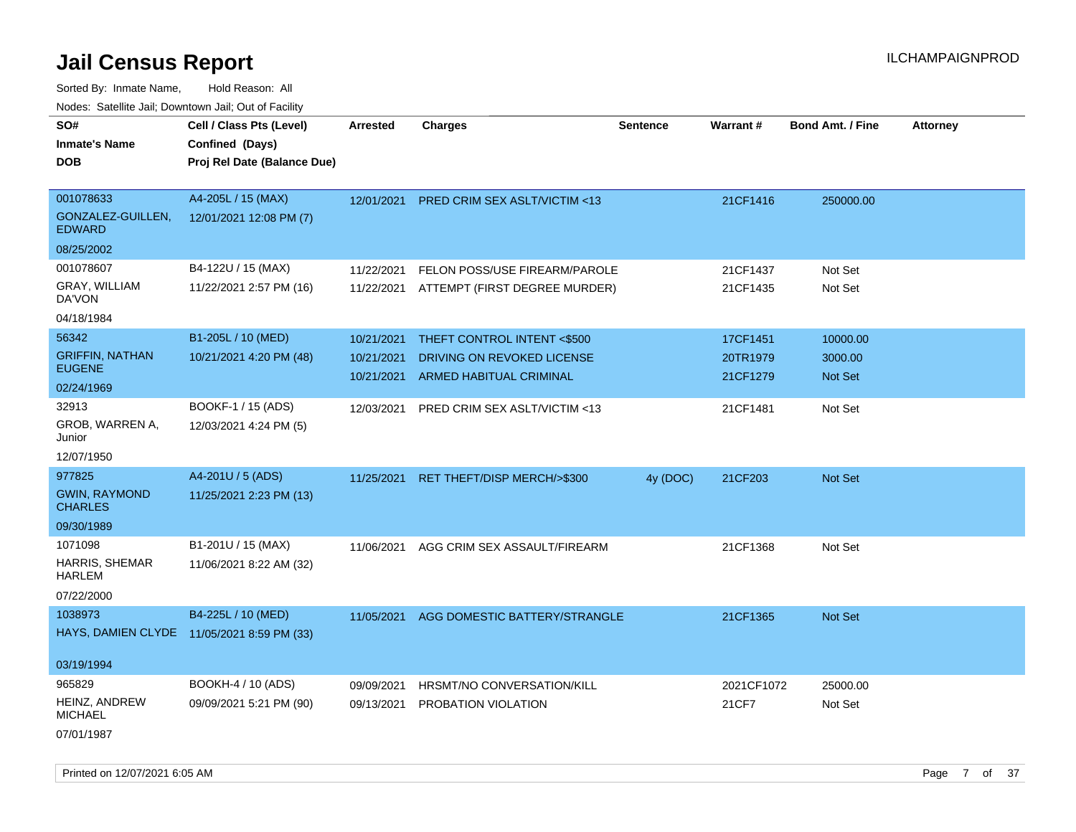Sorted By: Inmate Name, Hold Reason: All Nodes: Satellite Jail; Downtown Jail; Out of Facility

| roacs. Catellite Jall, Downtown Jall, Out of Facility |                                                                            |                 |                                          |                 |            |                         |                 |
|-------------------------------------------------------|----------------------------------------------------------------------------|-----------------|------------------------------------------|-----------------|------------|-------------------------|-----------------|
| SO#<br><b>Inmate's Name</b><br><b>DOB</b>             | Cell / Class Pts (Level)<br>Confined (Days)<br>Proj Rel Date (Balance Due) | <b>Arrested</b> | <b>Charges</b>                           | <b>Sentence</b> | Warrant#   | <b>Bond Amt. / Fine</b> | <b>Attorney</b> |
| 001078633<br>GONZALEZ-GUILLEN,<br><b>EDWARD</b>       | A4-205L / 15 (MAX)<br>12/01/2021 12:08 PM (7)                              |                 | 12/01/2021 PRED CRIM SEX ASLT/VICTIM <13 |                 | 21CF1416   | 250000.00               |                 |
| 08/25/2002                                            |                                                                            |                 |                                          |                 |            |                         |                 |
| 001078607                                             | B4-122U / 15 (MAX)                                                         | 11/22/2021      | FELON POSS/USE FIREARM/PAROLE            |                 | 21CF1437   | Not Set                 |                 |
| GRAY, WILLIAM<br>DA'VON                               | 11/22/2021 2:57 PM (16)                                                    |                 | 11/22/2021 ATTEMPT (FIRST DEGREE MURDER) |                 | 21CF1435   | Not Set                 |                 |
| 04/18/1984                                            |                                                                            |                 |                                          |                 |            |                         |                 |
| 56342                                                 | B1-205L / 10 (MED)                                                         | 10/21/2021      | THEFT CONTROL INTENT <\$500              |                 | 17CF1451   | 10000.00                |                 |
| <b>GRIFFIN, NATHAN</b>                                | 10/21/2021 4:20 PM (48)                                                    | 10/21/2021      | DRIVING ON REVOKED LICENSE               |                 | 20TR1979   | 3000.00                 |                 |
| <b>EUGENE</b>                                         |                                                                            | 10/21/2021      | ARMED HABITUAL CRIMINAL                  |                 | 21CF1279   | <b>Not Set</b>          |                 |
| 02/24/1969                                            |                                                                            |                 |                                          |                 |            |                         |                 |
| 32913<br>GROB, WARREN A,<br>Junior                    | BOOKF-1 / 15 (ADS)<br>12/03/2021 4:24 PM (5)                               | 12/03/2021      | PRED CRIM SEX ASLT/VICTIM <13            |                 | 21CF1481   | Not Set                 |                 |
| 12/07/1950                                            |                                                                            |                 |                                          |                 |            |                         |                 |
| 977825                                                | A4-201U / 5 (ADS)                                                          | 11/25/2021      | RET THEFT/DISP MERCH/>\$300              | 4y (DOC)        | 21CF203    | Not Set                 |                 |
| <b>GWIN, RAYMOND</b><br><b>CHARLES</b>                | 11/25/2021 2:23 PM (13)                                                    |                 |                                          |                 |            |                         |                 |
| 09/30/1989                                            |                                                                            |                 |                                          |                 |            |                         |                 |
| 1071098                                               | B1-201U / 15 (MAX)                                                         | 11/06/2021      | AGG CRIM SEX ASSAULT/FIREARM             |                 | 21CF1368   | Not Set                 |                 |
| <b>HARRIS, SHEMAR</b><br><b>HARLEM</b>                | 11/06/2021 8:22 AM (32)                                                    |                 |                                          |                 |            |                         |                 |
| 07/22/2000                                            |                                                                            |                 |                                          |                 |            |                         |                 |
| 1038973                                               | B4-225L / 10 (MED)                                                         | 11/05/2021      | AGG DOMESTIC BATTERY/STRANGLE            |                 | 21CF1365   | Not Set                 |                 |
|                                                       | HAYS, DAMIEN CLYDE 11/05/2021 8:59 PM (33)                                 |                 |                                          |                 |            |                         |                 |
| 03/19/1994                                            |                                                                            |                 |                                          |                 |            |                         |                 |
| 965829                                                | BOOKH-4 / 10 (ADS)                                                         | 09/09/2021      | HRSMT/NO CONVERSATION/KILL               |                 | 2021CF1072 | 25000.00                |                 |
| <b>HEINZ, ANDREW</b><br><b>MICHAEL</b>                | 09/09/2021 5:21 PM (90)                                                    | 09/13/2021      | PROBATION VIOLATION                      |                 | 21CF7      | Not Set                 |                 |
| 07/01/1987                                            |                                                                            |                 |                                          |                 |            |                         |                 |

Printed on 12/07/2021 6:05 AM **Page 7** of 37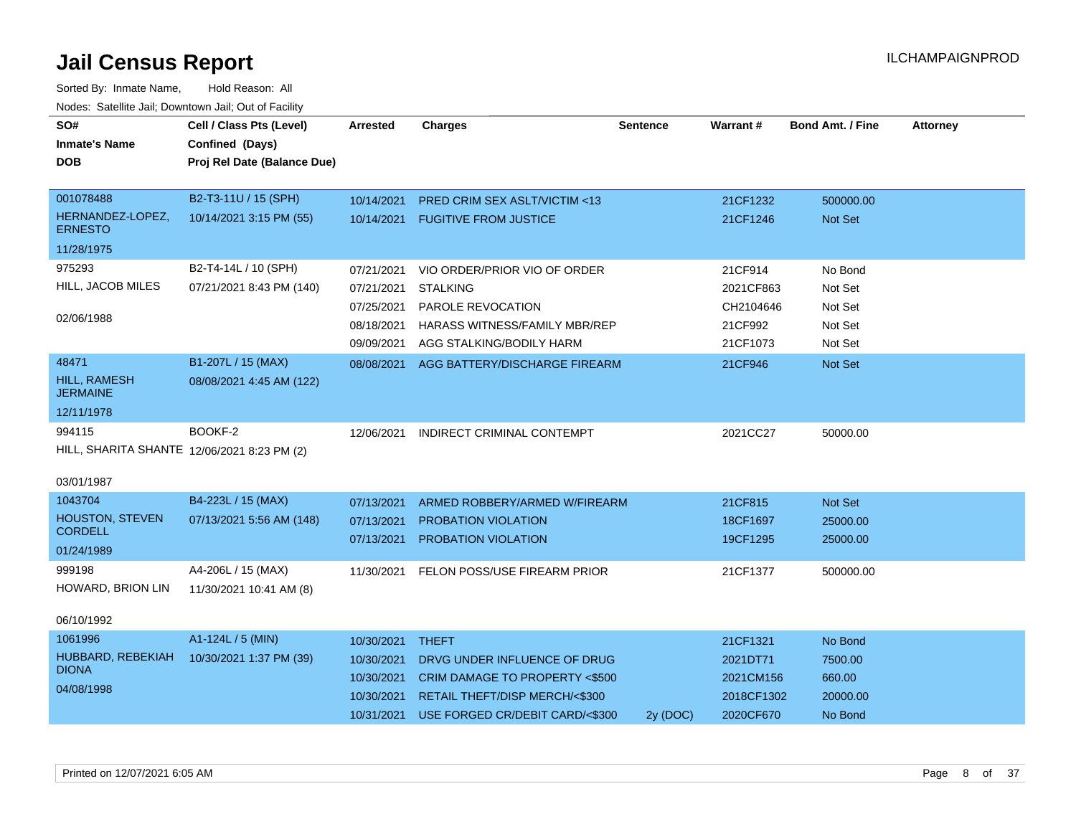| SO#                                         | Cell / Class Pts (Level)                       | <b>Arrested</b> | <b>Charges</b>                           | <b>Sentence</b> | Warrant#   | <b>Bond Amt. / Fine</b> | <b>Attorney</b> |
|---------------------------------------------|------------------------------------------------|-----------------|------------------------------------------|-----------------|------------|-------------------------|-----------------|
| <b>Inmate's Name</b><br><b>DOB</b>          | Confined (Days)<br>Proj Rel Date (Balance Due) |                 |                                          |                 |            |                         |                 |
|                                             |                                                |                 |                                          |                 |            |                         |                 |
| 001078488                                   | B2-T3-11U / 15 (SPH)                           | 10/14/2021      | PRED CRIM SEX ASLT/VICTIM <13            |                 | 21CF1232   | 500000.00               |                 |
| HERNANDEZ-LOPEZ,<br><b>ERNESTO</b>          | 10/14/2021 3:15 PM (55)                        |                 | 10/14/2021 FUGITIVE FROM JUSTICE         |                 | 21CF1246   | <b>Not Set</b>          |                 |
| 11/28/1975                                  |                                                |                 |                                          |                 |            |                         |                 |
| 975293                                      | B2-T4-14L / 10 (SPH)                           | 07/21/2021      | VIO ORDER/PRIOR VIO OF ORDER             |                 | 21CF914    | No Bond                 |                 |
| HILL, JACOB MILES                           | 07/21/2021 8:43 PM (140)                       | 07/21/2021      | <b>STALKING</b>                          |                 | 2021CF863  | Not Set                 |                 |
|                                             |                                                | 07/25/2021      | PAROLE REVOCATION                        |                 | CH2104646  | Not Set                 |                 |
| 02/06/1988                                  |                                                | 08/18/2021      | <b>HARASS WITNESS/FAMILY MBR/REP</b>     |                 | 21CF992    | Not Set                 |                 |
|                                             |                                                | 09/09/2021      | AGG STALKING/BODILY HARM                 |                 | 21CF1073   | Not Set                 |                 |
| 48471                                       | B1-207L / 15 (MAX)                             |                 | 08/08/2021 AGG BATTERY/DISCHARGE FIREARM |                 | 21CF946    | Not Set                 |                 |
| <b>HILL, RAMESH</b><br><b>JERMAINE</b>      | 08/08/2021 4:45 AM (122)                       |                 |                                          |                 |            |                         |                 |
| 12/11/1978                                  |                                                |                 |                                          |                 |            |                         |                 |
| 994115                                      | BOOKF-2                                        | 12/06/2021      | <b>INDIRECT CRIMINAL CONTEMPT</b>        |                 | 2021CC27   | 50000.00                |                 |
| HILL, SHARITA SHANTE 12/06/2021 8:23 PM (2) |                                                |                 |                                          |                 |            |                         |                 |
| 03/01/1987                                  |                                                |                 |                                          |                 |            |                         |                 |
| 1043704                                     | B4-223L / 15 (MAX)                             | 07/13/2021      | ARMED ROBBERY/ARMED W/FIREARM            |                 | 21CF815    | Not Set                 |                 |
| <b>HOUSTON, STEVEN</b>                      | 07/13/2021 5:56 AM (148)                       | 07/13/2021      | <b>PROBATION VIOLATION</b>               |                 | 18CF1697   | 25000.00                |                 |
| <b>CORDELL</b>                              |                                                | 07/13/2021      | PROBATION VIOLATION                      |                 | 19CF1295   | 25000.00                |                 |
| 01/24/1989                                  |                                                |                 |                                          |                 |            |                         |                 |
| 999198                                      | A4-206L / 15 (MAX)                             | 11/30/2021      | FELON POSS/USE FIREARM PRIOR             |                 | 21CF1377   | 500000.00               |                 |
| HOWARD, BRION LIN                           | 11/30/2021 10:41 AM (8)                        |                 |                                          |                 |            |                         |                 |
| 06/10/1992                                  |                                                |                 |                                          |                 |            |                         |                 |
| 1061996                                     | A1-124L / 5 (MIN)                              | 10/30/2021      | <b>THEFT</b>                             |                 | 21CF1321   | No Bond                 |                 |
| HUBBARD, REBEKIAH                           | 10/30/2021 1:37 PM (39)                        | 10/30/2021      | DRVG UNDER INFLUENCE OF DRUG             |                 | 2021DT71   | 7500.00                 |                 |
| <b>DIONA</b>                                |                                                | 10/30/2021      | CRIM DAMAGE TO PROPERTY <\$500           |                 | 2021CM156  | 660.00                  |                 |
| 04/08/1998                                  |                                                | 10/30/2021      | RETAIL THEFT/DISP MERCH/<\$300           |                 | 2018CF1302 | 20000.00                |                 |
|                                             |                                                | 10/31/2021      | USE FORGED CR/DEBIT CARD/<\$300          | 2y (DOC)        | 2020CF670  | No Bond                 |                 |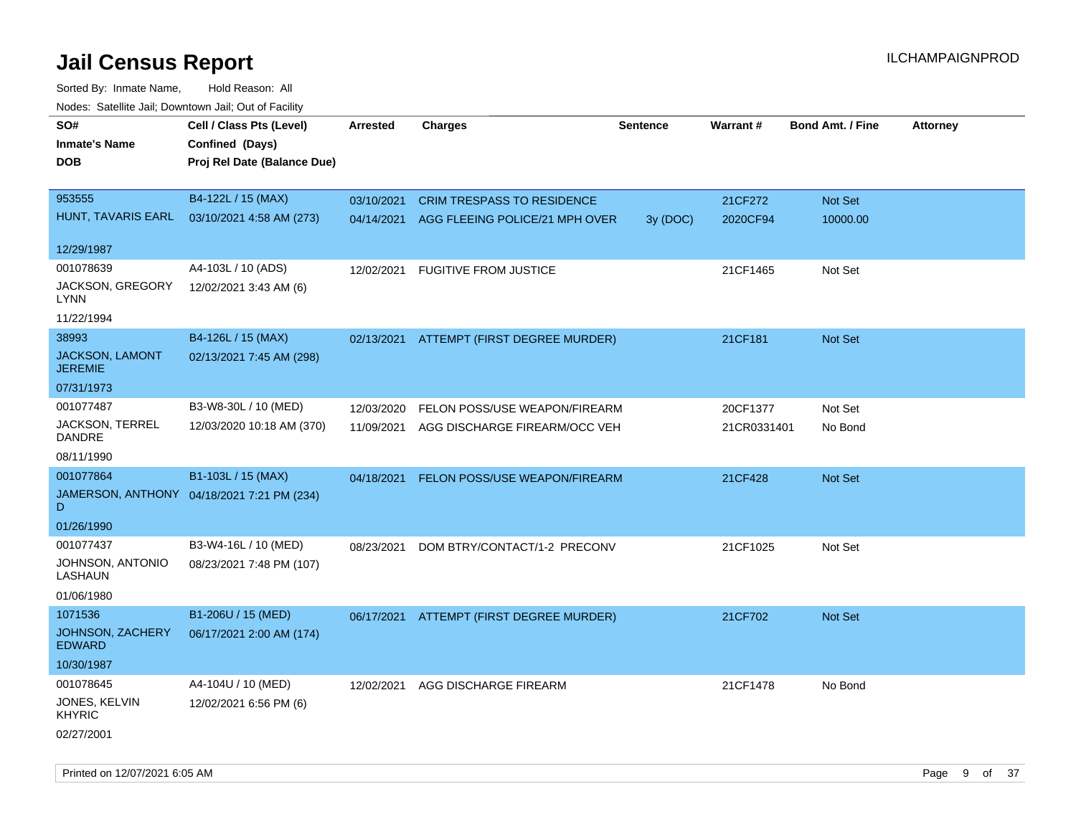| roaco. Catolino dall, Downtown dall, Out of Fability |                                            |                 |                                           |                 |             |                         |                 |
|------------------------------------------------------|--------------------------------------------|-----------------|-------------------------------------------|-----------------|-------------|-------------------------|-----------------|
| SO#                                                  | Cell / Class Pts (Level)                   | <b>Arrested</b> | <b>Charges</b>                            | <b>Sentence</b> | Warrant#    | <b>Bond Amt. / Fine</b> | <b>Attorney</b> |
| <b>Inmate's Name</b>                                 | Confined (Days)                            |                 |                                           |                 |             |                         |                 |
| <b>DOB</b>                                           | Proj Rel Date (Balance Due)                |                 |                                           |                 |             |                         |                 |
|                                                      |                                            |                 |                                           |                 |             |                         |                 |
| 953555                                               | B4-122L / 15 (MAX)                         | 03/10/2021      | <b>CRIM TRESPASS TO RESIDENCE</b>         |                 | 21CF272     | Not Set                 |                 |
| HUNT, TAVARIS EARL                                   | 03/10/2021 4:58 AM (273)                   |                 | 04/14/2021 AGG FLEEING POLICE/21 MPH OVER | 3y (DOC)        | 2020CF94    | 10000.00                |                 |
|                                                      |                                            |                 |                                           |                 |             |                         |                 |
| 12/29/1987                                           |                                            |                 |                                           |                 |             |                         |                 |
| 001078639                                            | A4-103L / 10 (ADS)                         | 12/02/2021      | <b>FUGITIVE FROM JUSTICE</b>              |                 | 21CF1465    | Not Set                 |                 |
| JACKSON, GREGORY<br>LYNN                             | 12/02/2021 3:43 AM (6)                     |                 |                                           |                 |             |                         |                 |
| 11/22/1994                                           |                                            |                 |                                           |                 |             |                         |                 |
| 38993                                                | B4-126L / 15 (MAX)                         |                 | 02/13/2021 ATTEMPT (FIRST DEGREE MURDER)  |                 | 21CF181     | Not Set                 |                 |
| JACKSON, LAMONT                                      | 02/13/2021 7:45 AM (298)                   |                 |                                           |                 |             |                         |                 |
| <b>JEREMIE</b>                                       |                                            |                 |                                           |                 |             |                         |                 |
| 07/31/1973                                           |                                            |                 |                                           |                 |             |                         |                 |
| 001077487                                            | B3-W8-30L / 10 (MED)                       | 12/03/2020      | FELON POSS/USE WEAPON/FIREARM             |                 | 20CF1377    | Not Set                 |                 |
| JACKSON, TERREL                                      | 12/03/2020 10:18 AM (370)                  | 11/09/2021      | AGG DISCHARGE FIREARM/OCC VEH             |                 | 21CR0331401 | No Bond                 |                 |
| <b>DANDRE</b>                                        |                                            |                 |                                           |                 |             |                         |                 |
| 08/11/1990                                           |                                            |                 |                                           |                 |             |                         |                 |
| 001077864                                            | B1-103L / 15 (MAX)                         | 04/18/2021      | FELON POSS/USE WEAPON/FIREARM             |                 | 21CF428     | Not Set                 |                 |
| D                                                    | JAMERSON, ANTHONY 04/18/2021 7:21 PM (234) |                 |                                           |                 |             |                         |                 |
| 01/26/1990                                           |                                            |                 |                                           |                 |             |                         |                 |
| 001077437                                            | B3-W4-16L / 10 (MED)                       | 08/23/2021      | DOM BTRY/CONTACT/1-2 PRECONV              |                 | 21CF1025    | Not Set                 |                 |
| JOHNSON, ANTONIO<br>LASHAUN                          | 08/23/2021 7:48 PM (107)                   |                 |                                           |                 |             |                         |                 |
| 01/06/1980                                           |                                            |                 |                                           |                 |             |                         |                 |
| 1071536                                              | B1-206U / 15 (MED)                         |                 | 06/17/2021 ATTEMPT (FIRST DEGREE MURDER)  |                 | 21CF702     | Not Set                 |                 |
| JOHNSON, ZACHERY<br><b>EDWARD</b>                    | 06/17/2021 2:00 AM (174)                   |                 |                                           |                 |             |                         |                 |
| 10/30/1987                                           |                                            |                 |                                           |                 |             |                         |                 |
| 001078645                                            | A4-104U / 10 (MED)                         | 12/02/2021      | AGG DISCHARGE FIREARM                     |                 | 21CF1478    | No Bond                 |                 |
| JONES, KELVIN                                        | 12/02/2021 6:56 PM (6)                     |                 |                                           |                 |             |                         |                 |
| <b>KHYRIC</b>                                        |                                            |                 |                                           |                 |             |                         |                 |
| 02/27/2001                                           |                                            |                 |                                           |                 |             |                         |                 |
|                                                      |                                            |                 |                                           |                 |             |                         |                 |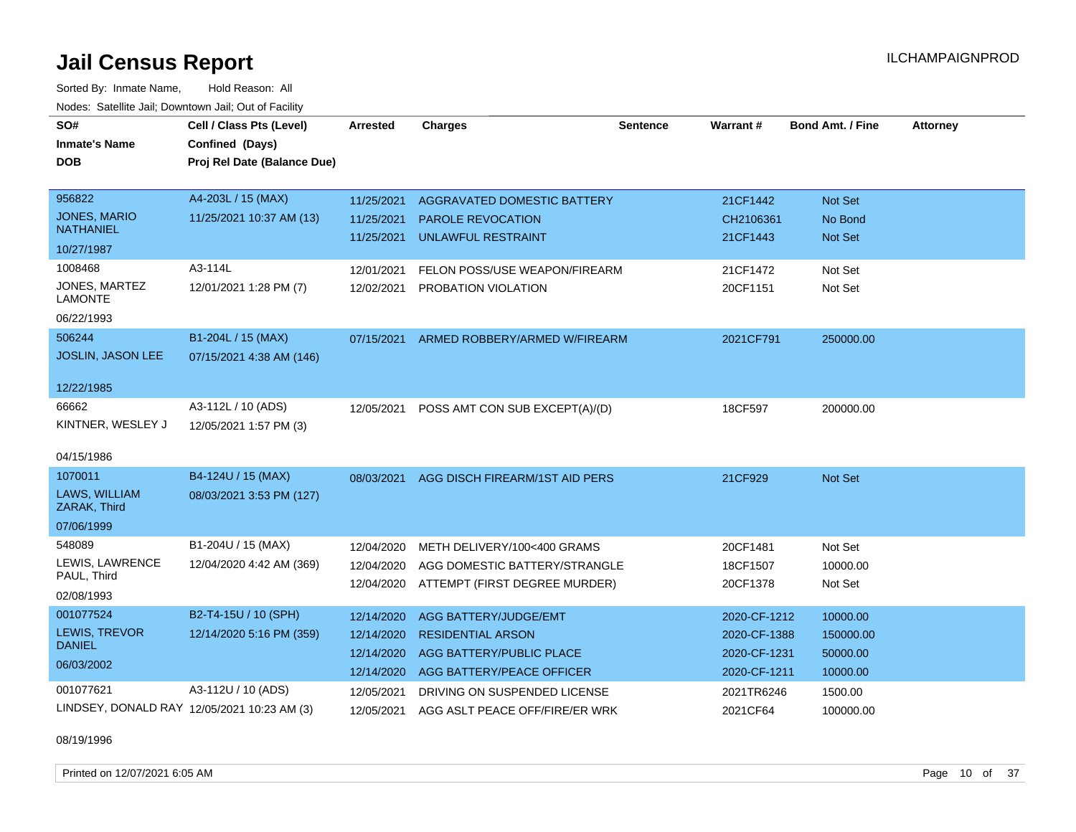Sorted By: Inmate Name, Hold Reason: All Nodes: Satellite Jail; Downtown Jail; Out of Facility

| SO#                                         | Cell / Class Pts (Level)    | <b>Arrested</b> | <b>Charges</b>                            | <b>Sentence</b> | Warrant#     | <b>Bond Amt. / Fine</b> | <b>Attorney</b> |
|---------------------------------------------|-----------------------------|-----------------|-------------------------------------------|-----------------|--------------|-------------------------|-----------------|
| <b>Inmate's Name</b>                        | Confined (Days)             |                 |                                           |                 |              |                         |                 |
| <b>DOB</b>                                  | Proj Rel Date (Balance Due) |                 |                                           |                 |              |                         |                 |
|                                             |                             |                 |                                           |                 |              |                         |                 |
| 956822                                      | A4-203L / 15 (MAX)          | 11/25/2021      | <b>AGGRAVATED DOMESTIC BATTERY</b>        |                 | 21CF1442     | Not Set                 |                 |
| <b>JONES, MARIO</b><br><b>NATHANIEL</b>     | 11/25/2021 10:37 AM (13)    | 11/25/2021      | <b>PAROLE REVOCATION</b>                  |                 | CH2106361    | No Bond                 |                 |
| 10/27/1987                                  |                             | 11/25/2021      | <b>UNLAWFUL RESTRAINT</b>                 |                 | 21CF1443     | <b>Not Set</b>          |                 |
| 1008468                                     | A3-114L                     | 12/01/2021      | FELON POSS/USE WEAPON/FIREARM             |                 | 21CF1472     | Not Set                 |                 |
| JONES, MARTEZ                               | 12/01/2021 1:28 PM (7)      | 12/02/2021      | PROBATION VIOLATION                       |                 | 20CF1151     | Not Set                 |                 |
| <b>LAMONTE</b>                              |                             |                 |                                           |                 |              |                         |                 |
| 06/22/1993                                  |                             |                 |                                           |                 |              |                         |                 |
| 506244                                      | B1-204L / 15 (MAX)          | 07/15/2021      | ARMED ROBBERY/ARMED W/FIREARM             |                 | 2021CF791    | 250000.00               |                 |
| <b>JOSLIN, JASON LEE</b>                    | 07/15/2021 4:38 AM (146)    |                 |                                           |                 |              |                         |                 |
|                                             |                             |                 |                                           |                 |              |                         |                 |
| 12/22/1985                                  |                             |                 |                                           |                 |              |                         |                 |
| 66662                                       | A3-112L / 10 (ADS)          | 12/05/2021      | POSS AMT CON SUB EXCEPT(A)/(D)            |                 | 18CF597      | 200000.00               |                 |
| KINTNER, WESLEY J                           | 12/05/2021 1:57 PM (3)      |                 |                                           |                 |              |                         |                 |
|                                             |                             |                 |                                           |                 |              |                         |                 |
| 04/15/1986                                  |                             |                 |                                           |                 |              |                         |                 |
| 1070011                                     | B4-124U / 15 (MAX)          |                 | 08/03/2021 AGG DISCH FIREARM/1ST AID PERS |                 | 21CF929      | Not Set                 |                 |
| LAWS, WILLIAM<br>ZARAK, Third               | 08/03/2021 3:53 PM (127)    |                 |                                           |                 |              |                         |                 |
| 07/06/1999                                  |                             |                 |                                           |                 |              |                         |                 |
| 548089                                      | B1-204U / 15 (MAX)          |                 | METH DELIVERY/100<400 GRAMS               |                 | 20CF1481     | Not Set                 |                 |
| LEWIS, LAWRENCE                             | 12/04/2020 4:42 AM (369)    | 12/04/2020      |                                           |                 |              |                         |                 |
| PAUL, Third                                 |                             | 12/04/2020      | AGG DOMESTIC BATTERY/STRANGLE             |                 | 18CF1507     | 10000.00                |                 |
| 02/08/1993                                  |                             |                 | 12/04/2020 ATTEMPT (FIRST DEGREE MURDER)  |                 | 20CF1378     | Not Set                 |                 |
| 001077524                                   | B2-T4-15U / 10 (SPH)        | 12/14/2020      | AGG BATTERY/JUDGE/EMT                     |                 | 2020-CF-1212 | 10000.00                |                 |
| <b>LEWIS, TREVOR</b>                        | 12/14/2020 5:16 PM (359)    | 12/14/2020      | <b>RESIDENTIAL ARSON</b>                  |                 | 2020-CF-1388 | 150000.00               |                 |
| <b>DANIEL</b>                               |                             | 12/14/2020      | AGG BATTERY/PUBLIC PLACE                  |                 | 2020-CF-1231 | 50000.00                |                 |
| 06/03/2002                                  |                             | 12/14/2020      | AGG BATTERY/PEACE OFFICER                 |                 | 2020-CF-1211 | 10000.00                |                 |
| 001077621                                   | A3-112U / 10 (ADS)          | 12/05/2021      | DRIVING ON SUSPENDED LICENSE              |                 | 2021TR6246   | 1500.00                 |                 |
| LINDSEY, DONALD RAY 12/05/2021 10:23 AM (3) |                             | 12/05/2021      | AGG ASLT PEACE OFF/FIRE/ER WRK            |                 | 2021CF64     | 100000.00               |                 |

08/19/1996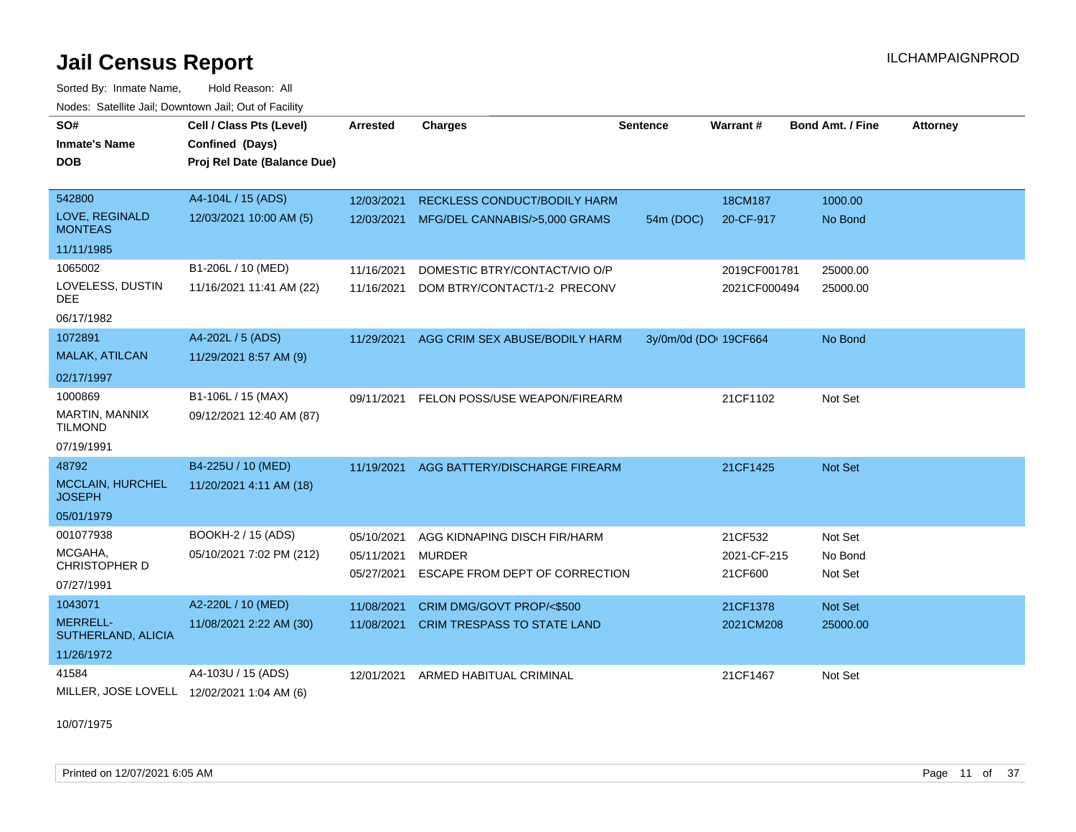Sorted By: Inmate Name, Hold Reason: All Nodes: Satellite Jail; Downtown Jail; Out of Facility

| SO#                                   | Cell / Class Pts (Level)                   | Arrested   | <b>Charges</b>                      | <b>Sentence</b>       | Warrant#     | <b>Bond Amt. / Fine</b> | <b>Attorney</b> |
|---------------------------------------|--------------------------------------------|------------|-------------------------------------|-----------------------|--------------|-------------------------|-----------------|
| <b>Inmate's Name</b>                  | Confined (Days)                            |            |                                     |                       |              |                         |                 |
| <b>DOB</b>                            | Proj Rel Date (Balance Due)                |            |                                     |                       |              |                         |                 |
|                                       |                                            |            |                                     |                       |              |                         |                 |
| 542800                                | A4-104L / 15 (ADS)                         | 12/03/2021 | <b>RECKLESS CONDUCT/BODILY HARM</b> |                       | 18CM187      | 1000.00                 |                 |
| LOVE, REGINALD<br><b>MONTEAS</b>      | 12/03/2021 10:00 AM (5)                    | 12/03/2021 | MFG/DEL CANNABIS/>5,000 GRAMS       | 54m (DOC)             | 20-CF-917    | No Bond                 |                 |
| 11/11/1985                            |                                            |            |                                     |                       |              |                         |                 |
| 1065002                               | B1-206L / 10 (MED)                         | 11/16/2021 | DOMESTIC BTRY/CONTACT/VIO O/P       |                       | 2019CF001781 | 25000.00                |                 |
| LOVELESS, DUSTIN<br><b>DEE</b>        | 11/16/2021 11:41 AM (22)                   | 11/16/2021 | DOM BTRY/CONTACT/1-2 PRECONV        |                       | 2021CF000494 | 25000.00                |                 |
| 06/17/1982                            |                                            |            |                                     |                       |              |                         |                 |
| 1072891                               | A4-202L / 5 (ADS)                          | 11/29/2021 | AGG CRIM SEX ABUSE/BODILY HARM      | 3y/0m/0d (DOI 19CF664 |              | No Bond                 |                 |
| MALAK, ATILCAN                        | 11/29/2021 8:57 AM (9)                     |            |                                     |                       |              |                         |                 |
| 02/17/1997                            |                                            |            |                                     |                       |              |                         |                 |
| 1000869                               | B1-106L / 15 (MAX)                         | 09/11/2021 | FELON POSS/USE WEAPON/FIREARM       |                       | 21CF1102     | Not Set                 |                 |
| MARTIN, MANNIX<br><b>TILMOND</b>      | 09/12/2021 12:40 AM (87)                   |            |                                     |                       |              |                         |                 |
| 07/19/1991                            |                                            |            |                                     |                       |              |                         |                 |
| 48792                                 | B4-225U / 10 (MED)                         | 11/19/2021 | AGG BATTERY/DISCHARGE FIREARM       |                       | 21CF1425     | Not Set                 |                 |
| MCCLAIN, HURCHEL<br><b>JOSEPH</b>     | 11/20/2021 4:11 AM (18)                    |            |                                     |                       |              |                         |                 |
| 05/01/1979                            |                                            |            |                                     |                       |              |                         |                 |
| 001077938                             | BOOKH-2 / 15 (ADS)                         | 05/10/2021 | AGG KIDNAPING DISCH FIR/HARM        |                       | 21CF532      | Not Set                 |                 |
| MCGAHA,                               | 05/10/2021 7:02 PM (212)                   | 05/11/2021 | <b>MURDER</b>                       |                       | 2021-CF-215  | No Bond                 |                 |
| CHRISTOPHER D                         |                                            | 05/27/2021 | ESCAPE FROM DEPT OF CORRECTION      |                       | 21CF600      | Not Set                 |                 |
| 07/27/1991                            |                                            |            |                                     |                       |              |                         |                 |
| 1043071                               | A2-220L / 10 (MED)                         | 11/08/2021 | CRIM DMG/GOVT PROP/<\$500           |                       | 21CF1378     | Not Set                 |                 |
| <b>MERRELL-</b><br>SUTHERLAND, ALICIA | 11/08/2021 2:22 AM (30)                    | 11/08/2021 | <b>CRIM TRESPASS TO STATE LAND</b>  |                       | 2021CM208    | 25000.00                |                 |
| 11/26/1972                            |                                            |            |                                     |                       |              |                         |                 |
| 41584                                 | A4-103U / 15 (ADS)                         | 12/01/2021 | ARMED HABITUAL CRIMINAL             |                       | 21CF1467     | Not Set                 |                 |
|                                       | MILLER, JOSE LOVELL 12/02/2021 1:04 AM (6) |            |                                     |                       |              |                         |                 |

10/07/1975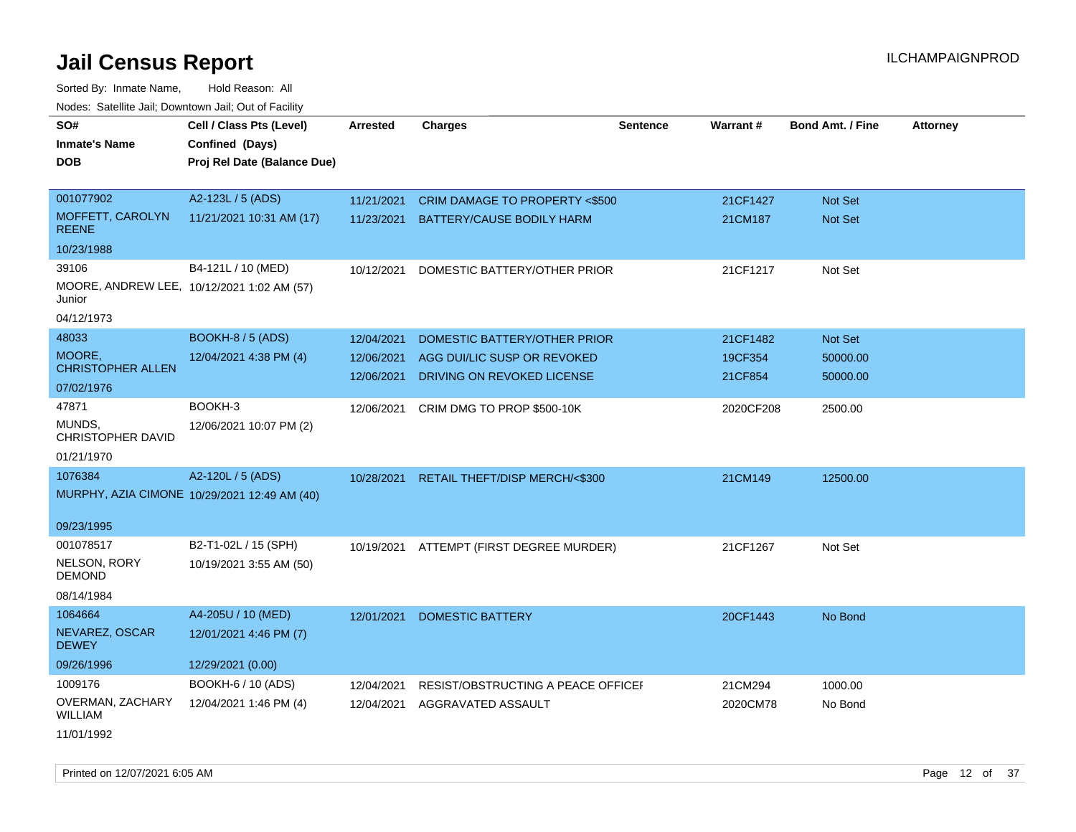Sorted By: Inmate Name, Hold Reason: All Nodes: Satellite Jail; Downtown Jail; Out of Facility

| roacs. Catellite Jall, Downtown Jall, Out of Facility |                                                                            |                 |                                          |                 |           |                         |                 |
|-------------------------------------------------------|----------------------------------------------------------------------------|-----------------|------------------------------------------|-----------------|-----------|-------------------------|-----------------|
| SO#<br><b>Inmate's Name</b><br><b>DOB</b>             | Cell / Class Pts (Level)<br>Confined (Days)<br>Proj Rel Date (Balance Due) | <b>Arrested</b> | <b>Charges</b>                           | <b>Sentence</b> | Warrant#  | <b>Bond Amt. / Fine</b> | <b>Attorney</b> |
| 001077902                                             | A2-123L / 5 (ADS)                                                          | 11/21/2021      | CRIM DAMAGE TO PROPERTY <\$500           |                 | 21CF1427  | Not Set                 |                 |
| MOFFETT, CAROLYN<br><b>REENE</b>                      | 11/21/2021 10:31 AM (17)                                                   | 11/23/2021      | BATTERY/CAUSE BODILY HARM                |                 | 21CM187   | <b>Not Set</b>          |                 |
| 10/23/1988                                            |                                                                            |                 |                                          |                 |           |                         |                 |
| 39106                                                 | B4-121L / 10 (MED)                                                         | 10/12/2021      | DOMESTIC BATTERY/OTHER PRIOR             |                 | 21CF1217  | Not Set                 |                 |
| Junior                                                | MOORE, ANDREW LEE, 10/12/2021 1:02 AM (57)                                 |                 |                                          |                 |           |                         |                 |
| 04/12/1973                                            |                                                                            |                 |                                          |                 |           |                         |                 |
| 48033                                                 | BOOKH-8 / 5 (ADS)                                                          | 12/04/2021      | DOMESTIC BATTERY/OTHER PRIOR             |                 | 21CF1482  | Not Set                 |                 |
| MOORE,                                                | 12/04/2021 4:38 PM (4)                                                     | 12/06/2021      | AGG DUI/LIC SUSP OR REVOKED              |                 | 19CF354   | 50000.00                |                 |
| <b>CHRISTOPHER ALLEN</b>                              |                                                                            | 12/06/2021      | DRIVING ON REVOKED LICENSE               |                 | 21CF854   | 50000.00                |                 |
| 07/02/1976                                            |                                                                            |                 |                                          |                 |           |                         |                 |
| 47871                                                 | BOOKH-3                                                                    | 12/06/2021      | CRIM DMG TO PROP \$500-10K               |                 | 2020CF208 | 2500.00                 |                 |
| MUNDS,<br><b>CHRISTOPHER DAVID</b>                    | 12/06/2021 10:07 PM (2)                                                    |                 |                                          |                 |           |                         |                 |
| 01/21/1970                                            |                                                                            |                 |                                          |                 |           |                         |                 |
| 1076384                                               | A2-120L / 5 (ADS)                                                          | 10/28/2021      | RETAIL THEFT/DISP MERCH/<\$300           |                 | 21CM149   | 12500.00                |                 |
|                                                       | MURPHY, AZIA CIMONE 10/29/2021 12:49 AM (40)                               |                 |                                          |                 |           |                         |                 |
| 09/23/1995                                            |                                                                            |                 |                                          |                 |           |                         |                 |
| 001078517                                             | B2-T1-02L / 15 (SPH)                                                       |                 | 10/19/2021 ATTEMPT (FIRST DEGREE MURDER) |                 | 21CF1267  | Not Set                 |                 |
| NELSON, RORY<br><b>DEMOND</b>                         | 10/19/2021 3:55 AM (50)                                                    |                 |                                          |                 |           |                         |                 |
| 08/14/1984                                            |                                                                            |                 |                                          |                 |           |                         |                 |
| 1064664                                               | A4-205U / 10 (MED)                                                         | 12/01/2021      | <b>DOMESTIC BATTERY</b>                  |                 | 20CF1443  | No Bond                 |                 |
| NEVAREZ, OSCAR<br><b>DEWEY</b>                        | 12/01/2021 4:46 PM (7)                                                     |                 |                                          |                 |           |                         |                 |
| 09/26/1996                                            | 12/29/2021 (0.00)                                                          |                 |                                          |                 |           |                         |                 |
| 1009176                                               | BOOKH-6 / 10 (ADS)                                                         | 12/04/2021      | RESIST/OBSTRUCTING A PEACE OFFICEF       |                 | 21CM294   | 1000.00                 |                 |
| OVERMAN, ZACHARY<br><b>WILLIAM</b>                    | 12/04/2021 1:46 PM (4)                                                     | 12/04/2021      | AGGRAVATED ASSAULT                       |                 | 2020CM78  | No Bond                 |                 |
| 11/01/1992                                            |                                                                            |                 |                                          |                 |           |                         |                 |

Printed on 12/07/2021 6:05 AM **Page 12** of 37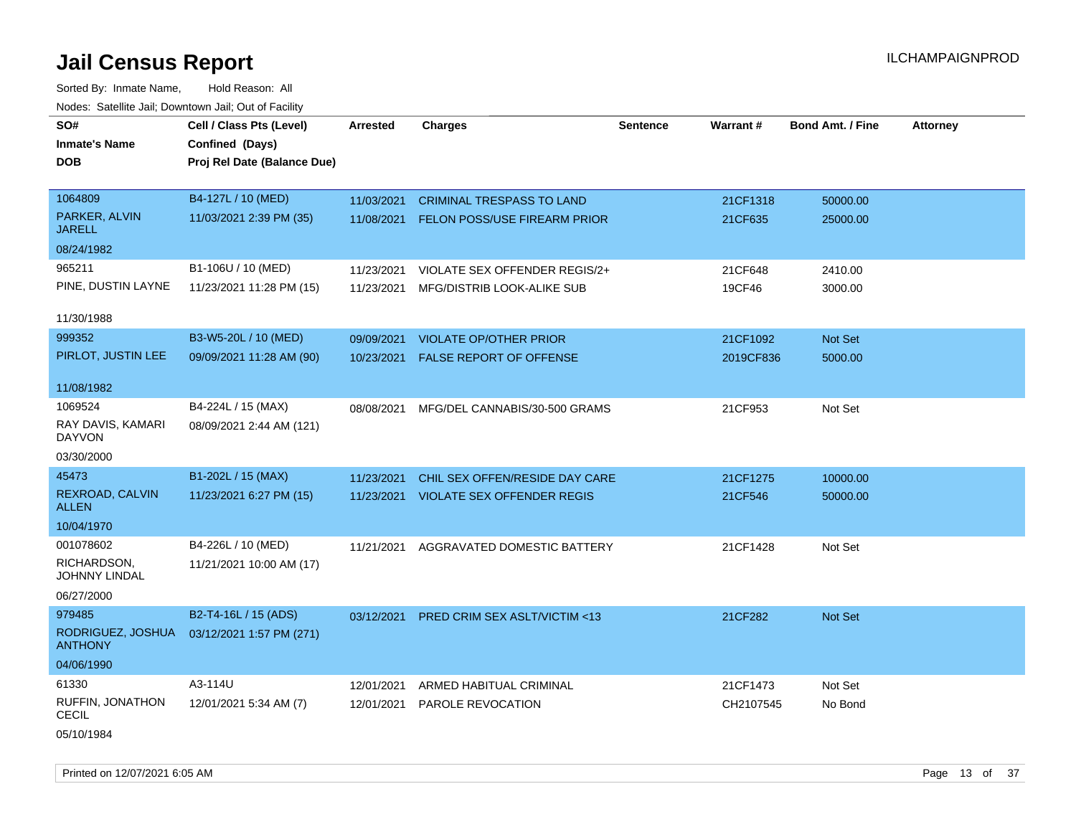Sorted By: Inmate Name, Hold Reason: All Nodes: Satellite Jail; Downtown Jail; Out of Facility

| SO#                                 | Cell / Class Pts (Level)    | <b>Arrested</b> | <b>Charges</b>                      | <b>Sentence</b> | Warrant#  | <b>Bond Amt. / Fine</b> | <b>Attorney</b> |
|-------------------------------------|-----------------------------|-----------------|-------------------------------------|-----------------|-----------|-------------------------|-----------------|
| <b>Inmate's Name</b>                | Confined (Days)             |                 |                                     |                 |           |                         |                 |
| <b>DOB</b>                          | Proj Rel Date (Balance Due) |                 |                                     |                 |           |                         |                 |
|                                     |                             |                 |                                     |                 |           |                         |                 |
| 1064809                             | B4-127L / 10 (MED)          | 11/03/2021      | <b>CRIMINAL TRESPASS TO LAND</b>    |                 | 21CF1318  | 50000.00                |                 |
| PARKER, ALVIN<br><b>JARELL</b>      | 11/03/2021 2:39 PM (35)     | 11/08/2021      | <b>FELON POSS/USE FIREARM PRIOR</b> |                 | 21CF635   | 25000.00                |                 |
| 08/24/1982                          |                             |                 |                                     |                 |           |                         |                 |
| 965211                              | B1-106U / 10 (MED)          | 11/23/2021      | VIOLATE SEX OFFENDER REGIS/2+       |                 | 21CF648   | 2410.00                 |                 |
| PINE, DUSTIN LAYNE                  | 11/23/2021 11:28 PM (15)    | 11/23/2021      | MFG/DISTRIB LOOK-ALIKE SUB          |                 | 19CF46    | 3000.00                 |                 |
|                                     |                             |                 |                                     |                 |           |                         |                 |
| 11/30/1988                          |                             |                 |                                     |                 |           |                         |                 |
| 999352                              | B3-W5-20L / 10 (MED)        | 09/09/2021      | <b>VIOLATE OP/OTHER PRIOR</b>       |                 | 21CF1092  | Not Set                 |                 |
| PIRLOT, JUSTIN LEE                  | 09/09/2021 11:28 AM (90)    | 10/23/2021      | FALSE REPORT OF OFFENSE             |                 | 2019CF836 | 5000.00                 |                 |
|                                     |                             |                 |                                     |                 |           |                         |                 |
| 11/08/1982                          |                             |                 |                                     |                 |           |                         |                 |
| 1069524                             | B4-224L / 15 (MAX)          | 08/08/2021      | MFG/DEL CANNABIS/30-500 GRAMS       |                 | 21CF953   | Not Set                 |                 |
| RAY DAVIS, KAMARI<br><b>DAYVON</b>  | 08/09/2021 2:44 AM (121)    |                 |                                     |                 |           |                         |                 |
| 03/30/2000                          |                             |                 |                                     |                 |           |                         |                 |
| 45473                               | B1-202L / 15 (MAX)          | 11/23/2021      | CHIL SEX OFFEN/RESIDE DAY CARE      |                 | 21CF1275  | 10000.00                |                 |
| REXROAD, CALVIN<br><b>ALLEN</b>     | 11/23/2021 6:27 PM (15)     | 11/23/2021      | <b>VIOLATE SEX OFFENDER REGIS</b>   |                 | 21CF546   | 50000.00                |                 |
| 10/04/1970                          |                             |                 |                                     |                 |           |                         |                 |
| 001078602                           | B4-226L / 10 (MED)          | 11/21/2021      | AGGRAVATED DOMESTIC BATTERY         |                 | 21CF1428  | Not Set                 |                 |
| RICHARDSON,<br><b>JOHNNY LINDAL</b> | 11/21/2021 10:00 AM (17)    |                 |                                     |                 |           |                         |                 |
| 06/27/2000                          |                             |                 |                                     |                 |           |                         |                 |
| 979485                              | B2-T4-16L / 15 (ADS)        | 03/12/2021      | PRED CRIM SEX ASLT/VICTIM <13       |                 | 21CF282   | Not Set                 |                 |
| RODRIGUEZ, JOSHUA<br><b>ANTHONY</b> | 03/12/2021 1:57 PM (271)    |                 |                                     |                 |           |                         |                 |
| 04/06/1990                          |                             |                 |                                     |                 |           |                         |                 |
| 61330                               | A3-114U                     | 12/01/2021      | ARMED HABITUAL CRIMINAL             |                 | 21CF1473  | Not Set                 |                 |
| RUFFIN, JONATHON<br><b>CECIL</b>    | 12/01/2021 5:34 AM (7)      | 12/01/2021      | <b>PAROLE REVOCATION</b>            |                 | CH2107545 | No Bond                 |                 |
| 05/10/1984                          |                             |                 |                                     |                 |           |                         |                 |

Printed on  $12/07/2021$  6:05 AM Page 13 of 37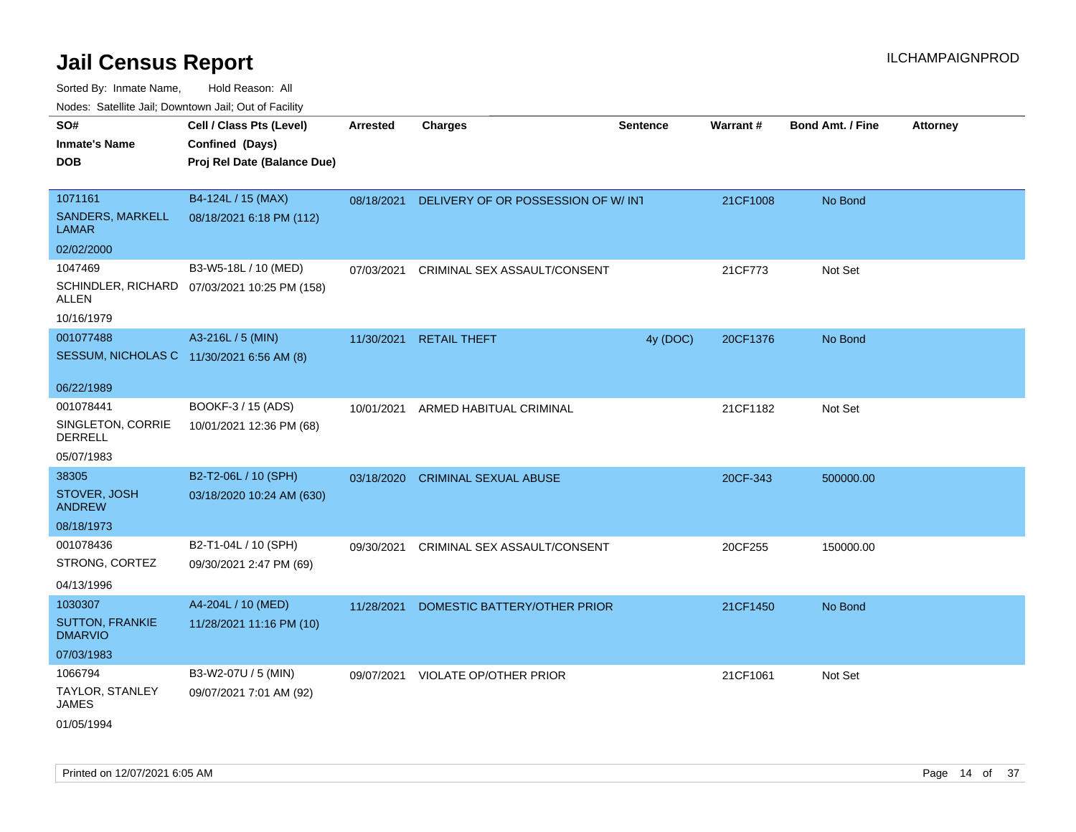Sorted By: Inmate Name, Hold Reason: All

Nodes: Satellite Jail; Downtown Jail; Out of Facility

| SO#<br><b>Inmate's Name</b><br><b>DOB</b>              | Cell / Class Pts (Level)<br>Confined (Days)<br>Proj Rel Date (Balance Due) | <b>Arrested</b> | <b>Charges</b>                     | <b>Sentence</b> | <b>Warrant#</b> | <b>Bond Amt. / Fine</b> | <b>Attorney</b> |
|--------------------------------------------------------|----------------------------------------------------------------------------|-----------------|------------------------------------|-----------------|-----------------|-------------------------|-----------------|
| 1071161<br>SANDERS, MARKELL<br><b>LAMAR</b>            | B4-124L / 15 (MAX)<br>08/18/2021 6:18 PM (112)                             | 08/18/2021      | DELIVERY OF OR POSSESSION OF W/INT |                 | 21CF1008        | No Bond                 |                 |
| 02/02/2000                                             |                                                                            |                 |                                    |                 |                 |                         |                 |
| 1047469<br>ALLEN                                       | B3-W5-18L / 10 (MED)<br>SCHINDLER, RICHARD 07/03/2021 10:25 PM (158)       | 07/03/2021      | CRIMINAL SEX ASSAULT/CONSENT       |                 | 21CF773         | Not Set                 |                 |
| 10/16/1979                                             |                                                                            |                 |                                    |                 |                 |                         |                 |
| 001077488<br>SESSUM, NICHOLAS C 11/30/2021 6:56 AM (8) | A3-216L / 5 (MIN)                                                          | 11/30/2021      | <b>RETAIL THEFT</b>                | 4y (DOC)        | 20CF1376        | No Bond                 |                 |
| 06/22/1989                                             |                                                                            |                 |                                    |                 |                 |                         |                 |
| 001078441<br>SINGLETON, CORRIE<br>DERRELL              | BOOKF-3 / 15 (ADS)<br>10/01/2021 12:36 PM (68)                             | 10/01/2021      | ARMED HABITUAL CRIMINAL            |                 | 21CF1182        | Not Set                 |                 |
| 05/07/1983                                             |                                                                            |                 |                                    |                 |                 |                         |                 |
| 38305                                                  | B2-T2-06L / 10 (SPH)                                                       | 03/18/2020      | <b>CRIMINAL SEXUAL ABUSE</b>       |                 | 20CF-343        | 500000.00               |                 |
| STOVER, JOSH<br><b>ANDREW</b>                          | 03/18/2020 10:24 AM (630)                                                  |                 |                                    |                 |                 |                         |                 |
| 08/18/1973                                             |                                                                            |                 |                                    |                 |                 |                         |                 |
| 001078436<br>STRONG, CORTEZ                            | B2-T1-04L / 10 (SPH)<br>09/30/2021 2:47 PM (69)                            | 09/30/2021      | CRIMINAL SEX ASSAULT/CONSENT       |                 | 20CF255         | 150000.00               |                 |
| 04/13/1996                                             |                                                                            |                 |                                    |                 |                 |                         |                 |
| 1030307<br><b>SUTTON, FRANKIE</b><br><b>DMARVIO</b>    | A4-204L / 10 (MED)<br>11/28/2021 11:16 PM (10)                             | 11/28/2021      | DOMESTIC BATTERY/OTHER PRIOR       |                 | 21CF1450        | No Bond                 |                 |
| 07/03/1983                                             |                                                                            |                 |                                    |                 |                 |                         |                 |
| 1066794                                                | B3-W2-07U / 5 (MIN)                                                        |                 | 09/07/2021 VIOLATE OP/OTHER PRIOR  |                 | 21CF1061        | Not Set                 |                 |
| TAYLOR, STANLEY<br>JAMES                               | 09/07/2021 7:01 AM (92)                                                    |                 |                                    |                 |                 |                         |                 |
| 01/05/1994                                             |                                                                            |                 |                                    |                 |                 |                         |                 |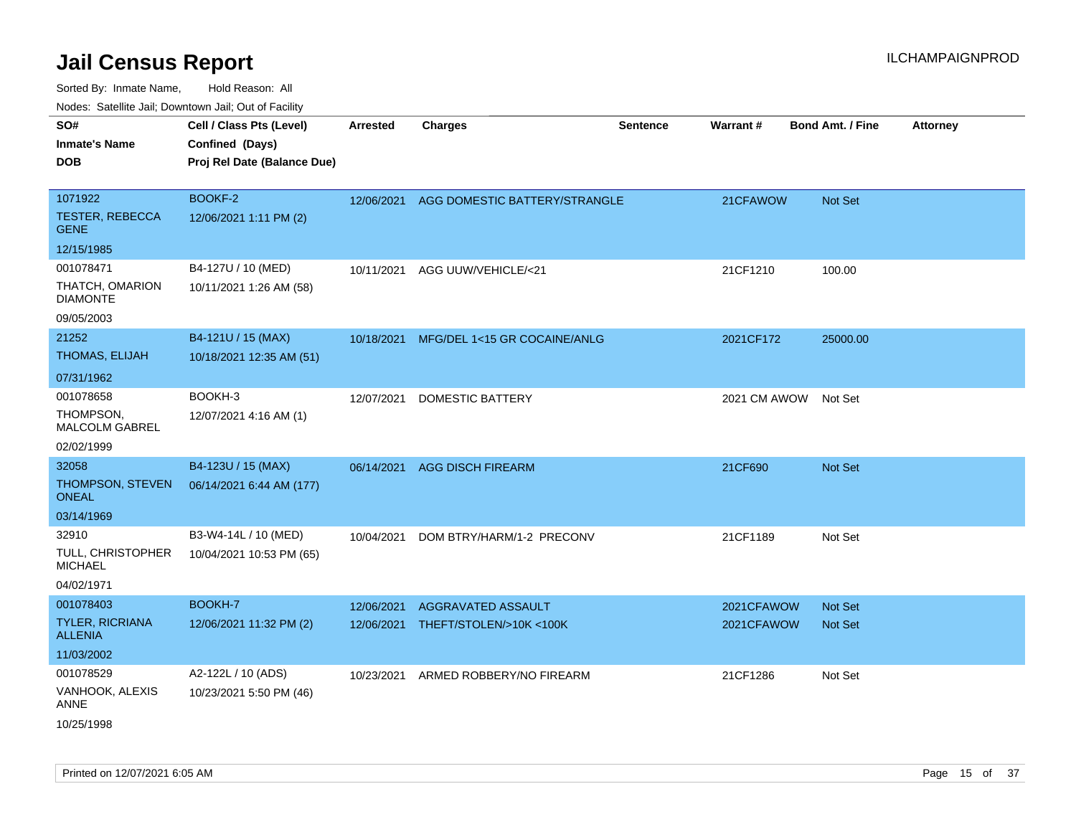| roaco. Catolino dall, Downtown dall, Out of Fability |                             |            |                               |                 |                 |                         |                 |
|------------------------------------------------------|-----------------------------|------------|-------------------------------|-----------------|-----------------|-------------------------|-----------------|
| SO#                                                  | Cell / Class Pts (Level)    | Arrested   | <b>Charges</b>                | <b>Sentence</b> | <b>Warrant#</b> | <b>Bond Amt. / Fine</b> | <b>Attorney</b> |
| <b>Inmate's Name</b>                                 | Confined (Days)             |            |                               |                 |                 |                         |                 |
| <b>DOB</b>                                           | Proj Rel Date (Balance Due) |            |                               |                 |                 |                         |                 |
|                                                      |                             |            |                               |                 |                 |                         |                 |
| 1071922                                              | BOOKF-2                     | 12/06/2021 | AGG DOMESTIC BATTERY/STRANGLE |                 | 21CFAWOW        | Not Set                 |                 |
| <b>TESTER, REBECCA</b><br><b>GENE</b>                | 12/06/2021 1:11 PM (2)      |            |                               |                 |                 |                         |                 |
| 12/15/1985                                           |                             |            |                               |                 |                 |                         |                 |
| 001078471                                            | B4-127U / 10 (MED)          | 10/11/2021 | AGG UUW/VEHICLE/<21           |                 | 21CF1210        | 100.00                  |                 |
| THATCH, OMARION<br><b>DIAMONTE</b>                   | 10/11/2021 1:26 AM (58)     |            |                               |                 |                 |                         |                 |
| 09/05/2003                                           |                             |            |                               |                 |                 |                         |                 |
| 21252                                                | B4-121U / 15 (MAX)          | 10/18/2021 | MFG/DEL 1<15 GR COCAINE/ANLG  |                 | 2021CF172       | 25000.00                |                 |
| THOMAS, ELIJAH                                       | 10/18/2021 12:35 AM (51)    |            |                               |                 |                 |                         |                 |
| 07/31/1962                                           |                             |            |                               |                 |                 |                         |                 |
| 001078658                                            | BOOKH-3                     | 12/07/2021 | <b>DOMESTIC BATTERY</b>       |                 | 2021 CM AWOW    | Not Set                 |                 |
| THOMPSON,<br><b>MALCOLM GABREL</b>                   | 12/07/2021 4:16 AM (1)      |            |                               |                 |                 |                         |                 |
| 02/02/1999                                           |                             |            |                               |                 |                 |                         |                 |
| 32058                                                | B4-123U / 15 (MAX)          | 06/14/2021 | <b>AGG DISCH FIREARM</b>      |                 | 21CF690         | Not Set                 |                 |
| THOMPSON, STEVEN<br>ONEAL                            | 06/14/2021 6:44 AM (177)    |            |                               |                 |                 |                         |                 |
| 03/14/1969                                           |                             |            |                               |                 |                 |                         |                 |
| 32910                                                | B3-W4-14L / 10 (MED)        | 10/04/2021 | DOM BTRY/HARM/1-2 PRECONV     |                 | 21CF1189        | Not Set                 |                 |
| TULL, CHRISTOPHER<br><b>MICHAEL</b>                  | 10/04/2021 10:53 PM (65)    |            |                               |                 |                 |                         |                 |
| 04/02/1971                                           |                             |            |                               |                 |                 |                         |                 |
| 001078403                                            | <b>BOOKH-7</b>              | 12/06/2021 | AGGRAVATED ASSAULT            |                 | 2021CFAWOW      | <b>Not Set</b>          |                 |
| <b>TYLER, RICRIANA</b><br><b>ALLENIA</b>             | 12/06/2021 11:32 PM (2)     | 12/06/2021 | THEFT/STOLEN/>10K<100K        |                 | 2021CFAWOW      | <b>Not Set</b>          |                 |
| 11/03/2002                                           |                             |            |                               |                 |                 |                         |                 |
| 001078529                                            | A2-122L / 10 (ADS)          | 10/23/2021 | ARMED ROBBERY/NO FIREARM      |                 | 21CF1286        | Not Set                 |                 |
| VANHOOK, ALEXIS<br>ANNE                              | 10/23/2021 5:50 PM (46)     |            |                               |                 |                 |                         |                 |
| 10/25/1998                                           |                             |            |                               |                 |                 |                         |                 |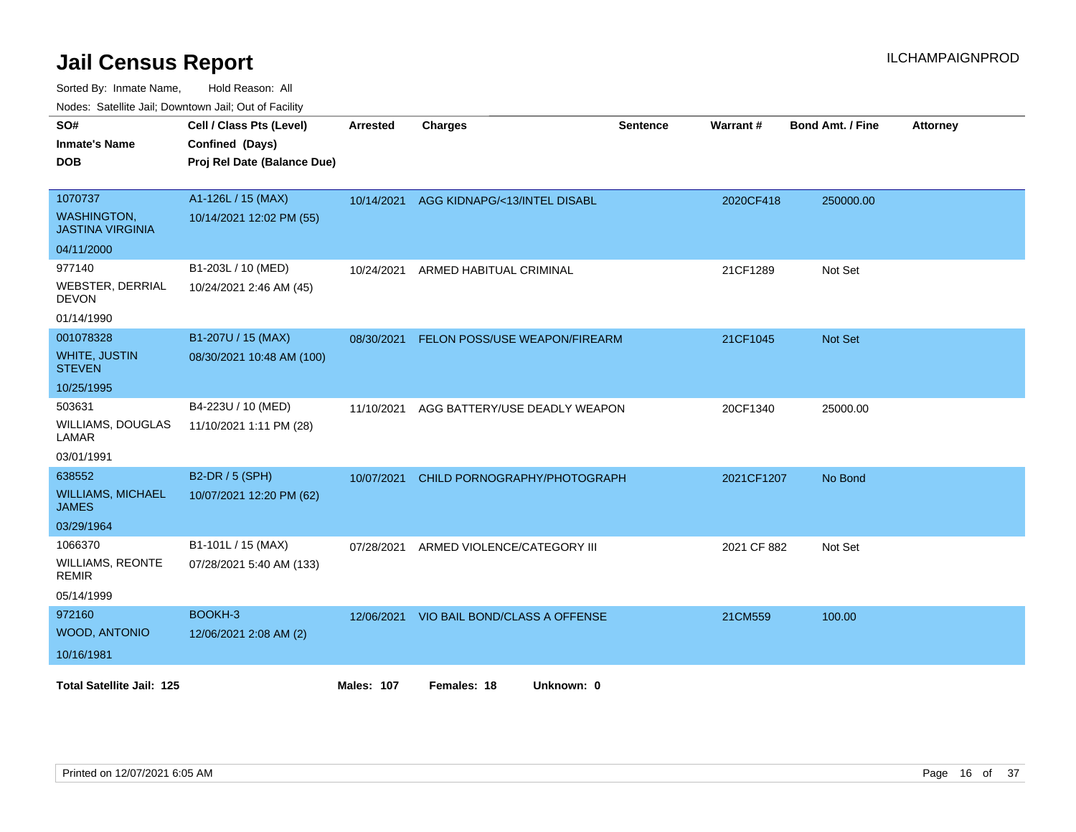Sorted By: Inmate Name, Hold Reason: All

|  |  | Nodes: Satellite Jail; Downtown Jail; Out of Facility |  |  |
|--|--|-------------------------------------------------------|--|--|
|--|--|-------------------------------------------------------|--|--|

| SO#<br><b>Inmate's Name</b><br><b>DOB</b>                              | Cell / Class Pts (Level)<br>Confined (Days)<br>Proj Rel Date (Balance Due) | <b>Arrested</b>   | <b>Charges</b>                           | <b>Sentence</b> | Warrant#    | <b>Bond Amt. / Fine</b> | <b>Attorney</b> |
|------------------------------------------------------------------------|----------------------------------------------------------------------------|-------------------|------------------------------------------|-----------------|-------------|-------------------------|-----------------|
| 1070737<br><b>WASHINGTON,</b><br><b>JASTINA VIRGINIA</b><br>04/11/2000 | A1-126L / 15 (MAX)<br>10/14/2021 12:02 PM (55)                             | 10/14/2021        | AGG KIDNAPG/<13/INTEL DISABL             |                 | 2020CF418   | 250000.00               |                 |
| 977140<br><b>WEBSTER, DERRIAL</b><br><b>DEVON</b><br>01/14/1990        | B1-203L / 10 (MED)<br>10/24/2021 2:46 AM (45)                              | 10/24/2021        | ARMED HABITUAL CRIMINAL                  |                 | 21CF1289    | Not Set                 |                 |
| 001078328<br><b>WHITE, JUSTIN</b><br><b>STEVEN</b><br>10/25/1995       | B1-207U / 15 (MAX)<br>08/30/2021 10:48 AM (100)                            | 08/30/2021        | FELON POSS/USE WEAPON/FIREARM            |                 | 21CF1045    | Not Set                 |                 |
| 503631<br><b>WILLIAMS, DOUGLAS</b><br><b>LAMAR</b><br>03/01/1991       | B4-223U / 10 (MED)<br>11/10/2021 1:11 PM (28)                              | 11/10/2021        | AGG BATTERY/USE DEADLY WEAPON            |                 | 20CF1340    | 25000.00                |                 |
| 638552<br><b>WILLIAMS, MICHAEL</b><br><b>JAMES</b><br>03/29/1964       | B2-DR / 5 (SPH)<br>10/07/2021 12:20 PM (62)                                | 10/07/2021        | CHILD PORNOGRAPHY/PHOTOGRAPH             |                 | 2021CF1207  | No Bond                 |                 |
| 1066370<br><b>WILLIAMS, REONTE</b><br><b>REMIR</b><br>05/14/1999       | B1-101L / 15 (MAX)<br>07/28/2021 5:40 AM (133)                             | 07/28/2021        | ARMED VIOLENCE/CATEGORY III              |                 | 2021 CF 882 | Not Set                 |                 |
| 972160<br>WOOD, ANTONIO<br>10/16/1981                                  | BOOKH-3<br>12/06/2021 2:08 AM (2)                                          |                   | 12/06/2021 VIO BAIL BOND/CLASS A OFFENSE |                 | 21CM559     | 100.00                  |                 |
| <b>Total Satellite Jail: 125</b>                                       |                                                                            | <b>Males: 107</b> | Females: 18<br>Unknown: 0                |                 |             |                         |                 |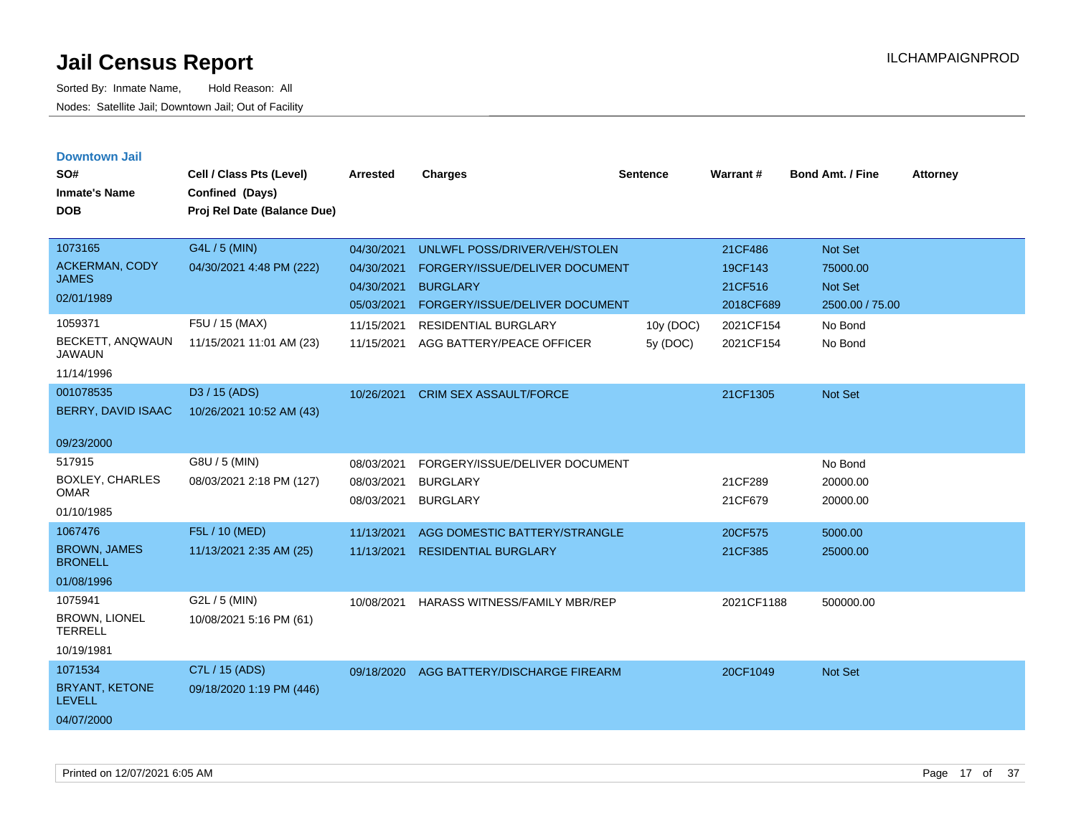| <b>Downtown Jail</b><br>SO#<br><b>Inmate's Name</b><br><b>DOB</b> | Cell / Class Pts (Level)<br>Confined (Days)<br>Proj Rel Date (Balance Due) | Arrested                 | <b>Charges</b>                                    | <b>Sentence</b> | <b>Warrant#</b>      | <b>Bond Amt. / Fine</b>    | <b>Attorney</b> |
|-------------------------------------------------------------------|----------------------------------------------------------------------------|--------------------------|---------------------------------------------------|-----------------|----------------------|----------------------------|-----------------|
| 1073165                                                           | G4L / 5 (MIN)                                                              | 04/30/2021               | UNLWFL POSS/DRIVER/VEH/STOLEN                     |                 | 21CF486              | Not Set                    |                 |
| <b>ACKERMAN, CODY</b><br><b>JAMES</b>                             | 04/30/2021 4:48 PM (222)                                                   | 04/30/2021               | FORGERY/ISSUE/DELIVER DOCUMENT                    |                 | 19CF143              | 75000.00                   |                 |
| 02/01/1989                                                        |                                                                            | 04/30/2021<br>05/03/2021 | <b>BURGLARY</b><br>FORGERY/ISSUE/DELIVER DOCUMENT |                 | 21CF516<br>2018CF689 | Not Set<br>2500.00 / 75.00 |                 |
| 1059371                                                           | F5U / 15 (MAX)                                                             | 11/15/2021               | RESIDENTIAL BURGLARY                              | 10y (DOC)       | 2021CF154            | No Bond                    |                 |
| BECKETT, ANQWAUN<br><b>JAWAUN</b>                                 | 11/15/2021 11:01 AM (23)                                                   | 11/15/2021               | AGG BATTERY/PEACE OFFICER                         | 5y (DOC)        | 2021CF154            | No Bond                    |                 |
| 11/14/1996                                                        |                                                                            |                          |                                                   |                 |                      |                            |                 |
| 001078535                                                         | D3 / 15 (ADS)                                                              | 10/26/2021               | <b>CRIM SEX ASSAULT/FORCE</b>                     |                 | 21CF1305             | <b>Not Set</b>             |                 |
| BERRY, DAVID ISAAC                                                | 10/26/2021 10:52 AM (43)                                                   |                          |                                                   |                 |                      |                            |                 |
| 09/23/2000                                                        |                                                                            |                          |                                                   |                 |                      |                            |                 |
| 517915                                                            | G8U / 5 (MIN)                                                              | 08/03/2021               | FORGERY/ISSUE/DELIVER DOCUMENT                    |                 |                      | No Bond                    |                 |
| <b>BOXLEY, CHARLES</b><br><b>OMAR</b>                             | 08/03/2021 2:18 PM (127)                                                   | 08/03/2021               | <b>BURGLARY</b>                                   |                 | 21CF289              | 20000.00                   |                 |
| 01/10/1985                                                        |                                                                            | 08/03/2021               | <b>BURGLARY</b>                                   |                 | 21CF679              | 20000.00                   |                 |
| 1067476                                                           | F5L / 10 (MED)                                                             | 11/13/2021               | AGG DOMESTIC BATTERY/STRANGLE                     |                 | 20CF575              | 5000.00                    |                 |
| <b>BROWN, JAMES</b><br><b>BRONELL</b>                             | 11/13/2021 2:35 AM (25)                                                    | 11/13/2021               | <b>RESIDENTIAL BURGLARY</b>                       |                 | 21CF385              | 25000.00                   |                 |
| 01/08/1996                                                        |                                                                            |                          |                                                   |                 |                      |                            |                 |
| 1075941<br><b>BROWN, LIONEL</b><br><b>TERRELL</b>                 | G2L / 5 (MIN)<br>10/08/2021 5:16 PM (61)                                   | 10/08/2021               | <b>HARASS WITNESS/FAMILY MBR/REP</b>              |                 | 2021CF1188           | 500000.00                  |                 |
| 10/19/1981                                                        |                                                                            |                          |                                                   |                 |                      |                            |                 |
| 1071534                                                           | C7L / 15 (ADS)                                                             | 09/18/2020               | AGG BATTERY/DISCHARGE FIREARM                     |                 | 20CF1049             | Not Set                    |                 |
| BRYANT, KETONE<br><b>LEVELL</b>                                   | 09/18/2020 1:19 PM (446)                                                   |                          |                                                   |                 |                      |                            |                 |
| 04/07/2000                                                        |                                                                            |                          |                                                   |                 |                      |                            |                 |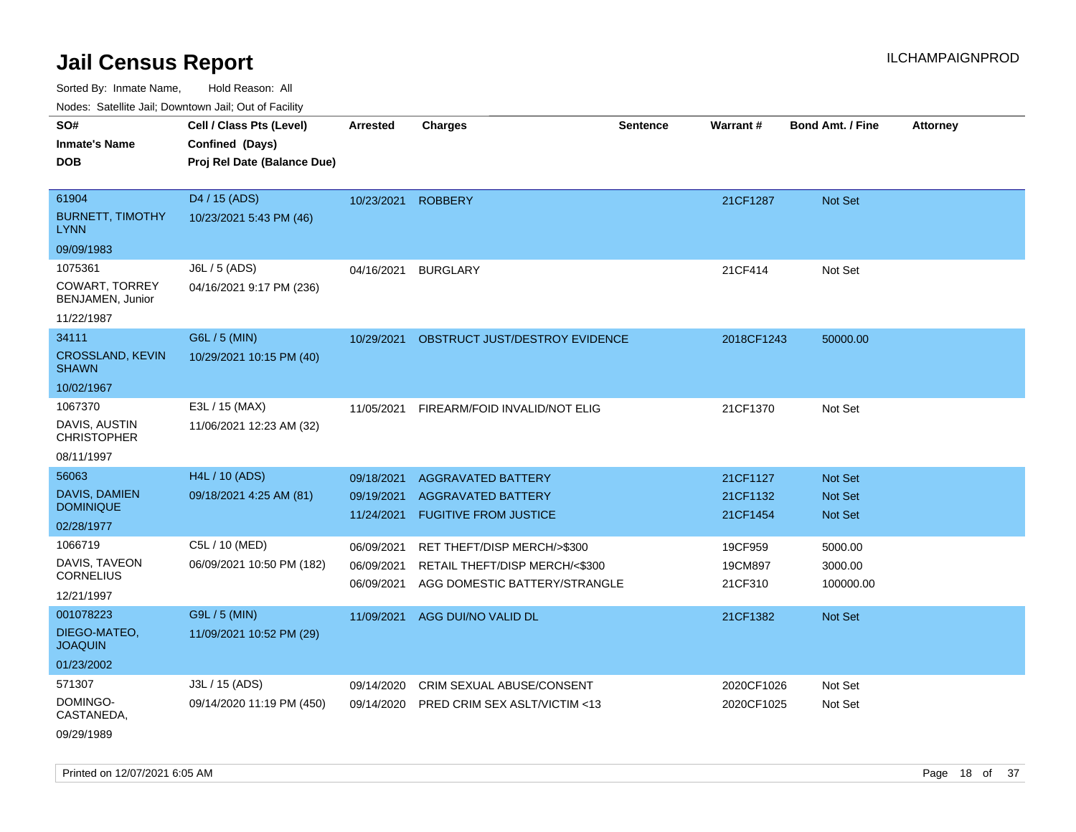Sorted By: Inmate Name, Hold Reason: All Nodes: Satellite Jail; Downtown Jail; Out of Facility

| Noues. Salemie Jan, Downlown Jan, Out of Facility |                             |                     |                                       |                 |            |                         |                 |
|---------------------------------------------------|-----------------------------|---------------------|---------------------------------------|-----------------|------------|-------------------------|-----------------|
| SO#                                               | Cell / Class Pts (Level)    | <b>Arrested</b>     | <b>Charges</b>                        | <b>Sentence</b> | Warrant#   | <b>Bond Amt. / Fine</b> | <b>Attorney</b> |
| <b>Inmate's Name</b>                              | Confined (Days)             |                     |                                       |                 |            |                         |                 |
| <b>DOB</b>                                        | Proj Rel Date (Balance Due) |                     |                                       |                 |            |                         |                 |
|                                                   |                             |                     |                                       |                 |            |                         |                 |
| 61904                                             | D4 / 15 (ADS)               | 10/23/2021          | <b>ROBBERY</b>                        |                 | 21CF1287   | Not Set                 |                 |
| <b>BURNETT, TIMOTHY</b><br><b>LYNN</b>            | 10/23/2021 5:43 PM (46)     |                     |                                       |                 |            |                         |                 |
| 09/09/1983                                        |                             |                     |                                       |                 |            |                         |                 |
| 1075361                                           | J6L / 5 (ADS)               | 04/16/2021 BURGLARY |                                       |                 | 21CF414    | Not Set                 |                 |
| <b>COWART, TORREY</b><br>BENJAMEN, Junior         | 04/16/2021 9:17 PM (236)    |                     |                                       |                 |            |                         |                 |
| 11/22/1987                                        |                             |                     |                                       |                 |            |                         |                 |
| 34111                                             | G6L / 5 (MIN)               | 10/29/2021          | <b>OBSTRUCT JUST/DESTROY EVIDENCE</b> |                 | 2018CF1243 | 50000.00                |                 |
| <b>CROSSLAND, KEVIN</b><br><b>SHAWN</b>           | 10/29/2021 10:15 PM (40)    |                     |                                       |                 |            |                         |                 |
| 10/02/1967                                        |                             |                     |                                       |                 |            |                         |                 |
| 1067370                                           | E3L / 15 (MAX)              | 11/05/2021          | FIREARM/FOID INVALID/NOT ELIG         |                 | 21CF1370   | Not Set                 |                 |
| DAVIS, AUSTIN<br><b>CHRISTOPHER</b>               | 11/06/2021 12:23 AM (32)    |                     |                                       |                 |            |                         |                 |
| 08/11/1997                                        |                             |                     |                                       |                 |            |                         |                 |
| 56063                                             | H4L / 10 (ADS)              | 09/18/2021          | <b>AGGRAVATED BATTERY</b>             |                 | 21CF1127   | <b>Not Set</b>          |                 |
| <b>DAVIS, DAMIEN</b><br><b>DOMINIQUE</b>          | 09/18/2021 4:25 AM (81)     | 09/19/2021          | <b>AGGRAVATED BATTERY</b>             |                 | 21CF1132   | <b>Not Set</b>          |                 |
| 02/28/1977                                        |                             | 11/24/2021          | <b>FUGITIVE FROM JUSTICE</b>          |                 | 21CF1454   | Not Set                 |                 |
| 1066719                                           | C5L / 10 (MED)              | 06/09/2021          | RET THEFT/DISP MERCH/>\$300           |                 | 19CF959    | 5000.00                 |                 |
| DAVIS, TAVEON                                     | 06/09/2021 10:50 PM (182)   | 06/09/2021          | RETAIL THEFT/DISP MERCH/<\$300        |                 | 19CM897    | 3000.00                 |                 |
| <b>CORNELIUS</b>                                  |                             | 06/09/2021          | AGG DOMESTIC BATTERY/STRANGLE         |                 | 21CF310    | 100000.00               |                 |
| 12/21/1997                                        |                             |                     |                                       |                 |            |                         |                 |
| 001078223                                         | G9L / 5 (MIN)               | 11/09/2021          | AGG DUI/NO VALID DL                   |                 | 21CF1382   | <b>Not Set</b>          |                 |
| DIEGO-MATEO,<br><b>JOAQUIN</b>                    | 11/09/2021 10:52 PM (29)    |                     |                                       |                 |            |                         |                 |
| 01/23/2002                                        |                             |                     |                                       |                 |            |                         |                 |
| 571307                                            | J3L / 15 (ADS)              | 09/14/2020          | <b>CRIM SEXUAL ABUSE/CONSENT</b>      |                 | 2020CF1026 | Not Set                 |                 |
| DOMINGO-<br>CASTANEDA,                            | 09/14/2020 11:19 PM (450)   | 09/14/2020          | PRED CRIM SEX ASLT/VICTIM <13         |                 | 2020CF1025 | Not Set                 |                 |
|                                                   |                             |                     |                                       |                 |            |                         |                 |

09/29/1989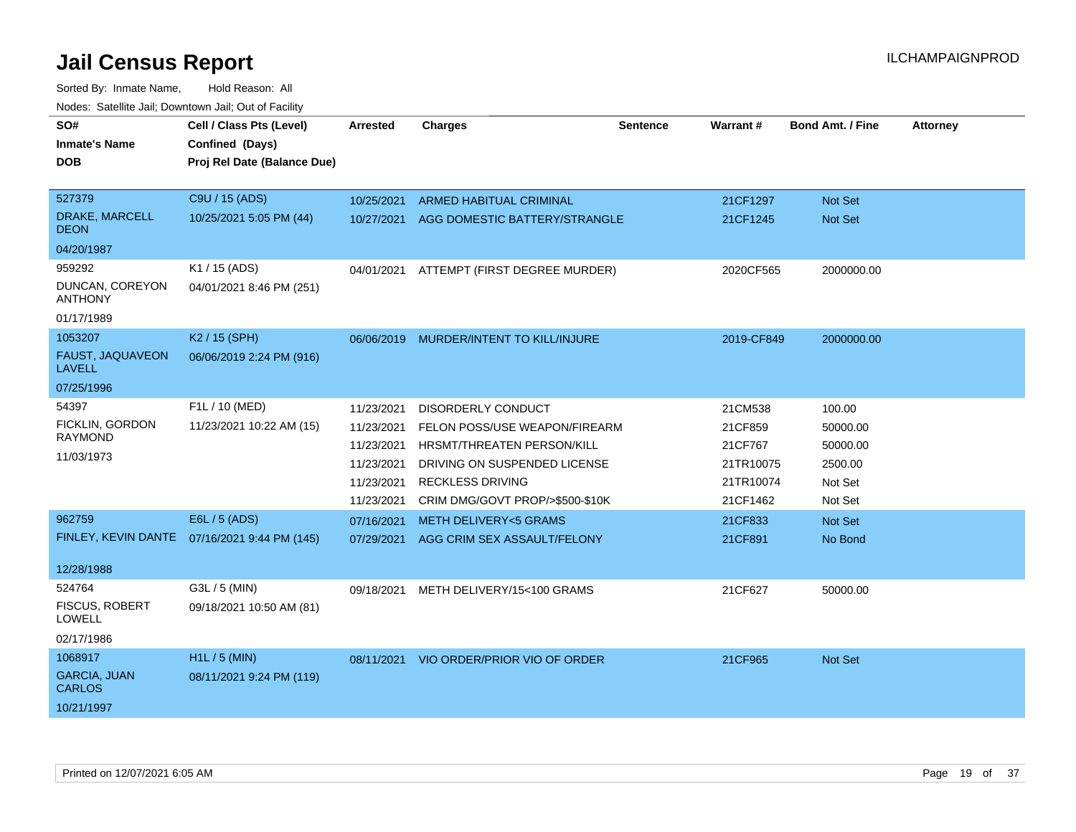| SO#<br>Inmate's Name<br><b>DOB</b><br>527379<br>DRAKE, MARCELL<br>DEON  | Cell / Class Pts (Level)<br>Confined (Days)<br>Proj Rel Date (Balance Due)<br>C9U / 15 (ADS)<br>10/25/2021 5:05 PM (44) | Arrested<br>10/25/2021<br>10/27/2021                                             | <b>Charges</b><br>ARMED HABITUAL CRIMINAL<br>AGG DOMESTIC BATTERY/STRANGLE                                                                                                             | <b>Sentence</b> | Warrant#<br>21CF1297<br>21CF1245                                    | <b>Bond Amt. / Fine</b><br>Not Set<br>Not Set                   | <b>Attorney</b> |
|-------------------------------------------------------------------------|-------------------------------------------------------------------------------------------------------------------------|----------------------------------------------------------------------------------|----------------------------------------------------------------------------------------------------------------------------------------------------------------------------------------|-----------------|---------------------------------------------------------------------|-----------------------------------------------------------------|-----------------|
| 04/20/1987<br>959292<br>DUNCAN, COREYON<br><b>ANTHONY</b><br>01/17/1989 | K1 / 15 (ADS)<br>04/01/2021 8:46 PM (251)                                                                               |                                                                                  | 04/01/2021 ATTEMPT (FIRST DEGREE MURDER)                                                                                                                                               |                 | 2020CF565                                                           | 2000000.00                                                      |                 |
| 1053207<br>FAUST, JAQUAVEON<br>LAVELL<br>07/25/1996                     | K2 / 15 (SPH)<br>06/06/2019 2:24 PM (916)                                                                               |                                                                                  | 06/06/2019 MURDER/INTENT TO KILL/INJURE                                                                                                                                                |                 | 2019-CF849                                                          | 2000000.00                                                      |                 |
| 54397<br>FICKLIN, GORDON<br>RAYMOND<br>11/03/1973                       | F1L / 10 (MED)<br>11/23/2021 10:22 AM (15)                                                                              | 11/23/2021<br>11/23/2021<br>11/23/2021<br>11/23/2021<br>11/23/2021<br>11/23/2021 | <b>DISORDERLY CONDUCT</b><br>FELON POSS/USE WEAPON/FIREARM<br>HRSMT/THREATEN PERSON/KILL<br>DRIVING ON SUSPENDED LICENSE<br><b>RECKLESS DRIVING</b><br>CRIM DMG/GOVT PROP/>\$500-\$10K |                 | 21CM538<br>21CF859<br>21CF767<br>21TR10075<br>21TR10074<br>21CF1462 | 100.00<br>50000.00<br>50000.00<br>2500.00<br>Not Set<br>Not Set |                 |
| 962759<br>12/28/1988                                                    | E6L / 5 (ADS)<br>FINLEY, KEVIN DANTE 07/16/2021 9:44 PM (145)                                                           | 07/16/2021<br>07/29/2021                                                         | <b>METH DELIVERY&lt;5 GRAMS</b><br>AGG CRIM SEX ASSAULT/FELONY                                                                                                                         |                 | 21CF833<br>21CF891                                                  | Not Set<br>No Bond                                              |                 |
| 524764<br><b>FISCUS, ROBERT</b><br>LOWELL<br>02/17/1986                 | G3L / 5 (MIN)<br>09/18/2021 10:50 AM (81)                                                                               | 09/18/2021                                                                       | METH DELIVERY/15<100 GRAMS                                                                                                                                                             |                 | 21CF627                                                             | 50000.00                                                        |                 |
| 1068917<br><b>GARCIA, JUAN</b><br><b>CARLOS</b><br>10/21/1997           | $H1L / 5$ (MIN)<br>08/11/2021 9:24 PM (119)                                                                             | 08/11/2021                                                                       | VIO ORDER/PRIOR VIO OF ORDER                                                                                                                                                           |                 | 21CF965                                                             | Not Set                                                         |                 |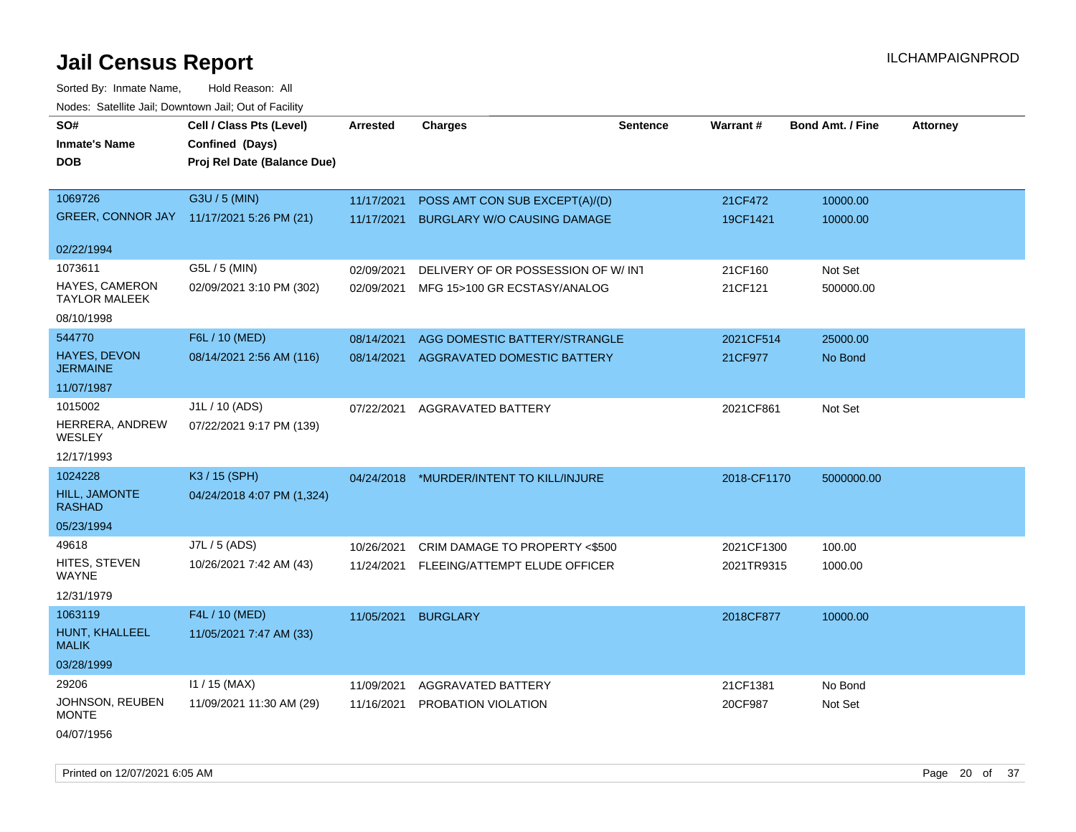Sorted By: Inmate Name, Hold Reason: All Nodes: Satellite Jail; Downtown Jail; Out of Facility

| SO#                                           | Cell / Class Pts (Level)                  | <b>Arrested</b> | <b>Charges</b>                      | <b>Sentence</b> | Warrant#    | <b>Bond Amt. / Fine</b> | <b>Attorney</b> |
|-----------------------------------------------|-------------------------------------------|-----------------|-------------------------------------|-----------------|-------------|-------------------------|-----------------|
| <b>Inmate's Name</b>                          | Confined (Days)                           |                 |                                     |                 |             |                         |                 |
| <b>DOB</b>                                    | Proj Rel Date (Balance Due)               |                 |                                     |                 |             |                         |                 |
|                                               |                                           |                 |                                     |                 |             |                         |                 |
| 1069726                                       | G3U / 5 (MIN)                             | 11/17/2021      | POSS AMT CON SUB EXCEPT(A)/(D)      |                 | 21CF472     | 10000.00                |                 |
|                                               | GREER, CONNOR JAY 11/17/2021 5:26 PM (21) | 11/17/2021      | <b>BURGLARY W/O CAUSING DAMAGE</b>  |                 | 19CF1421    | 10000.00                |                 |
|                                               |                                           |                 |                                     |                 |             |                         |                 |
| 02/22/1994                                    |                                           |                 |                                     |                 |             |                         |                 |
| 1073611                                       | G5L / 5 (MIN)                             | 02/09/2021      | DELIVERY OF OR POSSESSION OF W/ INT |                 | 21CF160     | Not Set                 |                 |
| <b>HAYES, CAMERON</b><br><b>TAYLOR MALEEK</b> | 02/09/2021 3:10 PM (302)                  | 02/09/2021      | MFG 15>100 GR ECSTASY/ANALOG        |                 | 21CF121     | 500000.00               |                 |
| 08/10/1998                                    |                                           |                 |                                     |                 |             |                         |                 |
| 544770                                        | F6L / 10 (MED)                            | 08/14/2021      | AGG DOMESTIC BATTERY/STRANGLE       |                 | 2021CF514   | 25000.00                |                 |
| HAYES, DEVON<br><b>JERMAINE</b>               | 08/14/2021 2:56 AM (116)                  | 08/14/2021      | AGGRAVATED DOMESTIC BATTERY         |                 | 21CF977     | No Bond                 |                 |
| 11/07/1987                                    |                                           |                 |                                     |                 |             |                         |                 |
| 1015002                                       | J1L / 10 (ADS)                            | 07/22/2021      | AGGRAVATED BATTERY                  |                 | 2021CF861   | Not Set                 |                 |
| HERRERA, ANDREW<br>WESLEY                     | 07/22/2021 9:17 PM (139)                  |                 |                                     |                 |             |                         |                 |
| 12/17/1993                                    |                                           |                 |                                     |                 |             |                         |                 |
| 1024228                                       | K3 / 15 (SPH)                             | 04/24/2018      | *MURDER/INTENT TO KILL/INJURE       |                 | 2018-CF1170 | 5000000.00              |                 |
| <b>HILL, JAMONTE</b><br><b>RASHAD</b>         | 04/24/2018 4:07 PM (1,324)                |                 |                                     |                 |             |                         |                 |
| 05/23/1994                                    |                                           |                 |                                     |                 |             |                         |                 |
| 49618                                         | J7L / 5 (ADS)                             | 10/26/2021      | CRIM DAMAGE TO PROPERTY <\$500      |                 | 2021CF1300  | 100.00                  |                 |
| HITES, STEVEN<br><b>WAYNE</b>                 | 10/26/2021 7:42 AM (43)                   | 11/24/2021      | FLEEING/ATTEMPT ELUDE OFFICER       |                 | 2021TR9315  | 1000.00                 |                 |
| 12/31/1979                                    |                                           |                 |                                     |                 |             |                         |                 |
| 1063119                                       | F4L / 10 (MED)                            | 11/05/2021      | <b>BURGLARY</b>                     |                 | 2018CF877   | 10000.00                |                 |
| HUNT, KHALLEEL<br><b>MALIK</b>                | 11/05/2021 7:47 AM (33)                   |                 |                                     |                 |             |                         |                 |
| 03/28/1999                                    |                                           |                 |                                     |                 |             |                         |                 |
| 29206                                         | $11 / 15$ (MAX)                           | 11/09/2021      | AGGRAVATED BATTERY                  |                 | 21CF1381    | No Bond                 |                 |
| JOHNSON, REUBEN<br><b>MONTE</b>               | 11/09/2021 11:30 AM (29)                  | 11/16/2021      | PROBATION VIOLATION                 |                 | 20CF987     | Not Set                 |                 |
| 04/07/1956                                    |                                           |                 |                                     |                 |             |                         |                 |

Printed on 12/07/2021 6:05 AM **Page 20 of 37**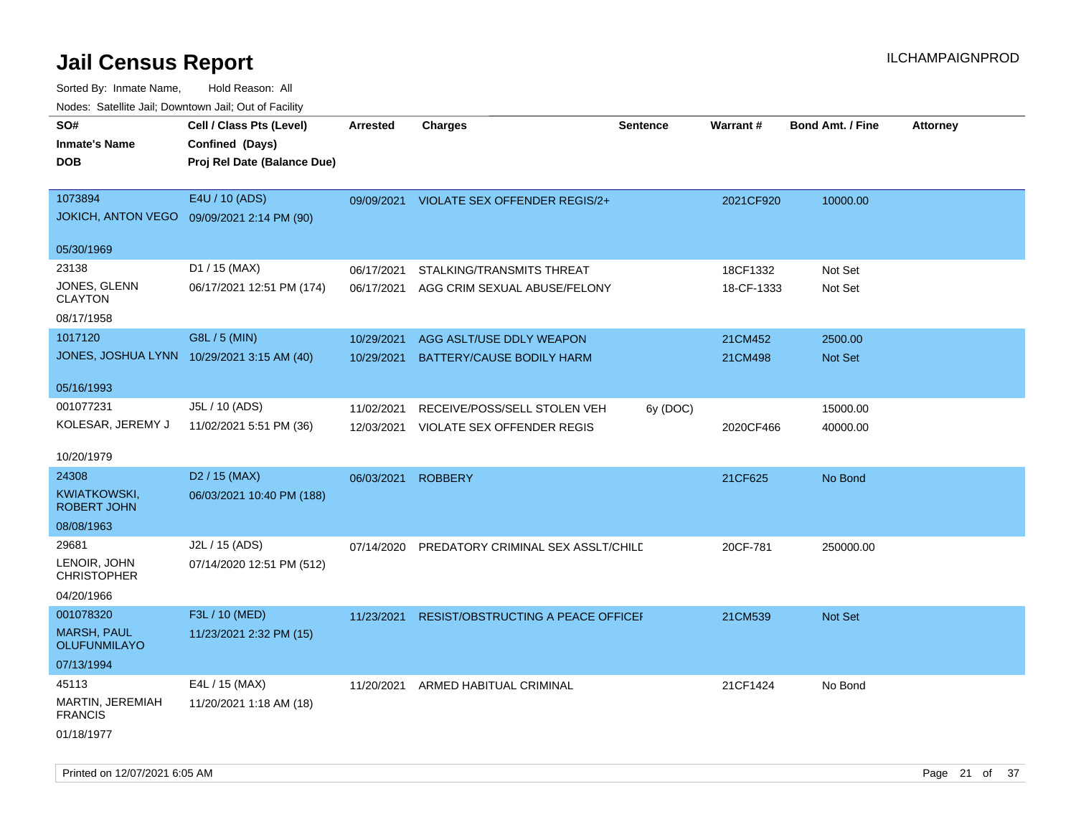| roaco. Calcinio dan, Downtown dan, Out or Fability |                             |                 |                                    |                 |            |                         |                 |
|----------------------------------------------------|-----------------------------|-----------------|------------------------------------|-----------------|------------|-------------------------|-----------------|
| SO#                                                | Cell / Class Pts (Level)    | <b>Arrested</b> | <b>Charges</b>                     | <b>Sentence</b> | Warrant#   | <b>Bond Amt. / Fine</b> | <b>Attorney</b> |
| <b>Inmate's Name</b>                               | Confined (Days)             |                 |                                    |                 |            |                         |                 |
| <b>DOB</b>                                         | Proj Rel Date (Balance Due) |                 |                                    |                 |            |                         |                 |
|                                                    |                             |                 |                                    |                 |            |                         |                 |
| 1073894                                            | E4U / 10 (ADS)              | 09/09/2021      | VIOLATE SEX OFFENDER REGIS/2+      |                 | 2021CF920  | 10000.00                |                 |
| <b>JOKICH, ANTON VEGO</b>                          | 09/09/2021 2:14 PM (90)     |                 |                                    |                 |            |                         |                 |
|                                                    |                             |                 |                                    |                 |            |                         |                 |
| 05/30/1969                                         |                             |                 |                                    |                 |            |                         |                 |
| 23138                                              | D1 / 15 (MAX)               | 06/17/2021      | STALKING/TRANSMITS THREAT          |                 | 18CF1332   | Not Set                 |                 |
| JONES, GLENN                                       | 06/17/2021 12:51 PM (174)   | 06/17/2021      | AGG CRIM SEXUAL ABUSE/FELONY       |                 | 18-CF-1333 | Not Set                 |                 |
| <b>CLAYTON</b>                                     |                             |                 |                                    |                 |            |                         |                 |
| 08/17/1958                                         |                             |                 |                                    |                 |            |                         |                 |
| 1017120                                            | G8L / 5 (MIN)               | 10/29/2021      | AGG ASLT/USE DDLY WEAPON           |                 | 21CM452    | 2500.00                 |                 |
| JONES, JOSHUA LYNN 10/29/2021 3:15 AM (40)         |                             | 10/29/2021      | <b>BATTERY/CAUSE BODILY HARM</b>   |                 | 21CM498    | <b>Not Set</b>          |                 |
|                                                    |                             |                 |                                    |                 |            |                         |                 |
| 05/16/1993                                         |                             |                 |                                    |                 |            |                         |                 |
| 001077231                                          | J5L / 10 (ADS)              | 11/02/2021      | RECEIVE/POSS/SELL STOLEN VEH       | 6y (DOC)        |            | 15000.00                |                 |
| KOLESAR, JEREMY J                                  | 11/02/2021 5:51 PM (36)     | 12/03/2021      | VIOLATE SEX OFFENDER REGIS         |                 | 2020CF466  | 40000.00                |                 |
|                                                    |                             |                 |                                    |                 |            |                         |                 |
| 10/20/1979                                         |                             |                 |                                    |                 |            |                         |                 |
| 24308                                              | D <sub>2</sub> / 15 (MAX)   | 06/03/2021      | <b>ROBBERY</b>                     |                 | 21CF625    | No Bond                 |                 |
| KWIATKOWSKI,                                       | 06/03/2021 10:40 PM (188)   |                 |                                    |                 |            |                         |                 |
| <b>ROBERT JOHN</b>                                 |                             |                 |                                    |                 |            |                         |                 |
| 08/08/1963                                         |                             |                 |                                    |                 |            |                         |                 |
| 29681                                              | J2L / 15 (ADS)              | 07/14/2020      | PREDATORY CRIMINAL SEX ASSLT/CHILE |                 | 20CF-781   | 250000.00               |                 |
| LENOIR, JOHN                                       | 07/14/2020 12:51 PM (512)   |                 |                                    |                 |            |                         |                 |
| <b>CHRISTOPHER</b>                                 |                             |                 |                                    |                 |            |                         |                 |
| 04/20/1966                                         |                             |                 |                                    |                 |            |                         |                 |
| 001078320                                          | F3L / 10 (MED)              | 11/23/2021      | RESIST/OBSTRUCTING A PEACE OFFICEF |                 | 21CM539    | Not Set                 |                 |
| <b>MARSH, PAUL</b>                                 | 11/23/2021 2:32 PM (15)     |                 |                                    |                 |            |                         |                 |
| OLUFUNMILAYO                                       |                             |                 |                                    |                 |            |                         |                 |
| 07/13/1994                                         |                             |                 |                                    |                 |            |                         |                 |
| 45113                                              | E4L / 15 (MAX)              | 11/20/2021      | ARMED HABITUAL CRIMINAL            |                 | 21CF1424   | No Bond                 |                 |
| MARTIN, JEREMIAH                                   | 11/20/2021 1:18 AM (18)     |                 |                                    |                 |            |                         |                 |
| <b>FRANCIS</b>                                     |                             |                 |                                    |                 |            |                         |                 |
| 01/18/1977                                         |                             |                 |                                    |                 |            |                         |                 |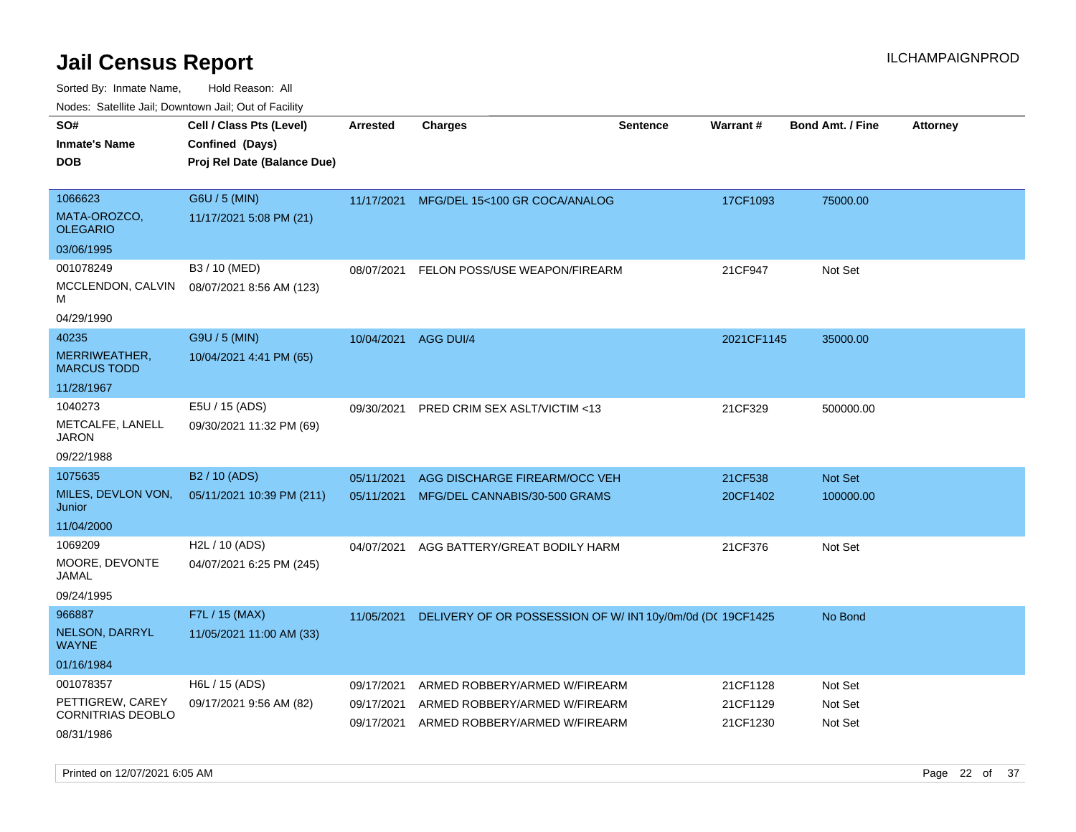Sorted By: Inmate Name, Hold Reason: All

| Nodes: Satellite Jail: Downtown Jail: Out of Facility |                             |                 |                                                            |                 |            |                         |                 |
|-------------------------------------------------------|-----------------------------|-----------------|------------------------------------------------------------|-----------------|------------|-------------------------|-----------------|
| SO#                                                   | Cell / Class Pts (Level)    | <b>Arrested</b> | <b>Charges</b>                                             | <b>Sentence</b> | Warrant#   | <b>Bond Amt. / Fine</b> | <b>Attorney</b> |
| <b>Inmate's Name</b>                                  | Confined (Days)             |                 |                                                            |                 |            |                         |                 |
| <b>DOB</b>                                            | Proj Rel Date (Balance Due) |                 |                                                            |                 |            |                         |                 |
|                                                       |                             |                 |                                                            |                 |            |                         |                 |
| 1066623                                               | G6U / 5 (MIN)               | 11/17/2021      | MFG/DEL 15<100 GR COCA/ANALOG                              |                 | 17CF1093   | 75000.00                |                 |
| MATA-OROZCO,<br><b>OLEGARIO</b>                       | 11/17/2021 5:08 PM (21)     |                 |                                                            |                 |            |                         |                 |
| 03/06/1995                                            |                             |                 |                                                            |                 |            |                         |                 |
| 001078249                                             | B3 / 10 (MED)               | 08/07/2021      | FELON POSS/USE WEAPON/FIREARM                              |                 | 21CF947    | Not Set                 |                 |
| MCCLENDON, CALVIN<br>м                                | 08/07/2021 8:56 AM (123)    |                 |                                                            |                 |            |                         |                 |
| 04/29/1990                                            |                             |                 |                                                            |                 |            |                         |                 |
| 40235                                                 | G9U / 5 (MIN)               | 10/04/2021      | <b>AGG DUI/4</b>                                           |                 | 2021CF1145 | 35000.00                |                 |
| MERRIWEATHER,<br><b>MARCUS TODD</b>                   | 10/04/2021 4:41 PM (65)     |                 |                                                            |                 |            |                         |                 |
| 11/28/1967                                            |                             |                 |                                                            |                 |            |                         |                 |
| 1040273                                               | E5U / 15 (ADS)              | 09/30/2021      | PRED CRIM SEX ASLT/VICTIM <13                              |                 | 21CF329    | 500000.00               |                 |
| METCALFE, LANELL<br><b>JARON</b>                      | 09/30/2021 11:32 PM (69)    |                 |                                                            |                 |            |                         |                 |
| 09/22/1988                                            |                             |                 |                                                            |                 |            |                         |                 |
| 1075635                                               | B <sub>2</sub> / 10 (ADS)   | 05/11/2021      | AGG DISCHARGE FIREARM/OCC VEH                              |                 | 21CF538    | Not Set                 |                 |
| MILES, DEVLON VON,<br>Junior                          | 05/11/2021 10:39 PM (211)   | 05/11/2021      | MFG/DEL CANNABIS/30-500 GRAMS                              |                 | 20CF1402   | 100000.00               |                 |
| 11/04/2000                                            |                             |                 |                                                            |                 |            |                         |                 |
| 1069209                                               | H2L / 10 (ADS)              | 04/07/2021      | AGG BATTERY/GREAT BODILY HARM                              |                 | 21CF376    | Not Set                 |                 |
| MOORE, DEVONTE<br><b>JAMAL</b>                        | 04/07/2021 6:25 PM (245)    |                 |                                                            |                 |            |                         |                 |
| 09/24/1995                                            |                             |                 |                                                            |                 |            |                         |                 |
| 966887                                                | F7L / 15 (MAX)              | 11/05/2021      | DELIVERY OF OR POSSESSION OF W/ IN1 10y/0m/0d (DC 19CF1425 |                 |            | No Bond                 |                 |
| NELSON, DARRYL<br><b>WAYNE</b>                        | 11/05/2021 11:00 AM (33)    |                 |                                                            |                 |            |                         |                 |
| 01/16/1984                                            |                             |                 |                                                            |                 |            |                         |                 |
| 001078357                                             | H6L / 15 (ADS)              | 09/17/2021      | ARMED ROBBERY/ARMED W/FIREARM                              |                 | 21CF1128   | Not Set                 |                 |
| PETTIGREW, CAREY                                      | 09/17/2021 9:56 AM (82)     | 09/17/2021      | ARMED ROBBERY/ARMED W/FIREARM                              |                 | 21CF1129   | Not Set                 |                 |
| <b>CORNITRIAS DEOBLO</b>                              |                             | 09/17/2021      | ARMED ROBBERY/ARMED W/FIREARM                              |                 | 21CF1230   | Not Set                 |                 |
| 08/31/1986                                            |                             |                 |                                                            |                 |            |                         |                 |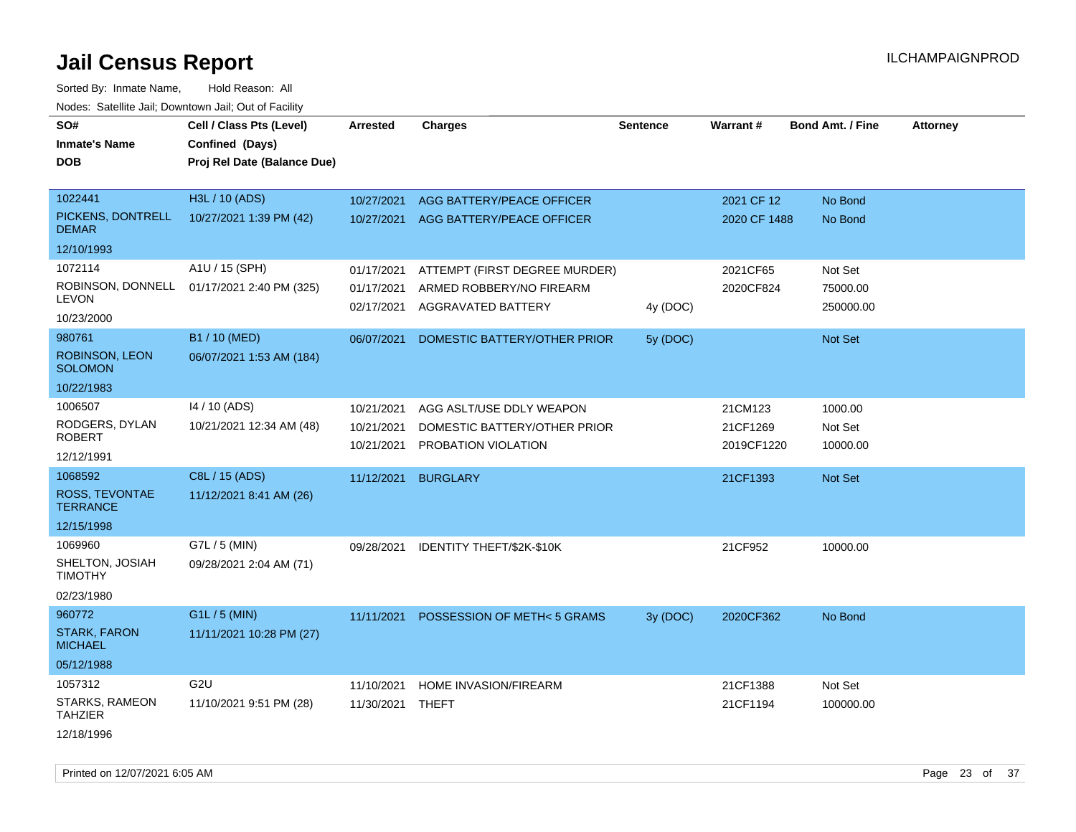| SO#<br><b>Inmate's Name</b><br><b>DOB</b>                     | Cell / Class Pts (Level)<br>Confined (Days)<br>Proj Rel Date (Balance Due) | <b>Arrested</b>                        | <b>Charges</b>                                                                  | <b>Sentence</b> | Warrant#                          | <b>Bond Amt. / Fine</b>          | <b>Attorney</b> |
|---------------------------------------------------------------|----------------------------------------------------------------------------|----------------------------------------|---------------------------------------------------------------------------------|-----------------|-----------------------------------|----------------------------------|-----------------|
| 1022441<br>PICKENS, DONTRELL<br><b>DEMAR</b>                  | H3L / 10 (ADS)<br>10/27/2021 1:39 PM (42)                                  | 10/27/2021<br>10/27/2021               | AGG BATTERY/PEACE OFFICER<br>AGG BATTERY/PEACE OFFICER                          |                 | 2021 CF 12<br>2020 CF 1488        | No Bond<br>No Bond               |                 |
| 12/10/1993                                                    |                                                                            |                                        |                                                                                 |                 |                                   |                                  |                 |
| 1072114<br>ROBINSON, DONNELL<br><b>LEVON</b><br>10/23/2000    | A1U / 15 (SPH)<br>01/17/2021 2:40 PM (325)                                 | 01/17/2021<br>01/17/2021<br>02/17/2021 | ATTEMPT (FIRST DEGREE MURDER)<br>ARMED ROBBERY/NO FIREARM<br>AGGRAVATED BATTERY | 4y (DOC)        | 2021CF65<br>2020CF824             | Not Set<br>75000.00<br>250000.00 |                 |
| 980761<br>ROBINSON, LEON<br><b>SOLOMON</b><br>10/22/1983      | B1 / 10 (MED)<br>06/07/2021 1:53 AM (184)                                  | 06/07/2021                             | DOMESTIC BATTERY/OTHER PRIOR                                                    | 5y (DOC)        |                                   | Not Set                          |                 |
| 1006507<br>RODGERS, DYLAN<br><b>ROBERT</b><br>12/12/1991      | 14 / 10 (ADS)<br>10/21/2021 12:34 AM (48)                                  | 10/21/2021<br>10/21/2021<br>10/21/2021 | AGG ASLT/USE DDLY WEAPON<br>DOMESTIC BATTERY/OTHER PRIOR<br>PROBATION VIOLATION |                 | 21CM123<br>21CF1269<br>2019CF1220 | 1000.00<br>Not Set<br>10000.00   |                 |
| 1068592<br>ROSS, TEVONTAE<br><b>TERRANCE</b><br>12/15/1998    | C8L / 15 (ADS)<br>11/12/2021 8:41 AM (26)                                  | 11/12/2021                             | <b>BURGLARY</b>                                                                 |                 | 21CF1393                          | <b>Not Set</b>                   |                 |
| 1069960<br>SHELTON, JOSIAH<br><b>TIMOTHY</b><br>02/23/1980    | G7L / 5 (MIN)<br>09/28/2021 2:04 AM (71)                                   | 09/28/2021                             | IDENTITY THEFT/\$2K-\$10K                                                       |                 | 21CF952                           | 10000.00                         |                 |
| 960772<br><b>STARK, FARON</b><br><b>MICHAEL</b><br>05/12/1988 | G1L / 5 (MIN)<br>11/11/2021 10:28 PM (27)                                  | 11/11/2021                             | POSSESSION OF METH<5 GRAMS                                                      | 3y (DOC)        | 2020CF362                         | No Bond                          |                 |
| 1057312<br>STARKS, RAMEON<br><b>TAHZIER</b><br>12/18/1996     | G <sub>2U</sub><br>11/10/2021 9:51 PM (28)                                 | 11/10/2021<br>11/30/2021               | HOME INVASION/FIREARM<br>THEFT                                                  |                 | 21CF1388<br>21CF1194              | Not Set<br>100000.00             |                 |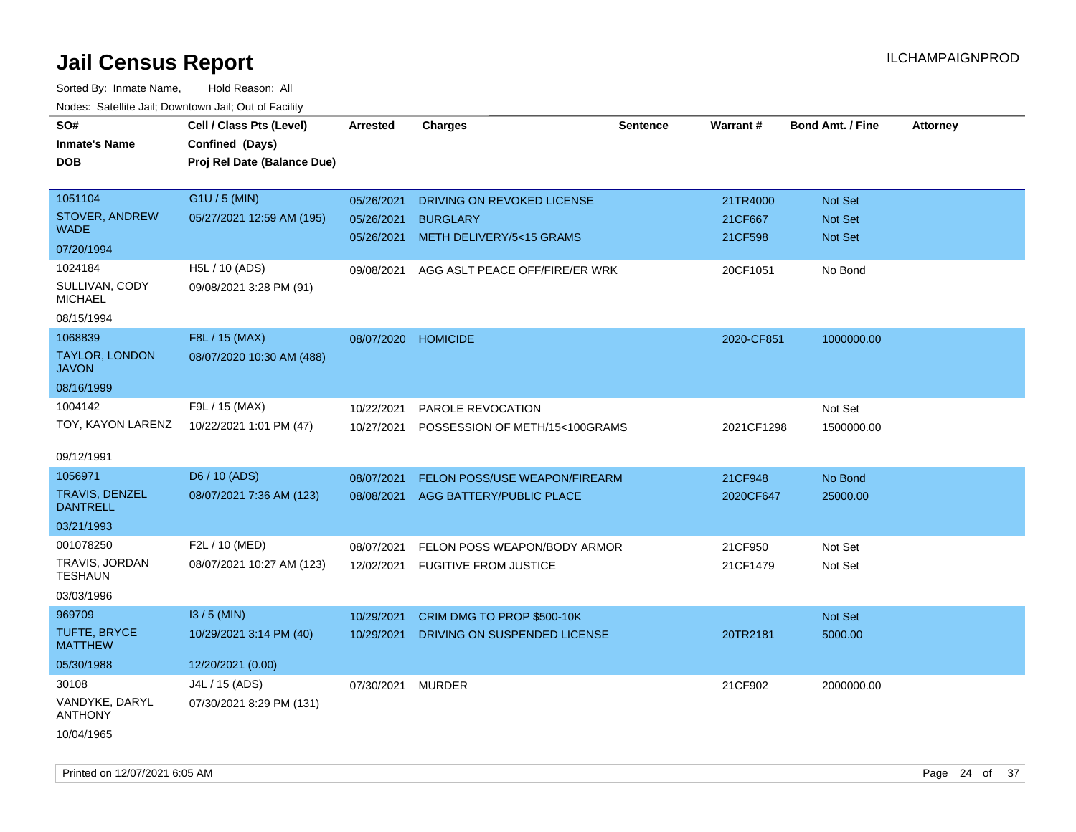| SO#                                   | Cell / Class Pts (Level)    | <b>Arrested</b>   | <b>Charges</b>                       | <b>Sentence</b> | Warrant#   | <b>Bond Amt. / Fine</b> | <b>Attorney</b> |
|---------------------------------------|-----------------------------|-------------------|--------------------------------------|-----------------|------------|-------------------------|-----------------|
| <b>Inmate's Name</b>                  | Confined (Days)             |                   |                                      |                 |            |                         |                 |
| <b>DOB</b>                            | Proj Rel Date (Balance Due) |                   |                                      |                 |            |                         |                 |
|                                       |                             |                   |                                      |                 |            |                         |                 |
| 1051104                               | G1U / 5 (MIN)               | 05/26/2021        | DRIVING ON REVOKED LICENSE           |                 | 21TR4000   | <b>Not Set</b>          |                 |
| <b>STOVER, ANDREW</b>                 | 05/27/2021 12:59 AM (195)   | 05/26/2021        | <b>BURGLARY</b>                      |                 | 21CF667    | Not Set                 |                 |
| <b>WADE</b>                           |                             | 05/26/2021        | METH DELIVERY/5<15 GRAMS             |                 | 21CF598    | Not Set                 |                 |
| 07/20/1994                            |                             |                   |                                      |                 |            |                         |                 |
| 1024184                               | H5L / 10 (ADS)              | 09/08/2021        | AGG ASLT PEACE OFF/FIRE/ER WRK       |                 | 20CF1051   | No Bond                 |                 |
| SULLIVAN, CODY<br><b>MICHAEL</b>      | 09/08/2021 3:28 PM (91)     |                   |                                      |                 |            |                         |                 |
| 08/15/1994                            |                             |                   |                                      |                 |            |                         |                 |
| 1068839                               | F8L / 15 (MAX)              | 08/07/2020        | <b>HOMICIDE</b>                      |                 | 2020-CF851 | 1000000.00              |                 |
| <b>TAYLOR, LONDON</b><br><b>JAVON</b> | 08/07/2020 10:30 AM (488)   |                   |                                      |                 |            |                         |                 |
| 08/16/1999                            |                             |                   |                                      |                 |            |                         |                 |
| 1004142                               | F9L / 15 (MAX)              | 10/22/2021        | <b>PAROLE REVOCATION</b>             |                 |            | Not Set                 |                 |
| TOY, KAYON LARENZ                     | 10/22/2021 1:01 PM (47)     | 10/27/2021        | POSSESSION OF METH/15<100GRAMS       |                 | 2021CF1298 | 1500000.00              |                 |
|                                       |                             |                   |                                      |                 |            |                         |                 |
| 09/12/1991                            |                             |                   |                                      |                 |            |                         |                 |
| 1056971                               | D6 / 10 (ADS)               | 08/07/2021        | <b>FELON POSS/USE WEAPON/FIREARM</b> |                 | 21CF948    | No Bond                 |                 |
| TRAVIS, DENZEL<br><b>DANTRELL</b>     | 08/07/2021 7:36 AM (123)    | 08/08/2021        | AGG BATTERY/PUBLIC PLACE             |                 | 2020CF647  | 25000.00                |                 |
| 03/21/1993                            |                             |                   |                                      |                 |            |                         |                 |
| 001078250                             | F2L / 10 (MED)              | 08/07/2021        | FELON POSS WEAPON/BODY ARMOR         |                 | 21CF950    | Not Set                 |                 |
| TRAVIS, JORDAN<br><b>TESHAUN</b>      | 08/07/2021 10:27 AM (123)   | 12/02/2021        | <b>FUGITIVE FROM JUSTICE</b>         |                 | 21CF1479   | Not Set                 |                 |
| 03/03/1996                            |                             |                   |                                      |                 |            |                         |                 |
| 969709                                | $13/5$ (MIN)                | 10/29/2021        | CRIM DMG TO PROP \$500-10K           |                 |            | Not Set                 |                 |
| TUFTE, BRYCE<br><b>MATTHEW</b>        | 10/29/2021 3:14 PM (40)     | 10/29/2021        | DRIVING ON SUSPENDED LICENSE         |                 | 20TR2181   | 5000.00                 |                 |
| 05/30/1988                            | 12/20/2021 (0.00)           |                   |                                      |                 |            |                         |                 |
| 30108                                 | J4L / 15 (ADS)              | 07/30/2021 MURDER |                                      |                 | 21CF902    | 2000000.00              |                 |
| VANDYKE, DARYL<br><b>ANTHONY</b>      | 07/30/2021 8:29 PM (131)    |                   |                                      |                 |            |                         |                 |
| 10/04/1965                            |                             |                   |                                      |                 |            |                         |                 |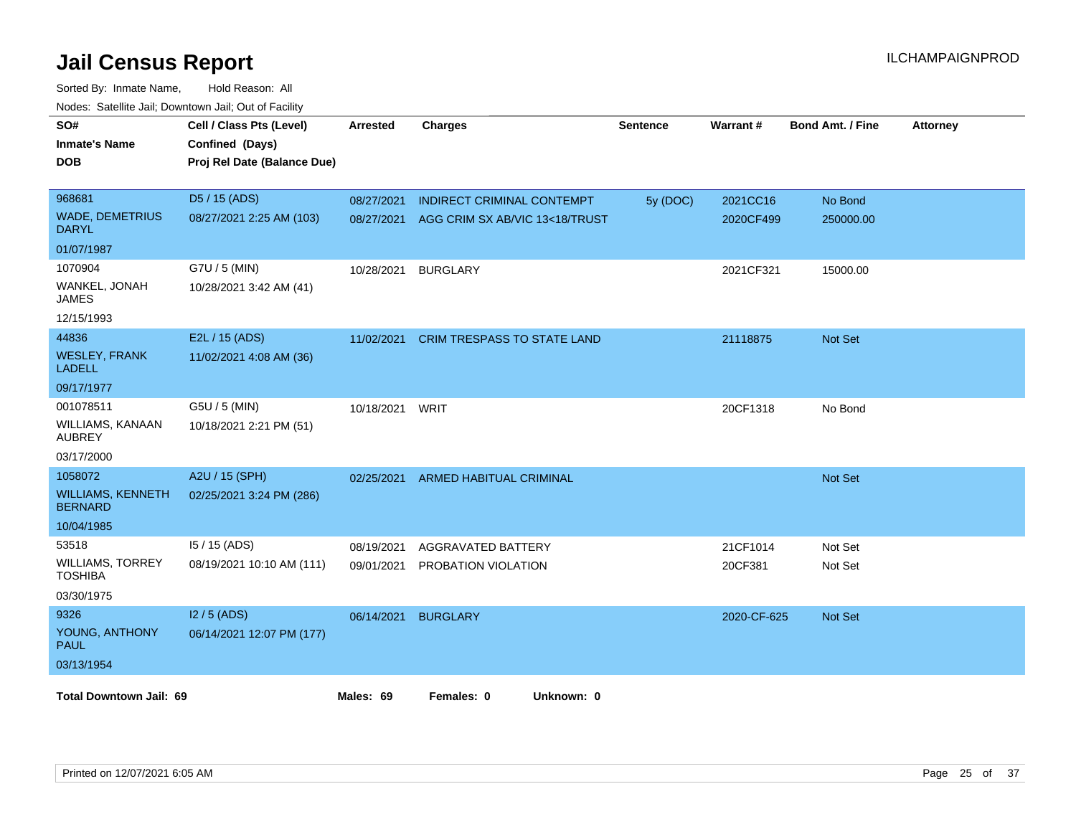| SO#<br><b>Inmate's Name</b><br><b>DOB</b>  | Cell / Class Pts (Level)<br>Confined (Days)<br>Proj Rel Date (Balance Due) | <b>Arrested</b> | <b>Charges</b>                     | Sentence | Warrant#    | <b>Bond Amt. / Fine</b> | <b>Attorney</b> |
|--------------------------------------------|----------------------------------------------------------------------------|-----------------|------------------------------------|----------|-------------|-------------------------|-----------------|
| 968681                                     | D5 / 15 (ADS)                                                              | 08/27/2021      | <b>INDIRECT CRIMINAL CONTEMPT</b>  | 5y (DOC) | 2021CC16    | No Bond                 |                 |
| <b>WADE, DEMETRIUS</b><br><b>DARYL</b>     | 08/27/2021 2:25 AM (103)                                                   | 08/27/2021      | AGG CRIM SX AB/VIC 13<18/TRUST     |          | 2020CF499   | 250000.00               |                 |
| 01/07/1987                                 |                                                                            |                 |                                    |          |             |                         |                 |
| 1070904                                    | G7U / 5 (MIN)                                                              | 10/28/2021      | <b>BURGLARY</b>                    |          | 2021CF321   | 15000.00                |                 |
| WANKEL, JONAH<br><b>JAMES</b>              | 10/28/2021 3:42 AM (41)                                                    |                 |                                    |          |             |                         |                 |
| 12/15/1993                                 |                                                                            |                 |                                    |          |             |                         |                 |
| 44836                                      | E2L / 15 (ADS)                                                             | 11/02/2021      | <b>CRIM TRESPASS TO STATE LAND</b> |          | 21118875    | <b>Not Set</b>          |                 |
| <b>WESLEY, FRANK</b><br><b>LADELL</b>      | 11/02/2021 4:08 AM (36)                                                    |                 |                                    |          |             |                         |                 |
| 09/17/1977                                 |                                                                            |                 |                                    |          |             |                         |                 |
| 001078511                                  | G5U / 5 (MIN)                                                              | 10/18/2021      | WRIT                               |          | 20CF1318    | No Bond                 |                 |
| WILLIAMS, KANAAN<br><b>AUBREY</b>          | 10/18/2021 2:21 PM (51)                                                    |                 |                                    |          |             |                         |                 |
| 03/17/2000                                 |                                                                            |                 |                                    |          |             |                         |                 |
| 1058072                                    | A2U / 15 (SPH)                                                             | 02/25/2021      | ARMED HABITUAL CRIMINAL            |          |             | <b>Not Set</b>          |                 |
| <b>WILLIAMS, KENNETH</b><br><b>BERNARD</b> | 02/25/2021 3:24 PM (286)                                                   |                 |                                    |          |             |                         |                 |
| 10/04/1985                                 |                                                                            |                 |                                    |          |             |                         |                 |
| 53518                                      | I5 / 15 (ADS)                                                              | 08/19/2021      | AGGRAVATED BATTERY                 |          | 21CF1014    | Not Set                 |                 |
| <b>WILLIAMS, TORREY</b><br><b>TOSHIBA</b>  | 08/19/2021 10:10 AM (111)                                                  | 09/01/2021      | PROBATION VIOLATION                |          | 20CF381     | Not Set                 |                 |
| 03/30/1975                                 |                                                                            |                 |                                    |          |             |                         |                 |
| 9326                                       | $12/5$ (ADS)                                                               | 06/14/2021      | <b>BURGLARY</b>                    |          | 2020-CF-625 | <b>Not Set</b>          |                 |
| YOUNG, ANTHONY<br><b>PAUL</b>              | 06/14/2021 12:07 PM (177)                                                  |                 |                                    |          |             |                         |                 |
| 03/13/1954                                 |                                                                            |                 |                                    |          |             |                         |                 |
| <b>Total Downtown Jail: 69</b>             |                                                                            | Males: 69       | Females: 0<br>Unknown: 0           |          |             |                         |                 |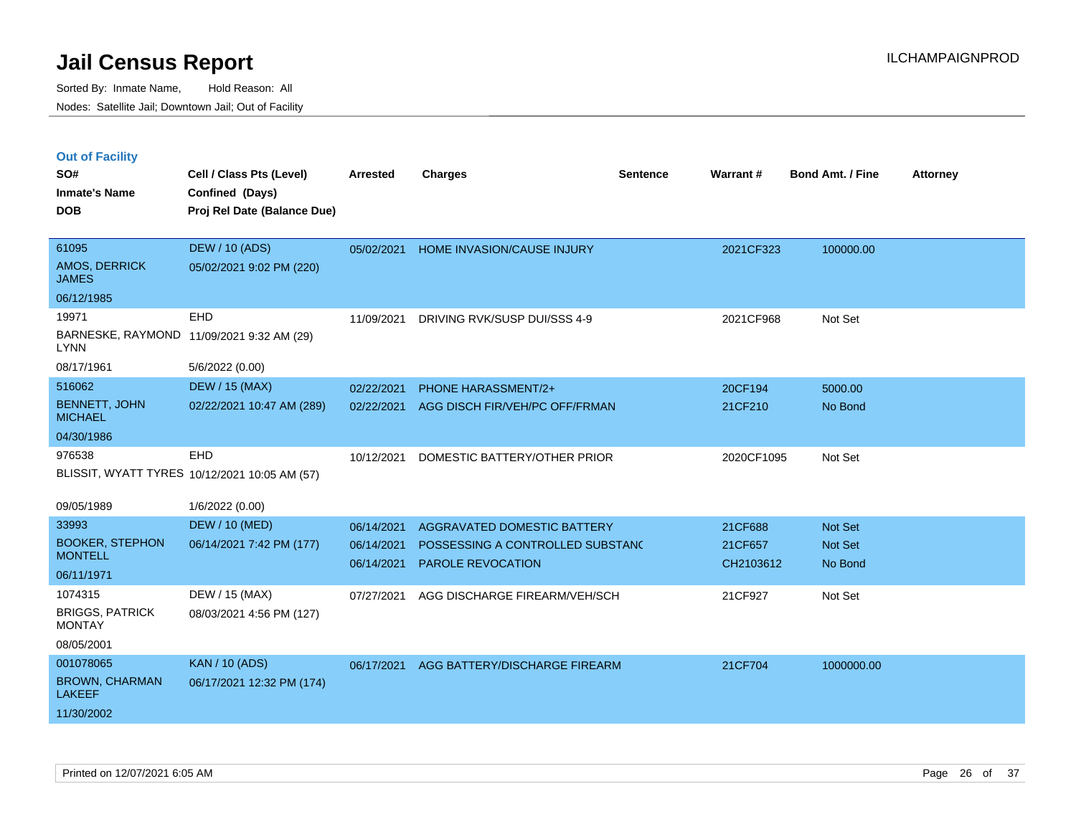|  | <b>Out of Facility</b> |  |
|--|------------------------|--|

| SO#<br><b>Inmate's Name</b><br><b>DOB</b>                         | Cell / Class Pts (Level)<br>Confined (Days)<br>Proj Rel Date (Balance Due) | <b>Arrested</b>          | <b>Charges</b>                                               | <b>Sentence</b> | Warrant#             | <b>Bond Amt. / Fine</b> | <b>Attorney</b> |
|-------------------------------------------------------------------|----------------------------------------------------------------------------|--------------------------|--------------------------------------------------------------|-----------------|----------------------|-------------------------|-----------------|
| 61095<br>AMOS, DERRICK<br><b>JAMES</b>                            | <b>DEW / 10 (ADS)</b><br>05/02/2021 9:02 PM (220)                          | 05/02/2021               | HOME INVASION/CAUSE INJURY                                   |                 | 2021CF323            | 100000.00               |                 |
| 06/12/1985<br>19971                                               | EHD<br>BARNESKE, RAYMOND 11/09/2021 9:32 AM (29)                           | 11/09/2021               | DRIVING RVK/SUSP DUI/SSS 4-9                                 |                 | 2021CF968            | Not Set                 |                 |
| <b>LYNN</b><br>08/17/1961                                         | 5/6/2022 (0.00)                                                            |                          |                                                              |                 |                      |                         |                 |
| 516062<br><b>BENNETT, JOHN</b><br><b>MICHAEL</b>                  | <b>DEW / 15 (MAX)</b><br>02/22/2021 10:47 AM (289)                         | 02/22/2021<br>02/22/2021 | PHONE HARASSMENT/2+<br>AGG DISCH FIR/VEH/PC OFF/FRMAN        |                 | 20CF194<br>21CF210   | 5000.00<br>No Bond      |                 |
| 04/30/1986                                                        |                                                                            |                          |                                                              |                 |                      |                         |                 |
| 976538                                                            | EHD<br>BLISSIT, WYATT TYRES 10/12/2021 10:05 AM (57)                       | 10/12/2021               | DOMESTIC BATTERY/OTHER PRIOR                                 |                 | 2020CF1095           | Not Set                 |                 |
| 09/05/1989                                                        | 1/6/2022 (0.00)                                                            |                          |                                                              |                 |                      |                         |                 |
| 33993                                                             | <b>DEW / 10 (MED)</b>                                                      | 06/14/2021               | AGGRAVATED DOMESTIC BATTERY                                  |                 | 21CF688              | Not Set                 |                 |
| <b>BOOKER, STEPHON</b><br><b>MONTELL</b>                          | 06/14/2021 7:42 PM (177)                                                   | 06/14/2021<br>06/14/2021 | POSSESSING A CONTROLLED SUBSTANC<br><b>PAROLE REVOCATION</b> |                 | 21CF657<br>CH2103612 | Not Set<br>No Bond      |                 |
| 06/11/1971                                                        |                                                                            |                          |                                                              |                 |                      |                         |                 |
| 1074315                                                           | DEW / 15 (MAX)                                                             | 07/27/2021               | AGG DISCHARGE FIREARM/VEH/SCH                                |                 | 21CF927              | Not Set                 |                 |
| <b>BRIGGS, PATRICK</b><br><b>MONTAY</b>                           | 08/03/2021 4:56 PM (127)                                                   |                          |                                                              |                 |                      |                         |                 |
| 08/05/2001                                                        |                                                                            |                          |                                                              |                 |                      |                         |                 |
| 001078065<br><b>BROWN, CHARMAN</b><br><b>LAKEEF</b><br>11/30/2002 | <b>KAN / 10 (ADS)</b><br>06/17/2021 12:32 PM (174)                         | 06/17/2021               | AGG BATTERY/DISCHARGE FIREARM                                |                 | 21CF704              | 1000000.00              |                 |
|                                                                   |                                                                            |                          |                                                              |                 |                      |                         |                 |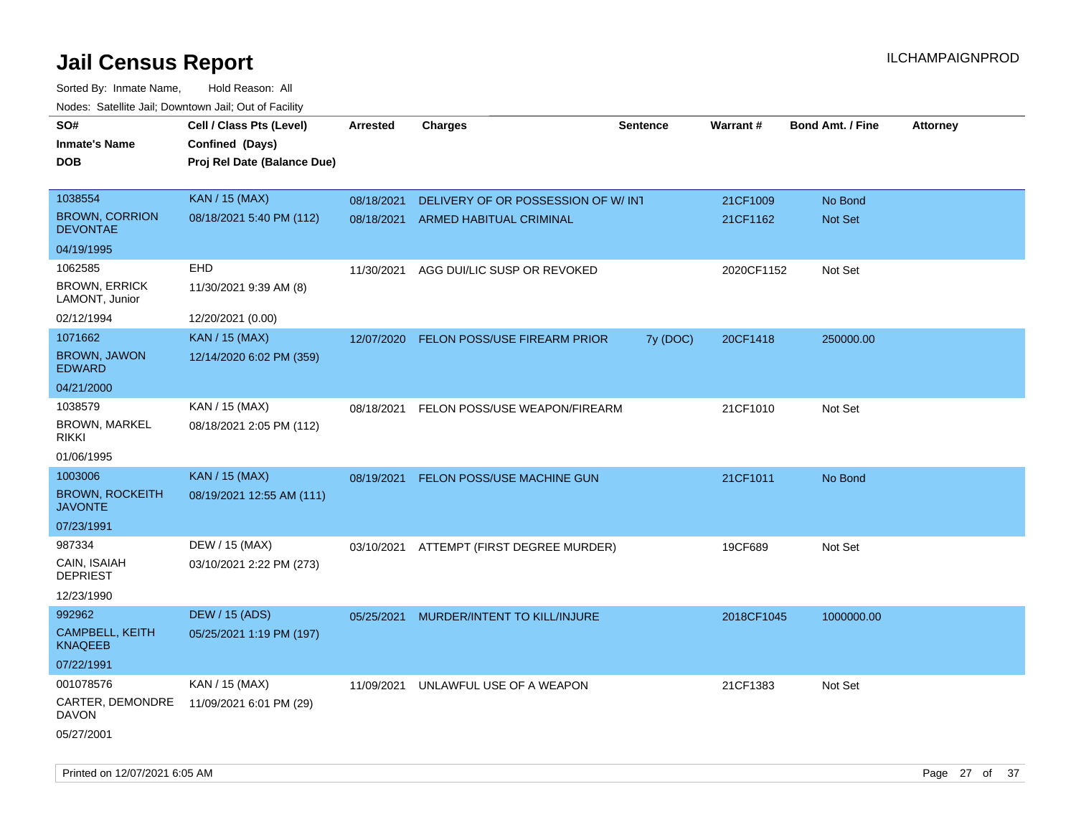| roaco. Catolino cali, Downtown cali, Out of Fability |                             |                 |                                          |                 |            |                         |                 |
|------------------------------------------------------|-----------------------------|-----------------|------------------------------------------|-----------------|------------|-------------------------|-----------------|
| SO#                                                  | Cell / Class Pts (Level)    | <b>Arrested</b> | <b>Charges</b>                           | <b>Sentence</b> | Warrant#   | <b>Bond Amt. / Fine</b> | <b>Attorney</b> |
| <b>Inmate's Name</b>                                 | Confined (Days)             |                 |                                          |                 |            |                         |                 |
| <b>DOB</b>                                           | Proj Rel Date (Balance Due) |                 |                                          |                 |            |                         |                 |
|                                                      |                             |                 |                                          |                 |            |                         |                 |
| 1038554                                              | <b>KAN / 15 (MAX)</b>       | 08/18/2021      | DELIVERY OF OR POSSESSION OF W/INT       |                 | 21CF1009   | No Bond                 |                 |
| <b>BROWN, CORRION</b><br><b>DEVONTAE</b>             | 08/18/2021 5:40 PM (112)    | 08/18/2021      | <b>ARMED HABITUAL CRIMINAL</b>           |                 | 21CF1162   | Not Set                 |                 |
| 04/19/1995                                           |                             |                 |                                          |                 |            |                         |                 |
| 1062585                                              | <b>EHD</b>                  | 11/30/2021      | AGG DUI/LIC SUSP OR REVOKED              |                 | 2020CF1152 | Not Set                 |                 |
| <b>BROWN, ERRICK</b><br>LAMONT, Junior               | 11/30/2021 9:39 AM (8)      |                 |                                          |                 |            |                         |                 |
| 02/12/1994                                           | 12/20/2021 (0.00)           |                 |                                          |                 |            |                         |                 |
| 1071662                                              | <b>KAN / 15 (MAX)</b>       | 12/07/2020      | FELON POSS/USE FIREARM PRIOR             | 7y (DOC)        | 20CF1418   | 250000.00               |                 |
| <b>BROWN, JAWON</b><br><b>EDWARD</b>                 | 12/14/2020 6:02 PM (359)    |                 |                                          |                 |            |                         |                 |
| 04/21/2000                                           |                             |                 |                                          |                 |            |                         |                 |
| 1038579                                              | KAN / 15 (MAX)              | 08/18/2021      | FELON POSS/USE WEAPON/FIREARM            |                 | 21CF1010   | Not Set                 |                 |
| BROWN, MARKEL<br>rikki                               | 08/18/2021 2:05 PM (112)    |                 |                                          |                 |            |                         |                 |
| 01/06/1995                                           |                             |                 |                                          |                 |            |                         |                 |
| 1003006                                              | <b>KAN / 15 (MAX)</b>       | 08/19/2021      | FELON POSS/USE MACHINE GUN               |                 | 21CF1011   | No Bond                 |                 |
| <b>BROWN, ROCKEITH</b><br><b>JAVONTE</b>             | 08/19/2021 12:55 AM (111)   |                 |                                          |                 |            |                         |                 |
| 07/23/1991                                           |                             |                 |                                          |                 |            |                         |                 |
| 987334                                               | DEW / 15 (MAX)              |                 | 03/10/2021 ATTEMPT (FIRST DEGREE MURDER) |                 | 19CF689    | Not Set                 |                 |
| CAIN, ISAIAH<br><b>DEPRIEST</b>                      | 03/10/2021 2:22 PM (273)    |                 |                                          |                 |            |                         |                 |
| 12/23/1990                                           |                             |                 |                                          |                 |            |                         |                 |
| 992962                                               | <b>DEW / 15 (ADS)</b>       | 05/25/2021      | MURDER/INTENT TO KILL/INJURE             |                 | 2018CF1045 | 1000000.00              |                 |
| CAMPBELL, KEITH<br>KNAQEEB                           | 05/25/2021 1:19 PM (197)    |                 |                                          |                 |            |                         |                 |
| 07/22/1991                                           |                             |                 |                                          |                 |            |                         |                 |
| 001078576                                            | KAN / 15 (MAX)              | 11/09/2021      | UNLAWFUL USE OF A WEAPON                 |                 | 21CF1383   | Not Set                 |                 |
| CARTER, DEMONDRE<br>DAVON                            | 11/09/2021 6:01 PM (29)     |                 |                                          |                 |            |                         |                 |
| 05/27/2001                                           |                             |                 |                                          |                 |            |                         |                 |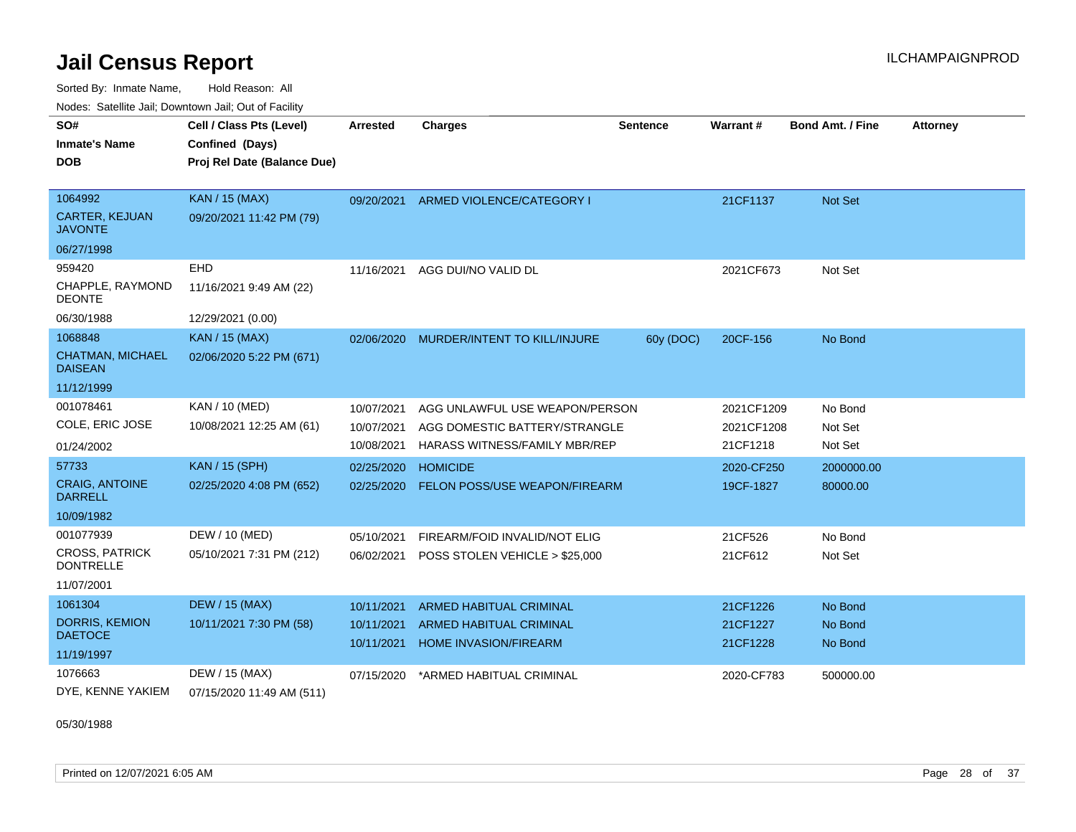Sorted By: Inmate Name, Hold Reason: All Nodes: Satellite Jail; Downtown Jail; Out of Facility

| SO#<br><b>Inmate's Name</b><br><b>DOB</b> | Cell / Class Pts (Level)<br>Confined (Days)<br>Proj Rel Date (Balance Due) | <b>Arrested</b> | <b>Charges</b>                       | Sentence  | Warrant#   | <b>Bond Amt. / Fine</b> | <b>Attorney</b> |
|-------------------------------------------|----------------------------------------------------------------------------|-----------------|--------------------------------------|-----------|------------|-------------------------|-----------------|
| 1064992                                   | KAN / 15 (MAX)                                                             | 09/20/2021      | ARMED VIOLENCE/CATEGORY I            |           | 21CF1137   | <b>Not Set</b>          |                 |
| CARTER, KEJUAN<br><b>JAVONTE</b>          | 09/20/2021 11:42 PM (79)                                                   |                 |                                      |           |            |                         |                 |
| 06/27/1998                                |                                                                            |                 |                                      |           |            |                         |                 |
| 959420                                    | <b>EHD</b>                                                                 | 11/16/2021      | AGG DUI/NO VALID DL                  |           | 2021CF673  | Not Set                 |                 |
| CHAPPLE, RAYMOND<br><b>DEONTE</b>         | 11/16/2021 9:49 AM (22)                                                    |                 |                                      |           |            |                         |                 |
| 06/30/1988                                | 12/29/2021 (0.00)                                                          |                 |                                      |           |            |                         |                 |
| 1068848                                   | <b>KAN / 15 (MAX)</b>                                                      | 02/06/2020      | MURDER/INTENT TO KILL/INJURE         | 60y (DOC) | 20CF-156   | No Bond                 |                 |
| <b>CHATMAN, MICHAEL</b><br><b>DAISEAN</b> | 02/06/2020 5:22 PM (671)                                                   |                 |                                      |           |            |                         |                 |
| 11/12/1999                                |                                                                            |                 |                                      |           |            |                         |                 |
| 001078461                                 | KAN / 10 (MED)                                                             | 10/07/2021      | AGG UNLAWFUL USE WEAPON/PERSON       |           | 2021CF1209 | No Bond                 |                 |
| COLE, ERIC JOSE                           | 10/08/2021 12:25 AM (61)                                                   | 10/07/2021      | AGG DOMESTIC BATTERY/STRANGLE        |           | 2021CF1208 | Not Set                 |                 |
| 01/24/2002                                |                                                                            | 10/08/2021      | HARASS WITNESS/FAMILY MBR/REP        |           | 21CF1218   | Not Set                 |                 |
| 57733                                     | <b>KAN / 15 (SPH)</b>                                                      | 02/25/2020      | <b>HOMICIDE</b>                      |           | 2020-CF250 | 2000000.00              |                 |
| <b>CRAIG, ANTOINE</b><br><b>DARRELL</b>   | 02/25/2020 4:08 PM (652)                                                   | 02/25/2020      | <b>FELON POSS/USE WEAPON/FIREARM</b> |           | 19CF-1827  | 80000.00                |                 |
| 10/09/1982                                |                                                                            |                 |                                      |           |            |                         |                 |
| 001077939                                 | DEW / 10 (MED)                                                             | 05/10/2021      | FIREARM/FOID INVALID/NOT ELIG        |           | 21CF526    | No Bond                 |                 |
| <b>CROSS, PATRICK</b><br><b>DONTRELLE</b> | 05/10/2021 7:31 PM (212)                                                   | 06/02/2021      | POSS STOLEN VEHICLE > \$25,000       |           | 21CF612    | Not Set                 |                 |
| 11/07/2001                                |                                                                            |                 |                                      |           |            |                         |                 |
| 1061304                                   | <b>DEW / 15 (MAX)</b>                                                      | 10/11/2021      | <b>ARMED HABITUAL CRIMINAL</b>       |           | 21CF1226   | No Bond                 |                 |
| <b>DORRIS, KEMION</b>                     | 10/11/2021 7:30 PM (58)                                                    | 10/11/2021      | <b>ARMED HABITUAL CRIMINAL</b>       |           | 21CF1227   | No Bond                 |                 |
| <b>DAETOCE</b>                            |                                                                            | 10/11/2021      | <b>HOME INVASION/FIREARM</b>         |           | 21CF1228   | No Bond                 |                 |
| 11/19/1997                                |                                                                            |                 |                                      |           |            |                         |                 |
| 1076663                                   | DEW / 15 (MAX)                                                             | 07/15/2020      | *ARMED HABITUAL CRIMINAL             |           | 2020-CF783 | 500000.00               |                 |
| DYE, KENNE YAKIEM                         | 07/15/2020 11:49 AM (511)                                                  |                 |                                      |           |            |                         |                 |

05/30/1988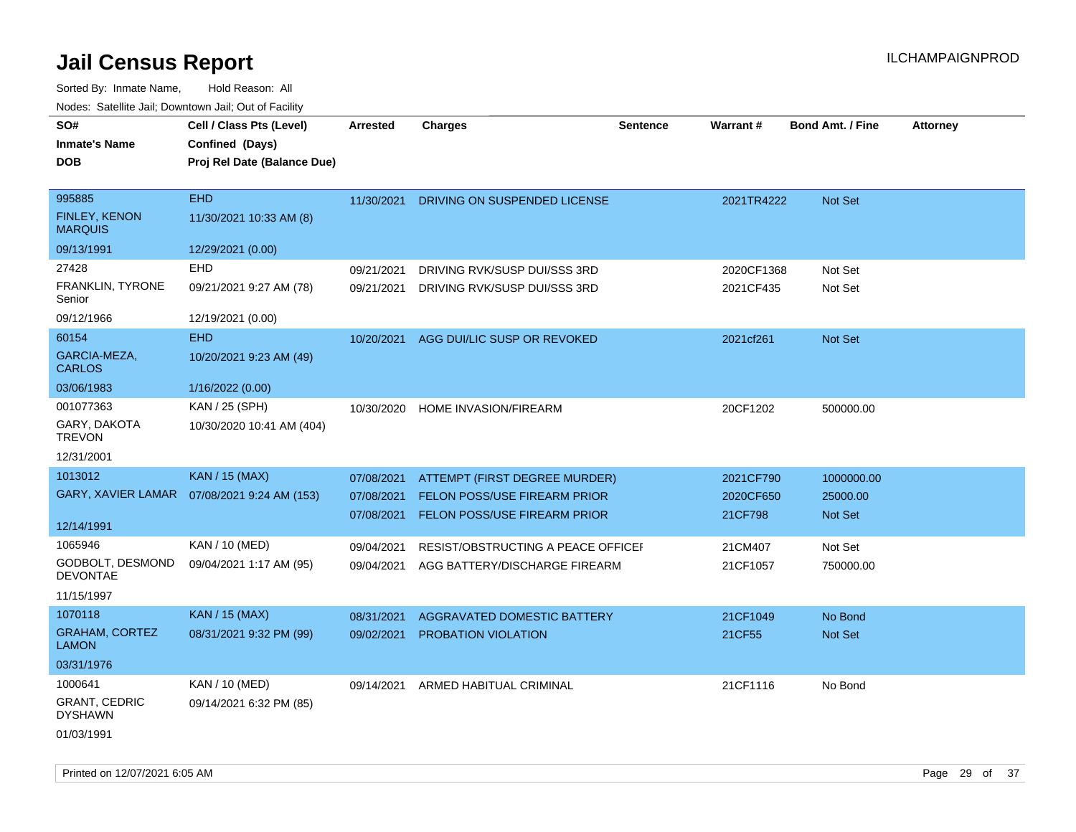| SO#                                    | Cell / Class Pts (Level)    | Arrested   | <b>Charges</b>                      | <b>Sentence</b> | Warrant#   | <b>Bond Amt. / Fine</b> | <b>Attorney</b> |
|----------------------------------------|-----------------------------|------------|-------------------------------------|-----------------|------------|-------------------------|-----------------|
| Inmate's Name                          | Confined (Days)             |            |                                     |                 |            |                         |                 |
| DOB                                    | Proj Rel Date (Balance Due) |            |                                     |                 |            |                         |                 |
|                                        |                             |            |                                     |                 |            |                         |                 |
| 995885                                 | <b>EHD</b>                  | 11/30/2021 | DRIVING ON SUSPENDED LICENSE        |                 | 2021TR4222 | Not Set                 |                 |
| <b>FINLEY, KENON</b><br><b>MARQUIS</b> | 11/30/2021 10:33 AM (8)     |            |                                     |                 |            |                         |                 |
| 09/13/1991                             | 12/29/2021 (0.00)           |            |                                     |                 |            |                         |                 |
| 27428                                  | <b>EHD</b>                  | 09/21/2021 | DRIVING RVK/SUSP DUI/SSS 3RD        |                 | 2020CF1368 | Not Set                 |                 |
| FRANKLIN, TYRONE<br>Senior             | 09/21/2021 9:27 AM (78)     | 09/21/2021 | DRIVING RVK/SUSP DUI/SSS 3RD        |                 | 2021CF435  | Not Set                 |                 |
| 09/12/1966                             | 12/19/2021 (0.00)           |            |                                     |                 |            |                         |                 |
| 60154                                  | <b>EHD</b>                  | 10/20/2021 | AGG DUI/LIC SUSP OR REVOKED         |                 | 2021cf261  | Not Set                 |                 |
| GARCIA-MEZA,<br><b>CARLOS</b>          | 10/20/2021 9:23 AM (49)     |            |                                     |                 |            |                         |                 |
| 03/06/1983                             | 1/16/2022 (0.00)            |            |                                     |                 |            |                         |                 |
| 001077363                              | KAN / 25 (SPH)              | 10/30/2020 | HOME INVASION/FIREARM               |                 | 20CF1202   | 500000.00               |                 |
| GARY, DAKOTA<br><b>TREVON</b>          | 10/30/2020 10:41 AM (404)   |            |                                     |                 |            |                         |                 |
| 12/31/2001                             |                             |            |                                     |                 |            |                         |                 |
| 1013012                                | <b>KAN / 15 (MAX)</b>       | 07/08/2021 | ATTEMPT (FIRST DEGREE MURDER)       |                 | 2021CF790  | 1000000.00              |                 |
| GARY, XAVIER LAMAR                     | 07/08/2021 9:24 AM (153)    | 07/08/2021 | <b>FELON POSS/USE FIREARM PRIOR</b> |                 | 2020CF650  | 25000.00                |                 |
|                                        |                             | 07/08/2021 | <b>FELON POSS/USE FIREARM PRIOR</b> |                 | 21CF798    | <b>Not Set</b>          |                 |
| 12/14/1991                             |                             |            |                                     |                 |            |                         |                 |
| 1065946                                | KAN / 10 (MED)              | 09/04/2021 | RESIST/OBSTRUCTING A PEACE OFFICEF  |                 | 21CM407    | Not Set                 |                 |
| GODBOLT, DESMOND<br>DEVONTAE           | 09/04/2021 1:17 AM (95)     | 09/04/2021 | AGG BATTERY/DISCHARGE FIREARM       |                 | 21CF1057   | 750000.00               |                 |
| 11/15/1997                             |                             |            |                                     |                 |            |                         |                 |
| 1070118                                | <b>KAN / 15 (MAX)</b>       | 08/31/2021 | <b>AGGRAVATED DOMESTIC BATTERY</b>  |                 | 21CF1049   | No Bond                 |                 |
| <b>GRAHAM, CORTEZ</b><br><b>LAMON</b>  | 08/31/2021 9:32 PM (99)     | 09/02/2021 | <b>PROBATION VIOLATION</b>          |                 | 21CF55     | <b>Not Set</b>          |                 |
| 03/31/1976                             |                             |            |                                     |                 |            |                         |                 |
| 1000641                                | KAN / 10 (MED)              | 09/14/2021 | ARMED HABITUAL CRIMINAL             |                 | 21CF1116   | No Bond                 |                 |
| <b>GRANT, CEDRIC</b><br><b>DYSHAWN</b> | 09/14/2021 6:32 PM (85)     |            |                                     |                 |            |                         |                 |
| 01/03/1991                             |                             |            |                                     |                 |            |                         |                 |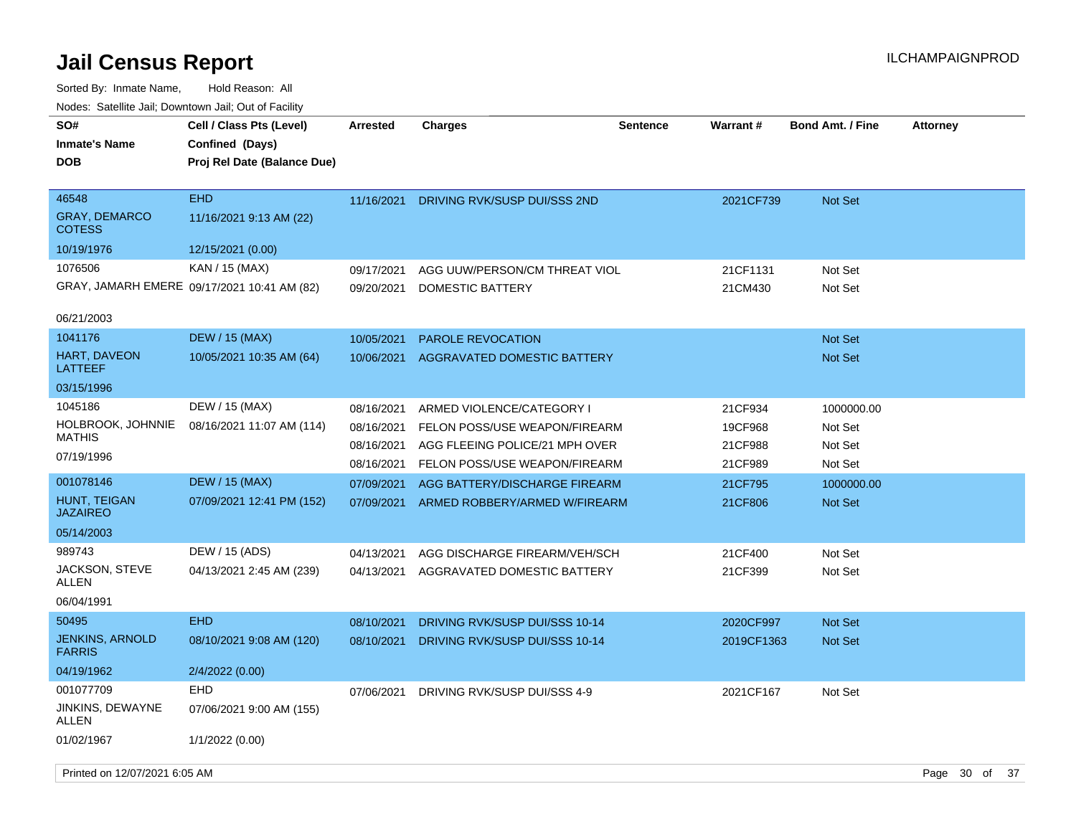| SO#<br><b>Inmate's Name</b><br>DOB             | Cell / Class Pts (Level)<br>Confined (Days)<br>Proj Rel Date (Balance Due) | <b>Arrested</b>          | <b>Charges</b>                                                  | <b>Sentence</b> | Warrant#           | <b>Bond Amt. / Fine</b> | <b>Attorney</b> |    |  |
|------------------------------------------------|----------------------------------------------------------------------------|--------------------------|-----------------------------------------------------------------|-----------------|--------------------|-------------------------|-----------------|----|--|
| 46548<br><b>GRAY, DEMARCO</b><br><b>COTESS</b> | <b>EHD</b><br>11/16/2021 9:13 AM (22)                                      | 11/16/2021               | DRIVING RVK/SUSP DUI/SSS 2ND                                    |                 | 2021CF739          | Not Set                 |                 |    |  |
| 10/19/1976                                     | 12/15/2021 (0.00)                                                          |                          |                                                                 |                 |                    |                         |                 |    |  |
| 1076506                                        | KAN / 15 (MAX)                                                             | 09/17/2021               | AGG UUW/PERSON/CM THREAT VIOL                                   |                 | 21CF1131           | Not Set                 |                 |    |  |
|                                                | GRAY, JAMARH EMERE 09/17/2021 10:41 AM (82)                                | 09/20/2021               | DOMESTIC BATTERY                                                |                 | 21CM430            | Not Set                 |                 |    |  |
| 06/21/2003                                     |                                                                            |                          |                                                                 |                 |                    |                         |                 |    |  |
| 1041176                                        | <b>DEW / 15 (MAX)</b>                                                      | 10/05/2021               | <b>PAROLE REVOCATION</b>                                        |                 |                    | Not Set                 |                 |    |  |
| HART, DAVEON<br>LATTEEF                        | 10/05/2021 10:35 AM (64)                                                   | 10/06/2021               | AGGRAVATED DOMESTIC BATTERY                                     |                 |                    | Not Set                 |                 |    |  |
| 03/15/1996                                     |                                                                            |                          |                                                                 |                 |                    |                         |                 |    |  |
| 1045186                                        | DEW / 15 (MAX)                                                             | 08/16/2021               | ARMED VIOLENCE/CATEGORY I                                       |                 | 21CF934            | 1000000.00              |                 |    |  |
| HOLBROOK, JOHNNIE<br><b>MATHIS</b>             | 08/16/2021 11:07 AM (114)                                                  | 08/16/2021               | FELON POSS/USE WEAPON/FIREARM                                   |                 | 19CF968            | Not Set                 |                 |    |  |
| 07/19/1996                                     |                                                                            | 08/16/2021<br>08/16/2021 | AGG FLEEING POLICE/21 MPH OVER<br>FELON POSS/USE WEAPON/FIREARM |                 | 21CF988<br>21CF989 | Not Set<br>Not Set      |                 |    |  |
| 001078146                                      | <b>DEW / 15 (MAX)</b>                                                      | 07/09/2021               | AGG BATTERY/DISCHARGE FIREARM                                   |                 | 21CF795            | 1000000.00              |                 |    |  |
| <b>HUNT, TEIGAN</b><br><b>JAZAIREO</b>         | 07/09/2021 12:41 PM (152)                                                  | 07/09/2021               | ARMED ROBBERY/ARMED W/FIREARM                                   |                 | 21CF806            | Not Set                 |                 |    |  |
| 05/14/2003                                     |                                                                            |                          |                                                                 |                 |                    |                         |                 |    |  |
| 989743                                         | DEW / 15 (ADS)                                                             | 04/13/2021               | AGG DISCHARGE FIREARM/VEH/SCH                                   |                 | 21CF400            | Not Set                 |                 |    |  |
| JACKSON, STEVE<br>ALLEN                        | 04/13/2021 2:45 AM (239)                                                   | 04/13/2021               | AGGRAVATED DOMESTIC BATTERY                                     |                 | 21CF399            | Not Set                 |                 |    |  |
| 06/04/1991                                     |                                                                            |                          |                                                                 |                 |                    |                         |                 |    |  |
| 50495                                          | <b>EHD</b>                                                                 | 08/10/2021               | DRIVING RVK/SUSP DUI/SSS 10-14                                  |                 | 2020CF997          | <b>Not Set</b>          |                 |    |  |
| <b>JENKINS, ARNOLD</b><br><b>FARRIS</b>        | 08/10/2021 9:08 AM (120)                                                   | 08/10/2021               | DRIVING RVK/SUSP DUI/SSS 10-14                                  |                 | 2019CF1363         | <b>Not Set</b>          |                 |    |  |
| 04/19/1962                                     | 2/4/2022 (0.00)                                                            |                          |                                                                 |                 |                    |                         |                 |    |  |
| 001077709                                      | <b>EHD</b>                                                                 | 07/06/2021               | DRIVING RVK/SUSP DUI/SSS 4-9                                    |                 | 2021CF167          | Not Set                 |                 |    |  |
| JINKINS, DEWAYNE<br><b>ALLEN</b>               | 07/06/2021 9:00 AM (155)                                                   |                          |                                                                 |                 |                    |                         |                 |    |  |
| 01/02/1967                                     | 1/1/2022 (0.00)                                                            |                          |                                                                 |                 |                    |                         |                 |    |  |
| Printed on 12/07/2021 6:05 AM                  |                                                                            |                          |                                                                 |                 |                    |                         | Page 30 of      | 37 |  |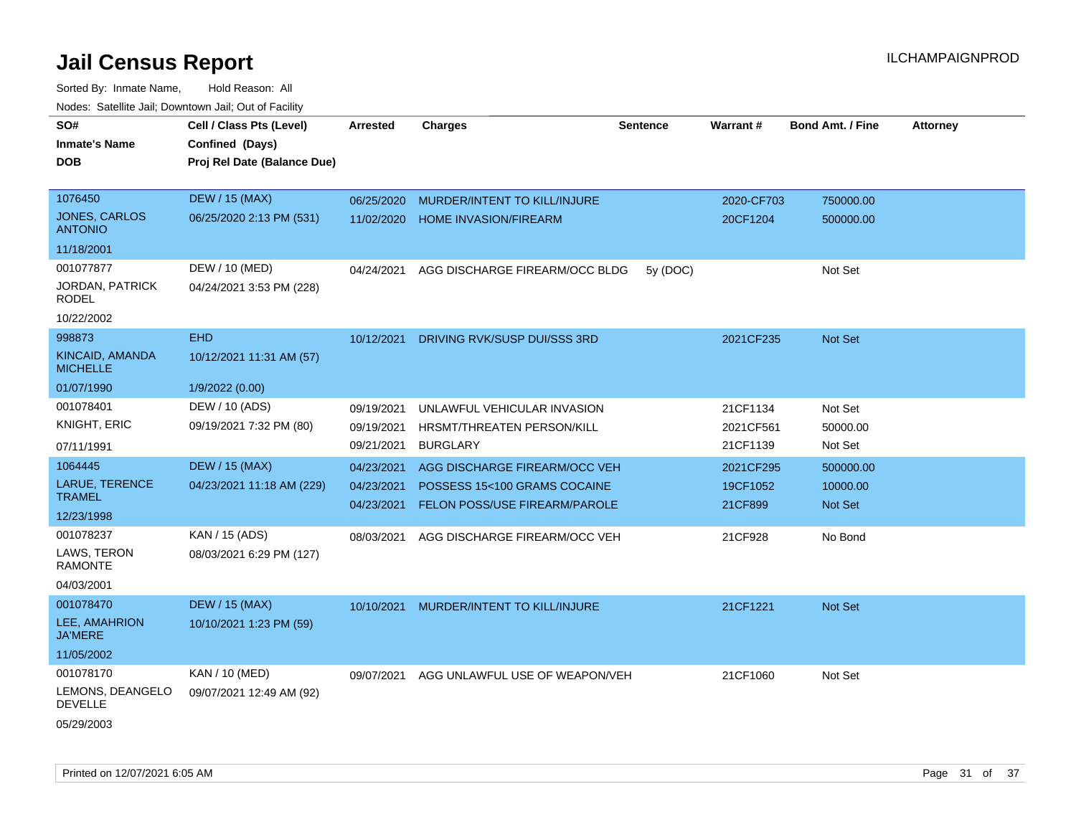| SO#<br><b>Inmate's Name</b><br><b>DOB</b> | Cell / Class Pts (Level)<br>Confined (Days)<br>Proj Rel Date (Balance Due) | <b>Arrested</b>          | <b>Charges</b>                                                       | <b>Sentence</b> | <b>Warrant#</b>     | <b>Bond Amt. / Fine</b> | <b>Attorney</b> |
|-------------------------------------------|----------------------------------------------------------------------------|--------------------------|----------------------------------------------------------------------|-----------------|---------------------|-------------------------|-----------------|
|                                           |                                                                            |                          |                                                                      |                 |                     |                         |                 |
| 1076450                                   | <b>DEW / 15 (MAX)</b>                                                      | 06/25/2020               | MURDER/INTENT TO KILL/INJURE                                         |                 | 2020-CF703          | 750000.00               |                 |
| <b>JONES, CARLOS</b><br><b>ANTONIO</b>    | 06/25/2020 2:13 PM (531)                                                   | 11/02/2020               | <b>HOME INVASION/FIREARM</b>                                         |                 | 20CF1204            | 500000.00               |                 |
| 11/18/2001                                |                                                                            |                          |                                                                      |                 |                     |                         |                 |
| 001077877                                 | DEW / 10 (MED)                                                             | 04/24/2021               | AGG DISCHARGE FIREARM/OCC BLDG                                       | 5y (DOC)        |                     | Not Set                 |                 |
| <b>JORDAN, PATRICK</b><br>RODEL           | 04/24/2021 3:53 PM (228)                                                   |                          |                                                                      |                 |                     |                         |                 |
| 10/22/2002                                |                                                                            |                          |                                                                      |                 |                     |                         |                 |
| 998873                                    | <b>EHD</b>                                                                 | 10/12/2021               | DRIVING RVK/SUSP DUI/SSS 3RD                                         |                 | 2021CF235           | Not Set                 |                 |
| KINCAID, AMANDA<br><b>MICHELLE</b>        | 10/12/2021 11:31 AM (57)                                                   |                          |                                                                      |                 |                     |                         |                 |
| 01/07/1990                                | 1/9/2022 (0.00)                                                            |                          |                                                                      |                 |                     |                         |                 |
| 001078401                                 | DEW / 10 (ADS)                                                             | 09/19/2021               | UNLAWFUL VEHICULAR INVASION                                          |                 | 21CF1134            | Not Set                 |                 |
| KNIGHT, ERIC                              | 09/19/2021 7:32 PM (80)                                                    | 09/19/2021               | HRSMT/THREATEN PERSON/KILL                                           |                 | 2021CF561           | 50000.00                |                 |
| 07/11/1991                                |                                                                            | 09/21/2021               | <b>BURGLARY</b>                                                      |                 | 21CF1139            | Not Set                 |                 |
| 1064445                                   | <b>DEW / 15 (MAX)</b>                                                      | 04/23/2021               | AGG DISCHARGE FIREARM/OCC VEH                                        |                 | 2021CF295           | 500000.00               |                 |
| LARUE, TERENCE<br><b>TRAMEL</b>           | 04/23/2021 11:18 AM (229)                                                  | 04/23/2021<br>04/23/2021 | POSSESS 15<100 GRAMS COCAINE<br><b>FELON POSS/USE FIREARM/PAROLE</b> |                 | 19CF1052<br>21CF899 | 10000.00<br>Not Set     |                 |
| 12/23/1998                                |                                                                            |                          |                                                                      |                 |                     |                         |                 |
| 001078237                                 | KAN / 15 (ADS)                                                             | 08/03/2021               | AGG DISCHARGE FIREARM/OCC VEH                                        |                 | 21CF928             | No Bond                 |                 |
| LAWS, TERON<br><b>RAMONTE</b>             | 08/03/2021 6:29 PM (127)                                                   |                          |                                                                      |                 |                     |                         |                 |
| 04/03/2001                                |                                                                            |                          |                                                                      |                 |                     |                         |                 |
| 001078470                                 | <b>DEW / 15 (MAX)</b>                                                      | 10/10/2021               | MURDER/INTENT TO KILL/INJURE                                         |                 | 21CF1221            | Not Set                 |                 |
| LEE, AMAHRION<br><b>JA'MERE</b>           | 10/10/2021 1:23 PM (59)                                                    |                          |                                                                      |                 |                     |                         |                 |
| 11/05/2002                                |                                                                            |                          |                                                                      |                 |                     |                         |                 |
| 001078170                                 | KAN / 10 (MED)                                                             | 09/07/2021               | AGG UNLAWFUL USE OF WEAPON/VEH                                       |                 | 21CF1060            | Not Set                 |                 |
| LEMONS, DEANGELO<br><b>DEVELLE</b>        | 09/07/2021 12:49 AM (92)                                                   |                          |                                                                      |                 |                     |                         |                 |
| 05/29/2003                                |                                                                            |                          |                                                                      |                 |                     |                         |                 |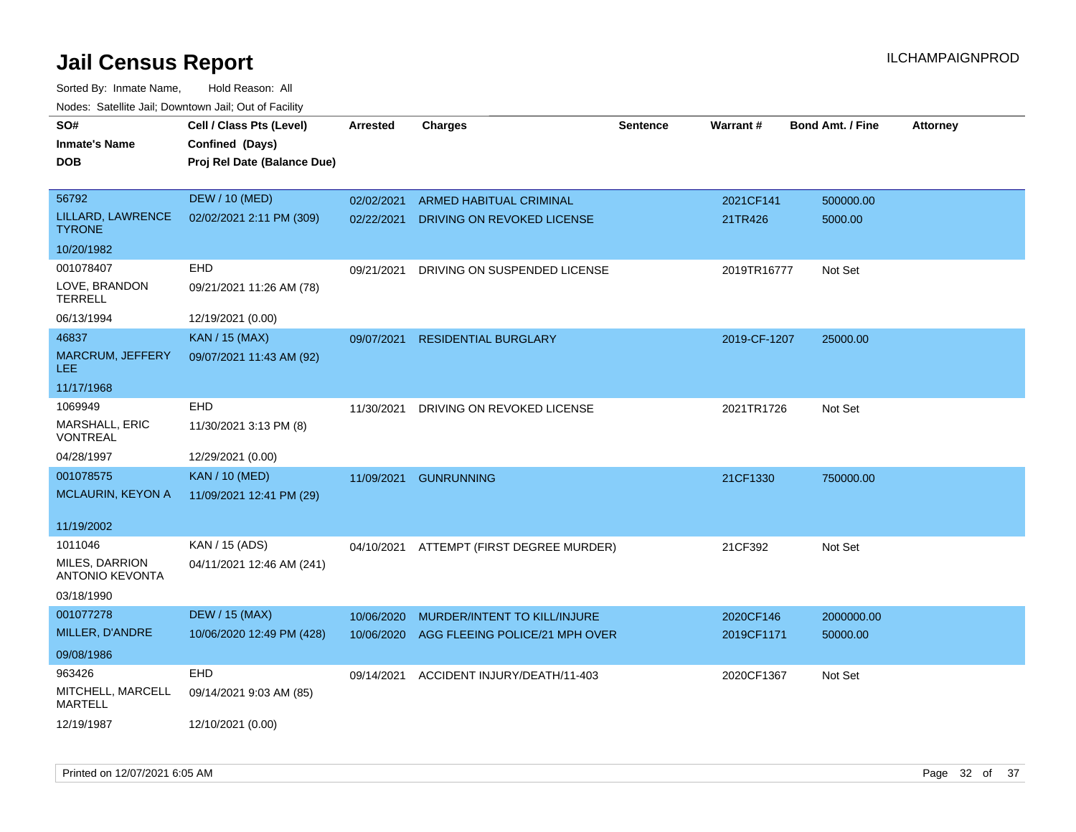| SO#                                      | Cell / Class Pts (Level)    | <b>Arrested</b> | <b>Charges</b>                           | <b>Sentence</b> | Warrant#     | <b>Bond Amt. / Fine</b> | <b>Attorney</b> |
|------------------------------------------|-----------------------------|-----------------|------------------------------------------|-----------------|--------------|-------------------------|-----------------|
| Inmate's Name                            | Confined (Days)             |                 |                                          |                 |              |                         |                 |
| <b>DOB</b>                               | Proj Rel Date (Balance Due) |                 |                                          |                 |              |                         |                 |
|                                          |                             |                 |                                          |                 |              |                         |                 |
| 56792                                    | <b>DEW / 10 (MED)</b>       | 02/02/2021      | <b>ARMED HABITUAL CRIMINAL</b>           |                 | 2021CF141    | 500000.00               |                 |
| LILLARD, LAWRENCE<br><b>TYRONE</b>       | 02/02/2021 2:11 PM (309)    | 02/22/2021      | DRIVING ON REVOKED LICENSE               |                 | 21TR426      | 5000.00                 |                 |
| 10/20/1982                               |                             |                 |                                          |                 |              |                         |                 |
| 001078407                                | EHD                         | 09/21/2021      | DRIVING ON SUSPENDED LICENSE             |                 | 2019TR16777  | Not Set                 |                 |
| LOVE, BRANDON<br><b>TERRELL</b>          | 09/21/2021 11:26 AM (78)    |                 |                                          |                 |              |                         |                 |
| 06/13/1994                               | 12/19/2021 (0.00)           |                 |                                          |                 |              |                         |                 |
| 46837                                    | <b>KAN / 15 (MAX)</b>       | 09/07/2021      | <b>RESIDENTIAL BURGLARY</b>              |                 | 2019-CF-1207 | 25000.00                |                 |
| <b>MARCRUM, JEFFERY</b><br>LEE.          | 09/07/2021 11:43 AM (92)    |                 |                                          |                 |              |                         |                 |
| 11/17/1968                               |                             |                 |                                          |                 |              |                         |                 |
| 1069949                                  | <b>EHD</b>                  | 11/30/2021      | DRIVING ON REVOKED LICENSE               |                 | 2021TR1726   | Not Set                 |                 |
| MARSHALL, ERIC<br>VONTREAL               | 11/30/2021 3:13 PM (8)      |                 |                                          |                 |              |                         |                 |
| 04/28/1997                               | 12/29/2021 (0.00)           |                 |                                          |                 |              |                         |                 |
| 001078575                                | <b>KAN / 10 (MED)</b>       | 11/09/2021      | <b>GUNRUNNING</b>                        |                 | 21CF1330     | 750000.00               |                 |
| MCLAURIN, KEYON A                        | 11/09/2021 12:41 PM (29)    |                 |                                          |                 |              |                         |                 |
|                                          |                             |                 |                                          |                 |              |                         |                 |
| 11/19/2002                               |                             |                 |                                          |                 |              |                         |                 |
| 1011046                                  | KAN / 15 (ADS)              |                 | 04/10/2021 ATTEMPT (FIRST DEGREE MURDER) |                 | 21CF392      | Not Set                 |                 |
| MILES, DARRION<br><b>ANTONIO KEVONTA</b> | 04/11/2021 12:46 AM (241)   |                 |                                          |                 |              |                         |                 |
| 03/18/1990                               |                             |                 |                                          |                 |              |                         |                 |
| 001077278                                | <b>DEW / 15 (MAX)</b>       | 10/06/2020      | MURDER/INTENT TO KILL/INJURE             |                 | 2020CF146    | 2000000.00              |                 |
| MILLER, D'ANDRE                          | 10/06/2020 12:49 PM (428)   | 10/06/2020      | AGG FLEEING POLICE/21 MPH OVER           |                 | 2019CF1171   | 50000.00                |                 |
| 09/08/1986                               |                             |                 |                                          |                 |              |                         |                 |
| 963426                                   | EHD                         | 09/14/2021      | ACCIDENT INJURY/DEATH/11-403             |                 | 2020CF1367   | Not Set                 |                 |
| MITCHELL, MARCELL<br><b>MARTELL</b>      | 09/14/2021 9:03 AM (85)     |                 |                                          |                 |              |                         |                 |
| 12/19/1987                               | 12/10/2021 (0.00)           |                 |                                          |                 |              |                         |                 |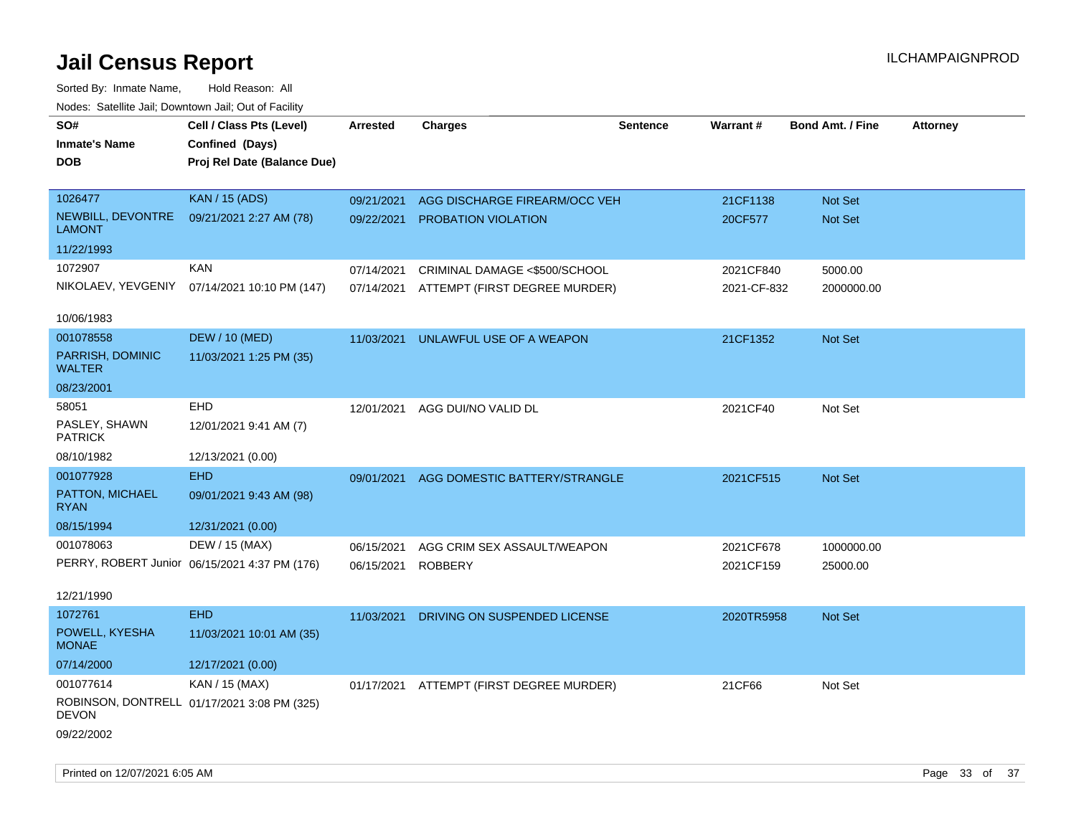| rouco. Calcillo Jali, Downtown Jali, Out of Facility |                                               |                 |                                          |          |             |                         |                 |
|------------------------------------------------------|-----------------------------------------------|-----------------|------------------------------------------|----------|-------------|-------------------------|-----------------|
| SO#<br><b>Inmate's Name</b>                          | Cell / Class Pts (Level)<br>Confined (Days)   | <b>Arrested</b> | <b>Charges</b>                           | Sentence | Warrant#    | <b>Bond Amt. / Fine</b> | <b>Attorney</b> |
| DOB                                                  | Proj Rel Date (Balance Due)                   |                 |                                          |          |             |                         |                 |
| 1026477                                              | <b>KAN / 15 (ADS)</b>                         | 09/21/2021      | AGG DISCHARGE FIREARM/OCC VEH            |          | 21CF1138    | Not Set                 |                 |
| NEWBILL, DEVONTRE<br><b>LAMONT</b>                   | 09/21/2021 2:27 AM (78)                       | 09/22/2021      | PROBATION VIOLATION                      |          | 20CF577     | Not Set                 |                 |
| 11/22/1993                                           |                                               |                 |                                          |          |             |                         |                 |
| 1072907                                              | <b>KAN</b>                                    | 07/14/2021      | CRIMINAL DAMAGE <\$500/SCHOOL            |          | 2021CF840   | 5000.00                 |                 |
|                                                      | NIKOLAEV, YEVGENIY 07/14/2021 10:10 PM (147)  | 07/14/2021      | ATTEMPT (FIRST DEGREE MURDER)            |          | 2021-CF-832 | 2000000.00              |                 |
| 10/06/1983                                           |                                               |                 |                                          |          |             |                         |                 |
| 001078558                                            | <b>DEW / 10 (MED)</b>                         | 11/03/2021      | UNLAWFUL USE OF A WEAPON                 |          | 21CF1352    | Not Set                 |                 |
| PARRISH, DOMINIC<br><b>WALTER</b>                    | 11/03/2021 1:25 PM (35)                       |                 |                                          |          |             |                         |                 |
| 08/23/2001                                           |                                               |                 |                                          |          |             |                         |                 |
| 58051                                                | <b>EHD</b>                                    | 12/01/2021      | AGG DUI/NO VALID DL                      |          | 2021CF40    | Not Set                 |                 |
| PASLEY, SHAWN<br><b>PATRICK</b>                      | 12/01/2021 9:41 AM (7)                        |                 |                                          |          |             |                         |                 |
| 08/10/1982                                           | 12/13/2021 (0.00)                             |                 |                                          |          |             |                         |                 |
| 001077928                                            | <b>EHD</b>                                    | 09/01/2021      | AGG DOMESTIC BATTERY/STRANGLE            |          | 2021CF515   | <b>Not Set</b>          |                 |
| PATTON, MICHAEL<br><b>RYAN</b>                       | 09/01/2021 9:43 AM (98)                       |                 |                                          |          |             |                         |                 |
| 08/15/1994                                           | 12/31/2021 (0.00)                             |                 |                                          |          |             |                         |                 |
| 001078063                                            | DEW / 15 (MAX)                                | 06/15/2021      | AGG CRIM SEX ASSAULT/WEAPON              |          | 2021CF678   | 1000000.00              |                 |
|                                                      | PERRY, ROBERT Junior 06/15/2021 4:37 PM (176) | 06/15/2021      | <b>ROBBERY</b>                           |          | 2021CF159   | 25000.00                |                 |
|                                                      |                                               |                 |                                          |          |             |                         |                 |
| 12/21/1990                                           |                                               |                 |                                          |          |             |                         |                 |
| 1072761                                              | <b>EHD</b>                                    | 11/03/2021      | DRIVING ON SUSPENDED LICENSE             |          | 2020TR5958  | <b>Not Set</b>          |                 |
| POWELL, KYESHA<br><b>MONAE</b>                       | 11/03/2021 10:01 AM (35)                      |                 |                                          |          |             |                         |                 |
| 07/14/2000                                           | 12/17/2021 (0.00)                             |                 |                                          |          |             |                         |                 |
| 001077614                                            | KAN / 15 (MAX)                                |                 | 01/17/2021 ATTEMPT (FIRST DEGREE MURDER) |          | 21CF66      | Not Set                 |                 |
| DEVON                                                | ROBINSON, DONTRELL 01/17/2021 3:08 PM (325)   |                 |                                          |          |             |                         |                 |
| 09/22/2002                                           |                                               |                 |                                          |          |             |                         |                 |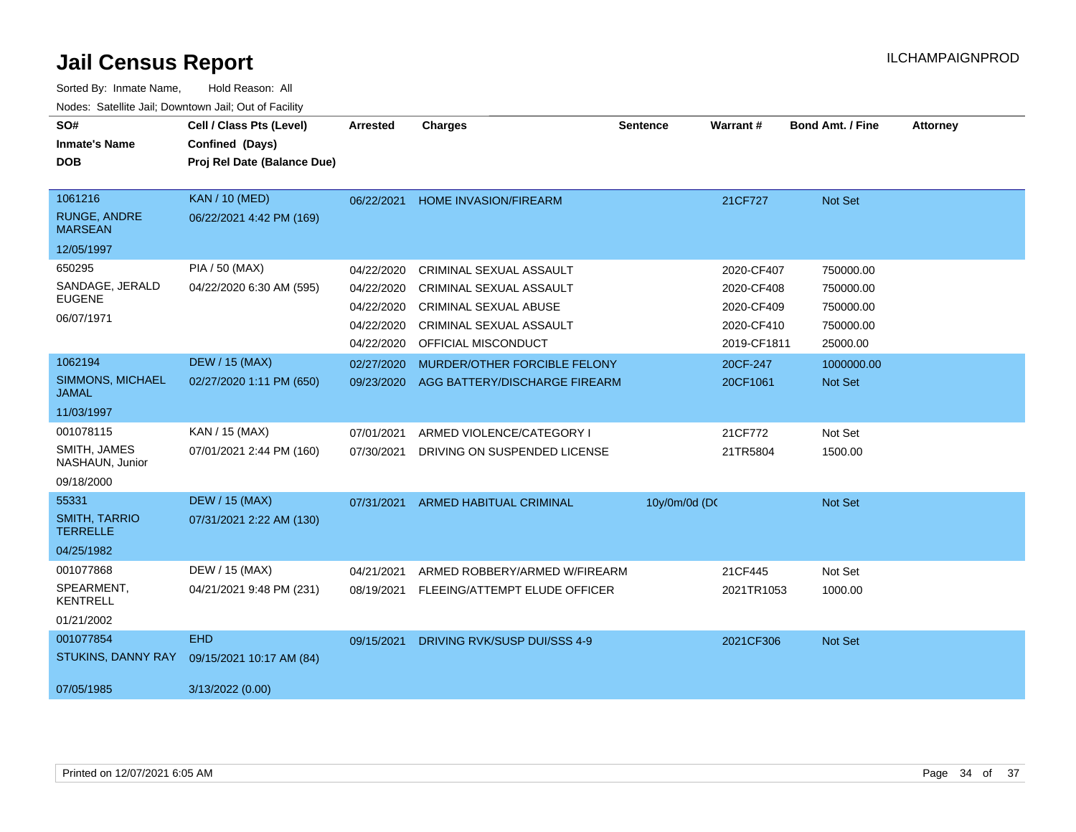| SO#<br><b>Inmate's Name</b><br><b>DOB</b>        | Cell / Class Pts (Level)<br>Confined (Days)<br>Proj Rel Date (Balance Due) | <b>Arrested</b> | <b>Charges</b>                 | <b>Sentence</b> | <b>Warrant#</b> | <b>Bond Amt. / Fine</b> | <b>Attorney</b> |
|--------------------------------------------------|----------------------------------------------------------------------------|-----------------|--------------------------------|-----------------|-----------------|-------------------------|-----------------|
| 1061216<br><b>RUNGE, ANDRE</b><br><b>MARSEAN</b> | <b>KAN / 10 (MED)</b><br>06/22/2021 4:42 PM (169)                          | 06/22/2021      | <b>HOME INVASION/FIREARM</b>   |                 | 21CF727         | Not Set                 |                 |
| 12/05/1997                                       |                                                                            |                 |                                |                 |                 |                         |                 |
| 650295                                           | PIA / 50 (MAX)                                                             | 04/22/2020      | CRIMINAL SEXUAL ASSAULT        |                 | 2020-CF407      | 750000.00               |                 |
| SANDAGE, JERALD<br><b>EUGENE</b>                 | 04/22/2020 6:30 AM (595)                                                   | 04/22/2020      | CRIMINAL SEXUAL ASSAULT        |                 | 2020-CF408      | 750000.00               |                 |
|                                                  |                                                                            | 04/22/2020      | <b>CRIMINAL SEXUAL ABUSE</b>   |                 | 2020-CF409      | 750000.00               |                 |
| 06/07/1971                                       |                                                                            | 04/22/2020      | CRIMINAL SEXUAL ASSAULT        |                 | 2020-CF410      | 750000.00               |                 |
|                                                  |                                                                            | 04/22/2020      | OFFICIAL MISCONDUCT            |                 | 2019-CF1811     | 25000.00                |                 |
| 1062194                                          | <b>DEW / 15 (MAX)</b>                                                      | 02/27/2020      | MURDER/OTHER FORCIBLE FELONY   |                 | 20CF-247        | 1000000.00              |                 |
| SIMMONS, MICHAEL<br><b>JAMAL</b>                 | 02/27/2020 1:11 PM (650)                                                   | 09/23/2020      | AGG BATTERY/DISCHARGE FIREARM  |                 | 20CF1061        | Not Set                 |                 |
| 11/03/1997                                       |                                                                            |                 |                                |                 |                 |                         |                 |
| 001078115                                        | KAN / 15 (MAX)                                                             | 07/01/2021      | ARMED VIOLENCE/CATEGORY I      |                 | 21CF772         | Not Set                 |                 |
| SMITH, JAMES<br>NASHAUN, Junior                  | 07/01/2021 2:44 PM (160)                                                   | 07/30/2021      | DRIVING ON SUSPENDED LICENSE   |                 | 21TR5804        | 1500.00                 |                 |
| 09/18/2000                                       |                                                                            |                 |                                |                 |                 |                         |                 |
| 55331                                            | <b>DEW / 15 (MAX)</b>                                                      | 07/31/2021      | <b>ARMED HABITUAL CRIMINAL</b> | 10y/0m/0d (DC   |                 | Not Set                 |                 |
| <b>SMITH, TARRIO</b><br><b>TERRELLE</b>          | 07/31/2021 2:22 AM (130)                                                   |                 |                                |                 |                 |                         |                 |
| 04/25/1982                                       |                                                                            |                 |                                |                 |                 |                         |                 |
| 001077868                                        | DEW / 15 (MAX)                                                             | 04/21/2021      | ARMED ROBBERY/ARMED W/FIREARM  |                 | 21CF445         | Not Set                 |                 |
| SPEARMENT,<br><b>KENTRELL</b>                    | 04/21/2021 9:48 PM (231)                                                   | 08/19/2021      | FLEEING/ATTEMPT ELUDE OFFICER  |                 | 2021TR1053      | 1000.00                 |                 |
| 01/21/2002                                       |                                                                            |                 |                                |                 |                 |                         |                 |
| 001077854                                        | <b>EHD</b>                                                                 | 09/15/2021      | DRIVING RVK/SUSP DUI/SSS 4-9   |                 | 2021CF306       | Not Set                 |                 |
| STUKINS, DANNY RAY                               | 09/15/2021 10:17 AM (84)                                                   |                 |                                |                 |                 |                         |                 |
| 07/05/1985                                       | 3/13/2022 (0.00)                                                           |                 |                                |                 |                 |                         |                 |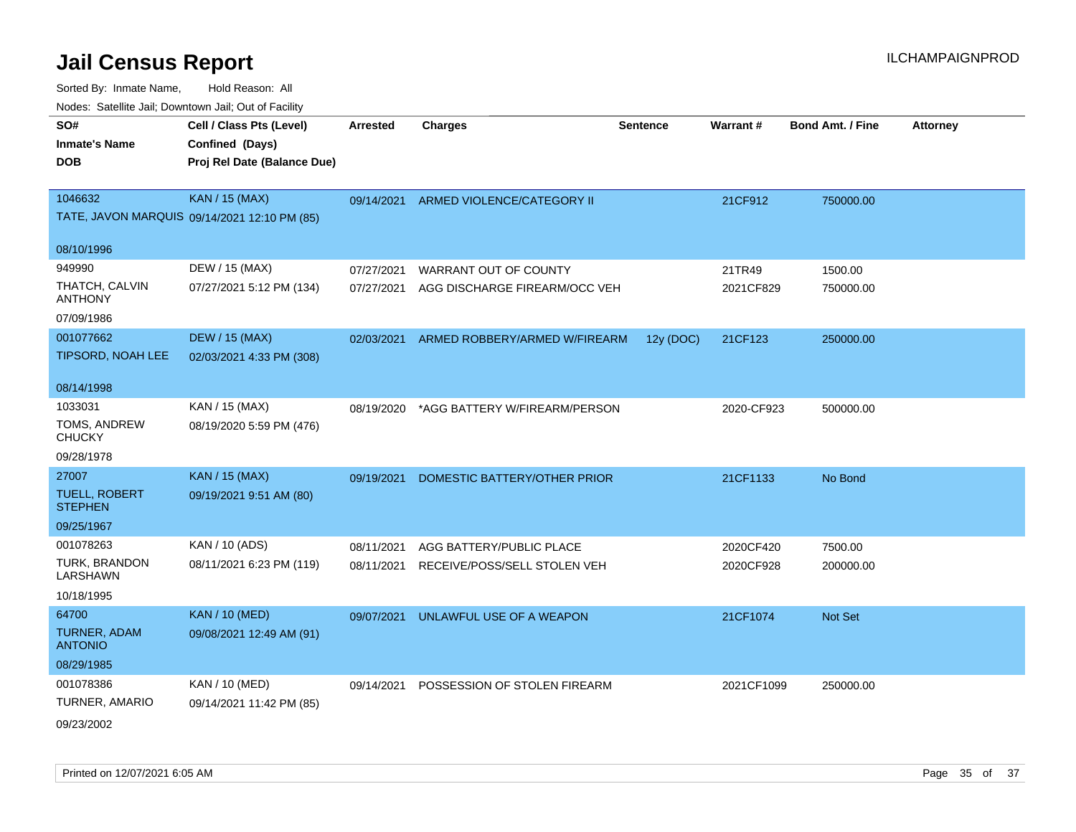| SO#<br><b>Inmate's Name</b><br><b>DOB</b> | Cell / Class Pts (Level)<br>Confined (Days)<br>Proj Rel Date (Balance Due) | <b>Arrested</b> | <b>Charges</b>                | <b>Sentence</b> | Warrant#   | <b>Bond Amt. / Fine</b> | <b>Attorney</b> |
|-------------------------------------------|----------------------------------------------------------------------------|-----------------|-------------------------------|-----------------|------------|-------------------------|-----------------|
|                                           |                                                                            |                 |                               |                 |            |                         |                 |
| 1046632                                   | <b>KAN / 15 (MAX)</b>                                                      | 09/14/2021      | ARMED VIOLENCE/CATEGORY II    |                 | 21CF912    | 750000.00               |                 |
|                                           | TATE, JAVON MARQUIS 09/14/2021 12:10 PM (85)                               |                 |                               |                 |            |                         |                 |
| 08/10/1996                                |                                                                            |                 |                               |                 |            |                         |                 |
| 949990                                    | DEW / 15 (MAX)                                                             | 07/27/2021      | WARRANT OUT OF COUNTY         |                 | 21TR49     | 1500.00                 |                 |
| THATCH, CALVIN<br><b>ANTHONY</b>          | 07/27/2021 5:12 PM (134)                                                   | 07/27/2021      | AGG DISCHARGE FIREARM/OCC VEH |                 | 2021CF829  | 750000.00               |                 |
| 07/09/1986                                |                                                                            |                 |                               |                 |            |                         |                 |
| 001077662                                 | <b>DEW / 15 (MAX)</b>                                                      | 02/03/2021      | ARMED ROBBERY/ARMED W/FIREARM | 12y (DOC)       | 21CF123    | 250000.00               |                 |
| TIPSORD, NOAH LEE                         | 02/03/2021 4:33 PM (308)                                                   |                 |                               |                 |            |                         |                 |
| 08/14/1998                                |                                                                            |                 |                               |                 |            |                         |                 |
| 1033031                                   | KAN / 15 (MAX)                                                             | 08/19/2020      | *AGG BATTERY W/FIREARM/PERSON |                 | 2020-CF923 | 500000.00               |                 |
| TOMS, ANDREW<br><b>CHUCKY</b>             | 08/19/2020 5:59 PM (476)                                                   |                 |                               |                 |            |                         |                 |
| 09/28/1978                                |                                                                            |                 |                               |                 |            |                         |                 |
| 27007                                     | <b>KAN / 15 (MAX)</b>                                                      | 09/19/2021      | DOMESTIC BATTERY/OTHER PRIOR  |                 | 21CF1133   | No Bond                 |                 |
| <b>TUELL, ROBERT</b><br><b>STEPHEN</b>    | 09/19/2021 9:51 AM (80)                                                    |                 |                               |                 |            |                         |                 |
| 09/25/1967                                |                                                                            |                 |                               |                 |            |                         |                 |
| 001078263                                 | KAN / 10 (ADS)                                                             | 08/11/2021      | AGG BATTERY/PUBLIC PLACE      |                 | 2020CF420  | 7500.00                 |                 |
| TURK, BRANDON<br>LARSHAWN                 | 08/11/2021 6:23 PM (119)                                                   | 08/11/2021      | RECEIVE/POSS/SELL STOLEN VEH  |                 | 2020CF928  | 200000.00               |                 |
| 10/18/1995                                |                                                                            |                 |                               |                 |            |                         |                 |
| 64700                                     | <b>KAN / 10 (MED)</b>                                                      | 09/07/2021      | UNLAWFUL USE OF A WEAPON      |                 | 21CF1074   | Not Set                 |                 |
| <b>TURNER, ADAM</b><br><b>ANTONIO</b>     | 09/08/2021 12:49 AM (91)                                                   |                 |                               |                 |            |                         |                 |
| 08/29/1985                                |                                                                            |                 |                               |                 |            |                         |                 |
| 001078386                                 | <b>KAN / 10 (MED)</b>                                                      | 09/14/2021      | POSSESSION OF STOLEN FIREARM  |                 | 2021CF1099 | 250000.00               |                 |
| TURNER, AMARIO                            | 09/14/2021 11:42 PM (85)                                                   |                 |                               |                 |            |                         |                 |
| 09/23/2002                                |                                                                            |                 |                               |                 |            |                         |                 |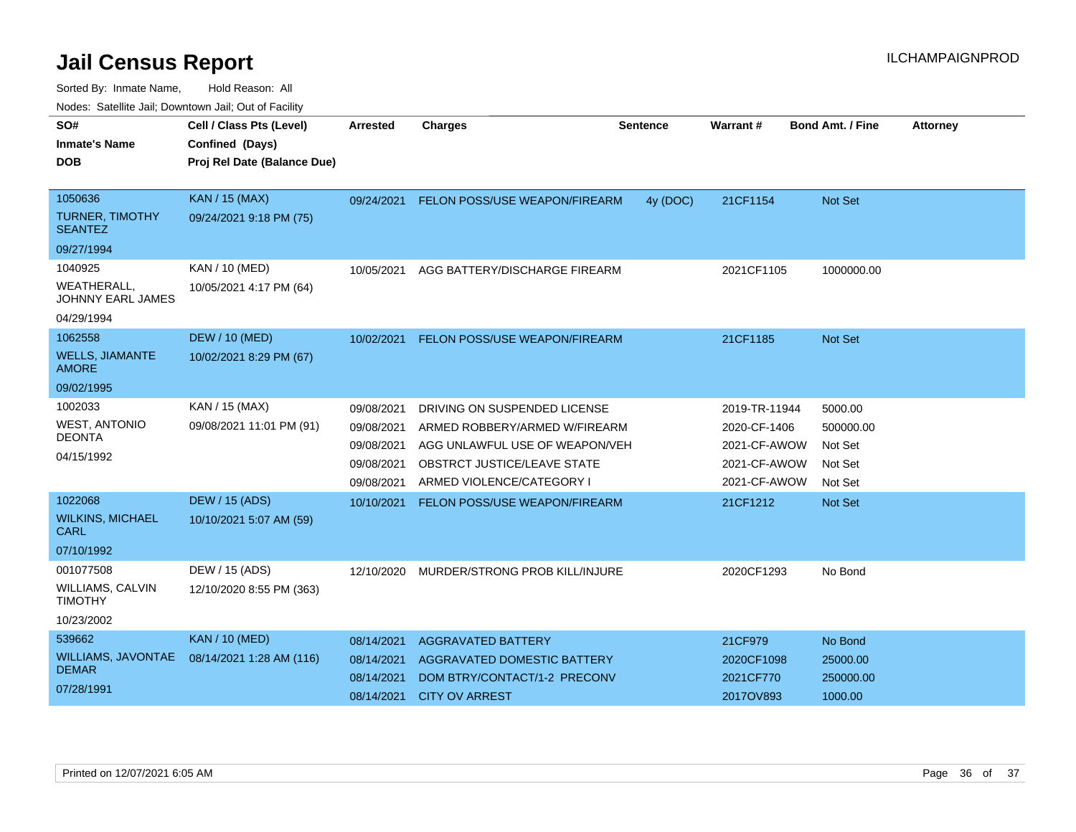| SO#                                           | Cell / Class Pts (Level)    | Arrested   | <b>Charges</b>                       | <b>Sentence</b> | Warrant#      | <b>Bond Amt. / Fine</b> | <b>Attorney</b> |
|-----------------------------------------------|-----------------------------|------------|--------------------------------------|-----------------|---------------|-------------------------|-----------------|
|                                               |                             |            |                                      |                 |               |                         |                 |
| <b>Inmate's Name</b>                          | Confined (Days)             |            |                                      |                 |               |                         |                 |
| DOB                                           | Proj Rel Date (Balance Due) |            |                                      |                 |               |                         |                 |
|                                               |                             |            |                                      |                 |               |                         |                 |
| 1050636                                       | <b>KAN / 15 (MAX)</b>       | 09/24/2021 | <b>FELON POSS/USE WEAPON/FIREARM</b> | 4y (DOC)        | 21CF1154      | <b>Not Set</b>          |                 |
| <b>TURNER, TIMOTHY</b><br><b>SEANTEZ</b>      | 09/24/2021 9:18 PM (75)     |            |                                      |                 |               |                         |                 |
| 09/27/1994                                    |                             |            |                                      |                 |               |                         |                 |
| 1040925                                       | KAN / 10 (MED)              | 10/05/2021 | AGG BATTERY/DISCHARGE FIREARM        |                 | 2021CF1105    | 1000000.00              |                 |
| <b>WEATHERALL</b><br><b>JOHNNY EARL JAMES</b> | 10/05/2021 4:17 PM (64)     |            |                                      |                 |               |                         |                 |
| 04/29/1994                                    |                             |            |                                      |                 |               |                         |                 |
| 1062558                                       | <b>DEW / 10 (MED)</b>       | 10/02/2021 | FELON POSS/USE WEAPON/FIREARM        |                 | 21CF1185      | <b>Not Set</b>          |                 |
| <b>WELLS, JIAMANTE</b><br><b>AMORE</b>        | 10/02/2021 8:29 PM (67)     |            |                                      |                 |               |                         |                 |
| 09/02/1995                                    |                             |            |                                      |                 |               |                         |                 |
| 1002033                                       | KAN / 15 (MAX)              | 09/08/2021 | DRIVING ON SUSPENDED LICENSE         |                 | 2019-TR-11944 | 5000.00                 |                 |
| <b>WEST, ANTONIO</b>                          | 09/08/2021 11:01 PM (91)    | 09/08/2021 | ARMED ROBBERY/ARMED W/FIREARM        |                 | 2020-CF-1406  | 500000.00               |                 |
| <b>DEONTA</b>                                 |                             | 09/08/2021 | AGG UNLAWFUL USE OF WEAPON/VEH       |                 | 2021-CF-AWOW  | Not Set                 |                 |
| 04/15/1992                                    |                             | 09/08/2021 | OBSTRCT JUSTICE/LEAVE STATE          |                 | 2021-CF-AWOW  | Not Set                 |                 |
|                                               |                             | 09/08/2021 | ARMED VIOLENCE/CATEGORY I            |                 | 2021-CF-AWOW  | Not Set                 |                 |
| 1022068                                       | <b>DEW / 15 (ADS)</b>       | 10/10/2021 | FELON POSS/USE WEAPON/FIREARM        |                 | 21CF1212      | <b>Not Set</b>          |                 |
| <b>WILKINS, MICHAEL</b><br><b>CARL</b>        | 10/10/2021 5:07 AM (59)     |            |                                      |                 |               |                         |                 |
| 07/10/1992                                    |                             |            |                                      |                 |               |                         |                 |
| 001077508                                     | DEW / 15 (ADS)              | 12/10/2020 | MURDER/STRONG PROB KILL/INJURE       |                 | 2020CF1293    | No Bond                 |                 |
| WILLIAMS, CALVIN<br><b>TIMOTHY</b>            | 12/10/2020 8:55 PM (363)    |            |                                      |                 |               |                         |                 |
| 10/23/2002                                    |                             |            |                                      |                 |               |                         |                 |
| 539662                                        | <b>KAN / 10 (MED)</b>       | 08/14/2021 | <b>AGGRAVATED BATTERY</b>            |                 | 21CF979       | No Bond                 |                 |
| WILLIAMS, JAVONTAE                            | 08/14/2021 1:28 AM (116)    | 08/14/2021 | AGGRAVATED DOMESTIC BATTERY          |                 | 2020CF1098    | 25000.00                |                 |
| <b>DEMAR</b>                                  |                             | 08/14/2021 | DOM BTRY/CONTACT/1-2 PRECONV         |                 | 2021CF770     | 250000.00               |                 |
| 07/28/1991                                    |                             | 08/14/2021 | <b>CITY OV ARREST</b>                |                 | 2017OV893     | 1000.00                 |                 |